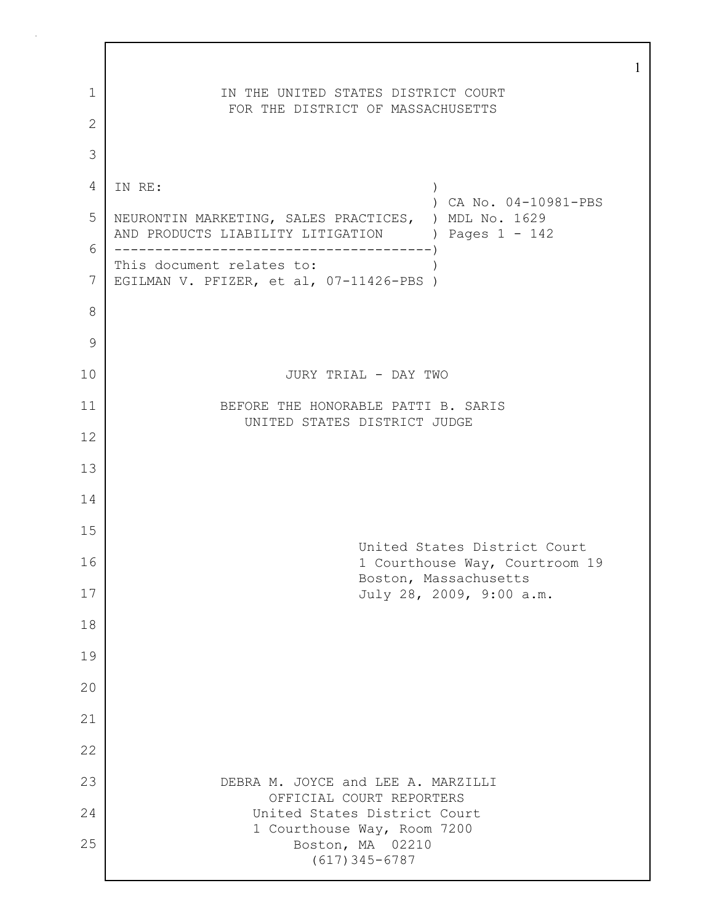| 1<br>$\mathbf{2}$ | IN THE UNITED STATES DISTRICT COURT<br>FOR THE DISTRICT OF MASSACHUSETTS                                  |
|-------------------|-----------------------------------------------------------------------------------------------------------|
| 3                 |                                                                                                           |
| $\overline{4}$    | IN RE:<br>$\mathcal{C}$<br>) CA No. 04-10981-PBS                                                          |
| 5                 | NEURONTIN MARKETING, SALES PRACTICES, ) MDL No. 1629<br>AND PRODUCTS LIABILITY LITIGATION ) Pages 1 - 142 |
| 6                 | This document relates to:                                                                                 |
| 7                 | EGILMAN V. PFIZER, et al, 07-11426-PBS )                                                                  |
| 8                 |                                                                                                           |
| 9                 |                                                                                                           |
| 10                | JURY TRIAL - DAY TWO                                                                                      |
| 11                | BEFORE THE HONORABLE PATTI B. SARIS<br>UNITED STATES DISTRICT JUDGE                                       |
| 12                |                                                                                                           |
| 13                |                                                                                                           |
| 14                |                                                                                                           |
| 15                | United States District Court                                                                              |
| 16                | 1 Courthouse Way, Courtroom 19<br>Boston, Massachusetts                                                   |
| 17                | July 28, 2009, 9:00 a.m.                                                                                  |
| 18                |                                                                                                           |
| 19                |                                                                                                           |
| 20                |                                                                                                           |
| 21                |                                                                                                           |
| 22                |                                                                                                           |
| 23                | DEBRA M. JOYCE and LEE A. MARZILLI                                                                        |
| 24                | OFFICIAL COURT REPORTERS<br>United States District Court                                                  |
| 25                | 1 Courthouse Way, Room 7200<br>Boston, MA 02210<br>$(617)$ 345-6787                                       |

 $\Gamma$ 

1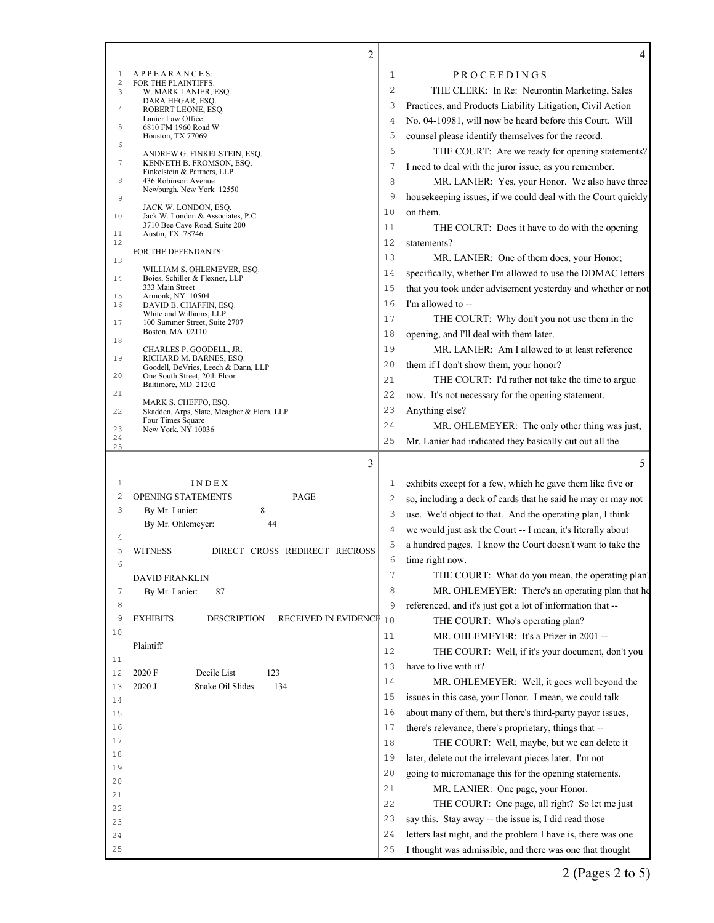|                 | $\overline{c}$                                                    |             | 4                                                                                                                        |
|-----------------|-------------------------------------------------------------------|-------------|--------------------------------------------------------------------------------------------------------------------------|
| 1               | APPEARANCES:                                                      | $\mathbf 1$ | PROCEEDINGS                                                                                                              |
| $\sqrt{2}$<br>3 | FOR THE PLAINTIFFS:<br>W. MARK LANIER, ESQ.                       | 2           | THE CLERK: In Re: Neurontin Marketing, Sales                                                                             |
|                 | DARA HEGAR, ESQ.                                                  | 3           | Practices, and Products Liability Litigation, Civil Action                                                               |
| 4               | ROBERT LEONE, ESO.<br>Lanier Law Office                           | 4           | No. 04-10981, will now be heard before this Court. Will                                                                  |
| 5               | 6810 FM 1960 Road W<br>Houston, TX 77069                          | 5           | counsel please identify themselves for the record.                                                                       |
| 6               |                                                                   | 6           | THE COURT: Are we ready for opening statements?                                                                          |
| 7               | ANDREW G. FINKELSTEIN, ESQ.<br>KENNETH B. FROMSON, ESQ.           |             |                                                                                                                          |
| 8               | Finkelstein & Partners, LLP                                       | 7           | I need to deal with the juror issue, as you remember.                                                                    |
|                 | 436 Robinson Avenue<br>Newburgh, New York 12550                   | 8           | MR. LANIER: Yes, your Honor. We also have three                                                                          |
| 9               | JACK W. LONDON, ESQ.                                              | 9           | housekeeping issues, if we could deal with the Court quickly                                                             |
| 10              | Jack W. London & Associates, P.C.                                 | 10          | on them.                                                                                                                 |
| 11              | 3710 Bee Cave Road, Suite 200<br>Austin, TX 78746                 | 11          | THE COURT: Does it have to do with the opening                                                                           |
| 12              | FOR THE DEFENDANTS:                                               | 12          | statements?                                                                                                              |
| 13              |                                                                   | 13          | MR. LANIER: One of them does, your Honor;                                                                                |
| 14              | WILLIAM S. OHLEMEYER, ESQ.<br>Boies, Schiller & Flexner, LLP      | 14          | specifically, whether I'm allowed to use the DDMAC letters                                                               |
| 15              | 333 Main Street<br>Armonk, NY 10504                               | 15          | that you took under advisement yesterday and whether or not                                                              |
| 16              | DAVID B. CHAFFIN, ESO.                                            | 16          | I'm allowed to --                                                                                                        |
| 17              | White and Williams, LLP<br>100 Summer Street, Suite 2707          | 17          | THE COURT: Why don't you not use them in the                                                                             |
|                 | Boston, MA 02110                                                  | 18          | opening, and I'll deal with them later.                                                                                  |
| 18              | CHARLES P. GOODELL, JR.                                           | 19          | MR. LANIER: Am I allowed to at least reference                                                                           |
| 19              | RICHARD M. BARNES, ESQ.<br>Goodell, DeVries, Leech & Dann, LLP    | 20          | them if I don't show them, your honor?                                                                                   |
| 20              | One South Street, 20th Floor                                      | 21          | THE COURT: I'd rather not take the time to argue                                                                         |
| 21              | Baltimore, MD 21202                                               | 22          | now. It's not necessary for the opening statement.                                                                       |
| 22              | MARK S. CHEFFO, ESQ.<br>Skadden, Arps, Slate, Meagher & Flom, LLP | 23          | Anything else?                                                                                                           |
|                 | Four Times Square                                                 | 24          | MR. OHLEMEYER: The only other thing was just,                                                                            |
| 23<br>24        | New York, NY 10036                                                | 25          | Mr. Lanier had indicated they basically cut out all the                                                                  |
| 25              |                                                                   |             |                                                                                                                          |
|                 | 3                                                                 |             | 5                                                                                                                        |
| 1               | INDEX                                                             | 1           | exhibits except for a few, which he gave them like five or                                                               |
| $\overline{c}$  | <b>OPENING STATEMENTS</b><br>PAGE                                 | 2           | so, including a deck of cards that he said he may or may not                                                             |
| 3               | By Mr. Lanier:<br>8                                               | 3           | use. We'd object to that. And the operating plan, I think                                                                |
|                 | By Mr. Ohlemeyer:<br>44                                           | 4           | we would just ask the Court -- I mean, it's literally about                                                              |
| 4               |                                                                   | 5           | a hundred pages. I know the Court doesn't want to take the                                                               |
| 5               | DIRECT CROSS REDIRECT RECROSS<br><b>WITNESS</b>                   | 6           | time right now.                                                                                                          |
| 6               |                                                                   | 7           | THE COURT: What do you mean, the operating plan?                                                                         |
|                 | <b>DAVID FRANKLIN</b>                                             |             |                                                                                                                          |
| 7               | 87<br>By Mr. Lanier:                                              | 8           | MR. OHLEMEYER: There's an operating plan that he                                                                         |
| 8<br>9          | <b>EXHIBITS</b><br><b>DESCRIPTION</b><br>RECEIVED IN EVIDENC# 10  | 9           | referenced, and it's just got a lot of information that --                                                               |
| 10              |                                                                   |             | THE COURT: Who's operating plan?                                                                                         |
|                 |                                                                   | 11          | MR. OHLEMEYER: It's a Pfizer in 2001 --                                                                                  |
| 11              |                                                                   |             | THE COURT: Well, if it's your document, don't you                                                                        |
| 12              | Plaintiff                                                         | 12          |                                                                                                                          |
|                 | 2020 F<br>Decile List<br>123                                      | 13          | have to live with it?                                                                                                    |
| 13              | 2020 J<br>Snake Oil Slides<br>134                                 | 14          | MR. OHLEMEYER: Well, it goes well beyond the                                                                             |
| 14              |                                                                   | 15          | issues in this case, your Honor. I mean, we could talk                                                                   |
| 15              |                                                                   | 16          | about many of them, but there's third-party payor issues,                                                                |
| 16              |                                                                   | 17          | there's relevance, there's proprietary, things that --                                                                   |
| 17              |                                                                   | 18          | THE COURT: Well, maybe, but we can delete it                                                                             |
| 18              |                                                                   | 19          | later, delete out the irrelevant pieces later. I'm not                                                                   |
| 19              |                                                                   | 20          | going to micromanage this for the opening statements.                                                                    |
| 20              |                                                                   | 21          | MR. LANIER: One page, your Honor.                                                                                        |
| 21              |                                                                   | 22          |                                                                                                                          |
| 22              |                                                                   | 23          | THE COURT: One page, all right? So let me just                                                                           |
| 23              |                                                                   | 24          | say this. Stay away -- the issue is, I did read those                                                                    |
| 24<br>25        |                                                                   | 25          | letters last night, and the problem I have is, there was one<br>I thought was admissible, and there was one that thought |

Ш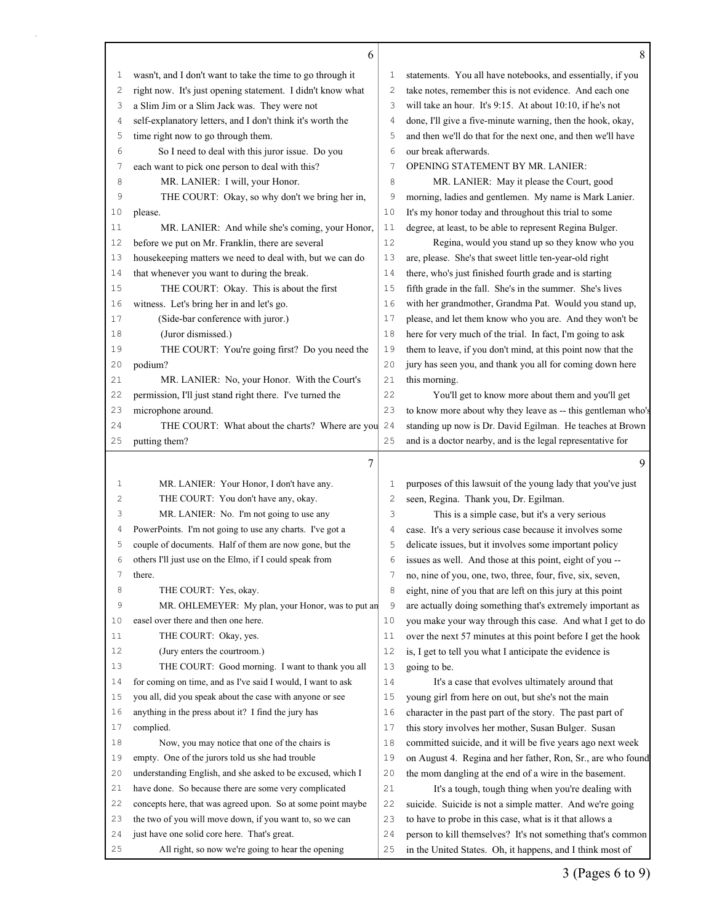|              | 6                                                                                                 |                | 8                                                                                                                        |
|--------------|---------------------------------------------------------------------------------------------------|----------------|--------------------------------------------------------------------------------------------------------------------------|
| $\mathbf{1}$ | wasn't, and I don't want to take the time to go through it                                        | 1              | statements. You all have notebooks, and essentially, if you                                                              |
| 2            | right now. It's just opening statement. I didn't know what                                        | $\overline{c}$ | take notes, remember this is not evidence. And each one                                                                  |
| 3            | a Slim Jim or a Slim Jack was. They were not                                                      | 3              | will take an hour. It's 9:15. At about 10:10, if he's not                                                                |
| 4            | self-explanatory letters, and I don't think it's worth the                                        | $\overline{4}$ | done, I'll give a five-minute warning, then the hook, okay,                                                              |
| 5            | time right now to go through them.                                                                | 5              | and then we'll do that for the next one, and then we'll have                                                             |
| 6            | So I need to deal with this juror issue. Do you                                                   | 6              | our break afterwards.                                                                                                    |
| 7            | each want to pick one person to deal with this?                                                   | 7              | <b>OPENING STATEMENT BY MR. LANIER:</b>                                                                                  |
| 8            | MR. LANIER: I will, your Honor.                                                                   | 8              | MR. LANIER: May it please the Court, good                                                                                |
| 9            | THE COURT: Okay, so why don't we bring her in,                                                    | 9              | morning, ladies and gentlemen. My name is Mark Lanier.                                                                   |
| 10           | please.                                                                                           | 10             | It's my honor today and throughout this trial to some                                                                    |
| 11           | MR. LANIER: And while she's coming, your Honor,                                                   | 11             | degree, at least, to be able to represent Regina Bulger.                                                                 |
| 12           | before we put on Mr. Franklin, there are several                                                  | 12             | Regina, would you stand up so they know who you                                                                          |
| 13           | housekeeping matters we need to deal with, but we can do                                          | 13             | are, please. She's that sweet little ten-year-old right                                                                  |
| 14           | that whenever you want to during the break.                                                       | 14             | there, who's just finished fourth grade and is starting                                                                  |
| 15           | THE COURT: Okay. This is about the first                                                          | 15             | fifth grade in the fall. She's in the summer. She's lives                                                                |
| 16           | witness. Let's bring her in and let's go.                                                         | 16             | with her grandmother, Grandma Pat. Would you stand up,                                                                   |
| 17           | (Side-bar conference with juror.)                                                                 | 17             | please, and let them know who you are. And they won't be                                                                 |
| 18           | (Juror dismissed.)                                                                                | 18             | here for very much of the trial. In fact, I'm going to ask                                                               |
| 19           | THE COURT: You're going first? Do you need the                                                    | 19             | them to leave, if you don't mind, at this point now that the                                                             |
| 20           | podium?                                                                                           | 20             | jury has seen you, and thank you all for coming down here                                                                |
| 21           | MR. LANIER: No, your Honor. With the Court's                                                      | 21             | this morning.                                                                                                            |
| 22           | permission, I'll just stand right there. I've turned the                                          | 22             | You'll get to know more about them and you'll get                                                                        |
| 23           | microphone around.                                                                                | 23             | to know more about why they leave as -- this gentleman who's                                                             |
| 24           | THE COURT: What about the charts? Where are you                                                   | 24             | standing up now is Dr. David Egilman. He teaches at Brown                                                                |
| 25           | putting them?                                                                                     | 25             | and is a doctor nearby, and is the legal representative for                                                              |
|              | 7                                                                                                 |                | 9                                                                                                                        |
|              |                                                                                                   |                |                                                                                                                          |
| 1            | MR. LANIER: Your Honor, I don't have any.                                                         | 1              | purposes of this lawsuit of the young lady that you've just                                                              |
| 2            | THE COURT: You don't have any, okay.                                                              | $\mathbf{2}$   | seen, Regina. Thank you, Dr. Egilman.                                                                                    |
| 3            | MR. LANIER: No. I'm not going to use any                                                          | 3              | This is a simple case, but it's a very serious                                                                           |
| 4            | PowerPoints. I'm not going to use any charts. I've got a                                          | 4              | case. It's a very serious case because it involves some                                                                  |
| 5            | couple of documents. Half of them are now gone, but the                                           | 5              | delicate issues, but it involves some important policy                                                                   |
| 6            | others I'll just use on the Elmo, if I could speak from                                           | 6              | issues as well. And those at this point, eight of you --                                                                 |
| 7            | there.                                                                                            | 7              | no, nine of you, one, two, three, four, five, six, seven,                                                                |
| 8            | THE COURT: Yes, okay.                                                                             | 8              | eight, nine of you that are left on this jury at this point                                                              |
| 9            | MR. OHLEMEYER: My plan, your Honor, was to put an                                                 | 9              | are actually doing something that's extremely important as                                                               |
| 10           | easel over there and then one here.                                                               | 10             | you make your way through this case. And what I get to do                                                                |
| 11           | THE COURT: Okay, yes.                                                                             | 11             | over the next 57 minutes at this point before I get the hook                                                             |
| 12           | (Jury enters the courtroom.)                                                                      | 12             | is, I get to tell you what I anticipate the evidence is                                                                  |
| 13           | THE COURT: Good morning. I want to thank you all                                                  | 13             | going to be.                                                                                                             |
| 14           | for coming on time, and as I've said I would, I want to ask                                       | 14             | It's a case that evolves ultimately around that                                                                          |
| 15           | you all, did you speak about the case with anyone or see                                          | 15             | young girl from here on out, but she's not the main                                                                      |
| 16           | anything in the press about it? I find the jury has                                               | 16             | character in the past part of the story. The past part of                                                                |
| 17           | complied.                                                                                         | 17             | this story involves her mother, Susan Bulger. Susan                                                                      |
| 18           | Now, you may notice that one of the chairs is                                                     | 18             | committed suicide, and it will be five years ago next week                                                               |
| 19           | empty. One of the jurors told us she had trouble                                                  | 19             | on August 4. Regina and her father, Ron, Sr., are who found                                                              |
|              | understanding English, and she asked to be excused, which I                                       | 20             | the mom dangling at the end of a wire in the basement.                                                                   |
| 20           | have done. So because there are some very complicated                                             | 21             | It's a tough, tough thing when you're dealing with                                                                       |
| 21           |                                                                                                   |                |                                                                                                                          |
| 22           | concepts here, that was agreed upon. So at some point maybe                                       | 22             | suicide. Suicide is not a simple matter. And we're going                                                                 |
| 23           | the two of you will move down, if you want to, so we can                                          | 23             | to have to probe in this case, what is it that allows a                                                                  |
| 24<br>25     | just have one solid core here. That's great.<br>All right, so now we're going to hear the opening | 24<br>25       | person to kill themselves? It's not something that's common<br>in the United States. Oh, it happens, and I think most of |

3 (Pages 6 to 9)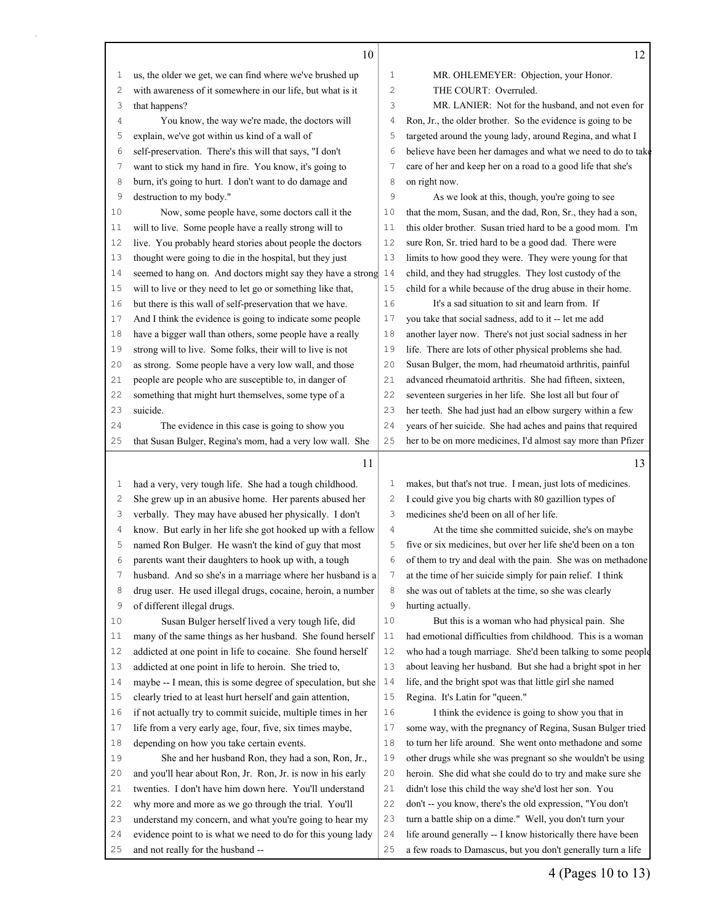|              | 10                                                           |                | 12                                                           |
|--------------|--------------------------------------------------------------|----------------|--------------------------------------------------------------|
| $\mathbf{1}$ | us, the older we get, we can find where we've brushed up     | $1\,$          | MR. OHLEMEYER: Objection, your Honor.                        |
| 2            | with awareness of it somewhere in our life, but what is it   | $\overline{c}$ | THE COURT: Overruled.                                        |
| 3            | that happens?                                                | 3              | MR. LANIER: Not for the husband, and not even for            |
| 4            | You know, the way we're made, the doctors will               | $\overline{4}$ | Ron, Jr., the older brother. So the evidence is going to be  |
| 5            | explain, we've got within us kind of a wall of               | 5              | targeted around the young lady, around Regina, and what I    |
| 6            | self-preservation. There's this will that says, "I don't     | 6              | believe have been her damages and what we need to do to take |
| 7            | want to stick my hand in fire. You know, it's going to       | $\overline{7}$ | care of her and keep her on a road to a good life that she's |
| 8            | burn, it's going to hurt. I don't want to do damage and      | 8              | on right now.                                                |
| 9            | destruction to my body."                                     | 9              | As we look at this, though, you're going to see              |
| 10           | Now, some people have, some doctors call it the              | 10             | that the mom, Susan, and the dad, Ron, Sr., they had a son,  |
| 11           | will to live. Some people have a really strong will to       | 11             | this older brother. Susan tried hard to be a good mom. I'm   |
| 12           | live. You probably heard stories about people the doctors    | 12             | sure Ron, Sr. tried hard to be a good dad. There were        |
| 13           | thought were going to die in the hospital, but they just     | 13             | limits to how good they were. They were young for that       |
| 14           | seemed to hang on. And doctors might say they have a strong  | 14             | child, and they had struggles. They lost custody of the      |
| 15           | will to live or they need to let go or something like that,  | 15             | child for a while because of the drug abuse in their home.   |
| 16           | but there is this wall of self-preservation that we have.    | 16             | It's a sad situation to sit and learn from. If               |
| 17           | And I think the evidence is going to indicate some people    | 17             | you take that social sadness, add to it -- let me add        |
| 18           | have a bigger wall than others, some people have a really    | 18             | another layer now. There's not just social sadness in her    |
| 19           | strong will to live. Some folks, their will to live is not   | 19             | life. There are lots of other physical problems she had.     |
| 20           | as strong. Some people have a very low wall, and those       | 20             | Susan Bulger, the mom, had rheumatoid arthritis, painful     |
| 21           | people are people who are susceptible to, in danger of       | 21             | advanced rheumatoid arthritis. She had fifteen, sixteen,     |
| 22           | something that might hurt themselves, some type of a         | 22             | seventeen surgeries in her life. She lost all but four of    |
| 23           | suicide.                                                     | 23             | her teeth. She had just had an elbow surgery within a few    |
| 24           | The evidence in this case is going to show you               | 24             | years of her suicide. She had aches and pains that required  |
| 25           | that Susan Bulger, Regina's mom, had a very low wall. She    | 25             | her to be on more medicines, I'd almost say more than Pfizer |
|              | 11                                                           |                | 13                                                           |
| 1            | had a very, very tough life. She had a tough childhood.      | 1              | makes, but that's not true. I mean, just lots of medicines.  |
| 2            | She grew up in an abusive home. Her parents abused her       | $\mathbf{2}$   | I could give you big charts with 80 gazillion types of       |
| 3            | verbally. They may have abused her physically. I don't       | 3              | medicines she'd been on all of her life.                     |
| 4            | know. But early in her life she got hooked up with a fellow  | $\overline{4}$ | At the time she committed suicide, she's on maybe            |
| 5            | named Ron Bulger. He wasn't the kind of guy that most        | 5              | five or six medicines, but over her life she'd been on a ton |
| 6            | parents want their daughters to hook up with, a tough        | 6              |                                                              |
| 7            |                                                              |                | of them to try and deal with the pain. She was on methadone  |
|              | husband. And so she's in a marriage where her husband is a   | 7              | at the time of her suicide simply for pain relief. I think   |
| 8            | drug user. He used illegal drugs, cocaine, heroin, a number  | 8              | she was out of tablets at the time, so she was clearly       |
| 9            | of different illegal drugs.                                  | 9              | hurting actually.                                            |
| 10           | Susan Bulger herself lived a very tough life, did            | $10$           | But this is a woman who had physical pain. She               |
| 11           | many of the same things as her husband. She found herself    | 11             | had emotional difficulties from childhood. This is a woman   |
| 12           | addicted at one point in life to cocaine. She found herself  | 12             | who had a tough marriage. She'd been talking to some people  |
| 13           | addicted at one point in life to heroin. She tried to,       | 13             | about leaving her husband. But she had a bright spot in her  |
| 14           | maybe -- I mean, this is some degree of speculation, but she | 14             | life, and the bright spot was that little girl she named     |
| 15           | clearly tried to at least hurt herself and gain attention,   | 15             | Regina. It's Latin for "queen."                              |
| 16           | if not actually try to commit suicide, multiple times in her | 16             | I think the evidence is going to show you that in            |
| 17           | life from a very early age, four, five, six times maybe,     | 17             | some way, with the pregnancy of Regina, Susan Bulger tried   |
| 18           | depending on how you take certain events.                    | 18             | to turn her life around. She went onto methadone and some    |
| 19           | She and her husband Ron, they had a son, Ron, Jr.,           | 19             | other drugs while she was pregnant so she wouldn't be using  |
| 20           | and you'll hear about Ron, Jr. Ron, Jr. is now in his early  | 20             | heroin. She did what she could do to try and make sure she   |
| 21           | twenties. I don't have him down here. You'll understand      | 21             | didn't lose this child the way she'd lost her son. You       |
| 22           | why more and more as we go through the trial. You'll         | 22             | don't -- you know, there's the old expression, "You don't    |
| 23           | understand my concern, and what you're going to hear my      | 23             | turn a battle ship on a dime." Well, you don't turn your     |
| 24           | evidence point to is what we need to do for this young lady  | 24             | life around generally -- I know historically there have been |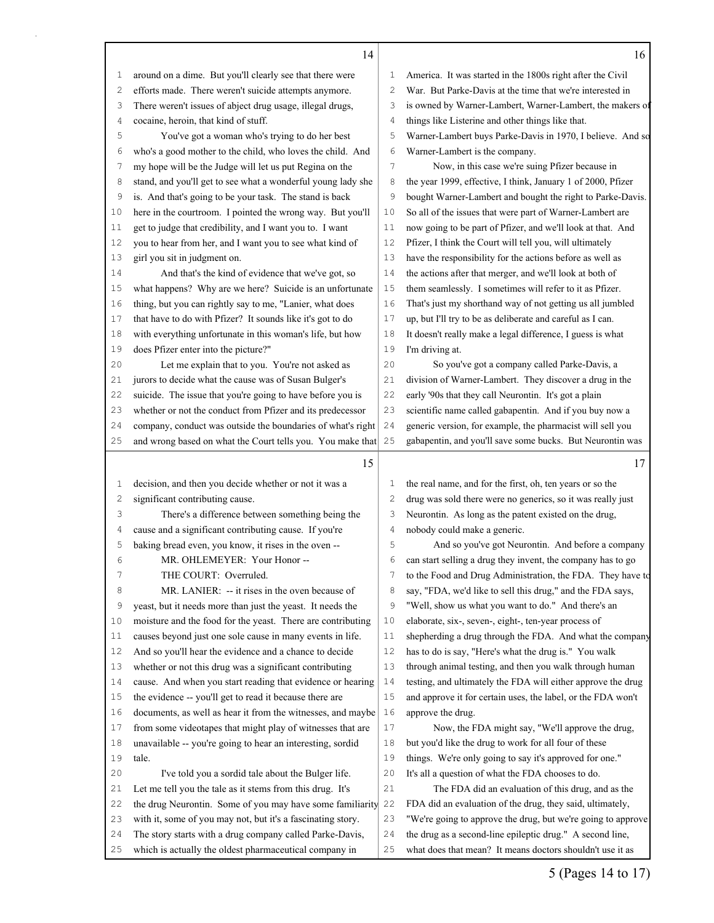|              | 14                                                           |                                                                 | 16                                                           |  |
|--------------|--------------------------------------------------------------|-----------------------------------------------------------------|--------------------------------------------------------------|--|
| 1            | around on a dime. But you'll clearly see that there were     | America. It was started in the 1800s right after the Civil<br>1 |                                                              |  |
| 2            | efforts made. There weren't suicide attempts anymore.        | $\overline{c}$                                                  | War. But Parke-Davis at the time that we're interested in    |  |
| 3            | There weren't issues of abject drug usage, illegal drugs,    | 3                                                               | is owned by Warner-Lambert, Warner-Lambert, the makers of    |  |
| 4            | cocaine, heroin, that kind of stuff.                         | $\overline{4}$                                                  | things like Listerine and other things like that.            |  |
| 5            | You've got a woman who's trying to do her best               | 5                                                               | Warner-Lambert buys Parke-Davis in 1970, I believe. And so   |  |
| 6            | who's a good mother to the child, who loves the child. And   | 6                                                               | Warner-Lambert is the company.                               |  |
| 7            | my hope will be the Judge will let us put Regina on the      | $\overline{7}$                                                  | Now, in this case we're suing Pfizer because in              |  |
| 8            | stand, and you'll get to see what a wonderful young lady she | 8                                                               | the year 1999, effective, I think, January 1 of 2000, Pfizer |  |
| 9            | is. And that's going to be your task. The stand is back      | 9                                                               | bought Warner-Lambert and bought the right to Parke-Davis.   |  |
| 10           | here in the courtroom. I pointed the wrong way. But you'll   | 10                                                              | So all of the issues that were part of Warner-Lambert are    |  |
| 11           | get to judge that credibility, and I want you to. I want     | 11                                                              | now going to be part of Pfizer, and we'll look at that. And  |  |
| 12           | you to hear from her, and I want you to see what kind of     | 12                                                              | Pfizer, I think the Court will tell you, will ultimately     |  |
| 13           | girl you sit in judgment on.                                 | 13                                                              | have the responsibility for the actions before as well as    |  |
| 14           | And that's the kind of evidence that we've got, so           | 14                                                              | the actions after that merger, and we'll look at both of     |  |
| 15           | what happens? Why are we here? Suicide is an unfortunate     | 15                                                              | them seamlessly. I sometimes will refer to it as Pfizer.     |  |
| 16           | thing, but you can rightly say to me, "Lanier, what does     | 16                                                              | That's just my shorthand way of not getting us all jumbled   |  |
| 17           | that have to do with Pfizer? It sounds like it's got to do   | 17                                                              | up, but I'll try to be as deliberate and careful as I can.   |  |
| 18           | with everything unfortunate in this woman's life, but how    | 18                                                              | It doesn't really make a legal difference, I guess is what   |  |
| 19           | does Pfizer enter into the picture?"                         | 19                                                              | I'm driving at.                                              |  |
| 20           | Let me explain that to you. You're not asked as              | 20                                                              | So you've got a company called Parke-Davis, a                |  |
| 21           | jurors to decide what the cause was of Susan Bulger's        | 21                                                              | division of Warner-Lambert. They discover a drug in the      |  |
| 22           | suicide. The issue that you're going to have before you is   | 22                                                              | early '90s that they call Neurontin. It's got a plain        |  |
| 23           | whether or not the conduct from Pfizer and its predecessor   | 23                                                              | scientific name called gabapentin. And if you buy now a      |  |
| 24           | company, conduct was outside the boundaries of what's right  | 24                                                              | generic version, for example, the pharmacist will sell you   |  |
| 25           | and wrong based on what the Court tells you. You make that   | 25                                                              | gabapentin, and you'll save some bucks. But Neurontin was    |  |
|              |                                                              |                                                                 |                                                              |  |
|              |                                                              |                                                                 |                                                              |  |
|              | 15                                                           |                                                                 | 17                                                           |  |
| 1            | decision, and then you decide whether or not it was a        | 1                                                               | the real name, and for the first, oh, ten years or so the    |  |
| $\mathbf{2}$ | significant contributing cause.                              | 2                                                               | drug was sold there were no generics, so it was really just  |  |
| 3            | There's a difference between something being the             | 3                                                               | Neurontin. As long as the patent existed on the drug,        |  |
| 4            | cause and a significant contributing cause. If you're        | 4                                                               | nobody could make a generic.                                 |  |
| 5            | baking bread even, you know, it rises in the oven --         | 5                                                               | And so you've got Neurontin. And before a company            |  |
| 6            | MR. OHLEMEYER: Your Honor --                                 | 6                                                               | can start selling a drug they invent, the company has to go  |  |
| 7            | THE COURT: Overruled.                                        | 7                                                               | to the Food and Drug Administration, the FDA. They have to   |  |
| 8            | MR. LANIER: -- it rises in the oven because of               | 8                                                               | say, "FDA, we'd like to sell this drug," and the FDA says,   |  |
| 9            | yeast, but it needs more than just the yeast. It needs the   | 9                                                               | "Well, show us what you want to do." And there's an          |  |
| 10           | moisture and the food for the yeast. There are contributing  | $10$                                                            | elaborate, six-, seven-, eight-, ten-year process of         |  |
| 11           | causes beyond just one sole cause in many events in life.    | 11                                                              | shepherding a drug through the FDA. And what the company     |  |
| 12           | And so you'll hear the evidence and a chance to decide       | 12                                                              | has to do is say, "Here's what the drug is." You walk        |  |
| 13           | whether or not this drug was a significant contributing      | 13                                                              | through animal testing, and then you walk through human      |  |
| 14           | cause. And when you start reading that evidence or hearing   | 14                                                              | testing, and ultimately the FDA will either approve the drug |  |
| 15           | the evidence -- you'll get to read it because there are      | 15                                                              | and approve it for certain uses, the label, or the FDA won't |  |
| 16           | documents, as well as hear it from the witnesses, and maybe  | 16                                                              | approve the drug.                                            |  |
| 17           | from some videotapes that might play of witnesses that are   | 17                                                              | Now, the FDA might say, "We'll approve the drug,             |  |
| 18           | unavailable -- you're going to hear an interesting, sordid   | 18                                                              | but you'd like the drug to work for all four of these        |  |
| 19           | tale.                                                        | 19                                                              | things. We're only going to say it's approved for one."      |  |
| 20           | I've told you a sordid tale about the Bulger life.           | 20                                                              | It's all a question of what the FDA chooses to do.           |  |
| 21           | Let me tell you the tale as it stems from this drug. It's    | 21                                                              | The FDA did an evaluation of this drug, and as the           |  |
| 22           | the drug Neurontin. Some of you may have some familiarity    | 22                                                              | FDA did an evaluation of the drug, they said, ultimately,    |  |
| 23           | with it, some of you may not, but it's a fascinating story.  | 23                                                              | "We're going to approve the drug, but we're going to approve |  |
| 24           | The story starts with a drug company called Parke-Davis,     | 24                                                              | the drug as a second-line epileptic drug." A second line,    |  |

5 (Pages 14 to 17)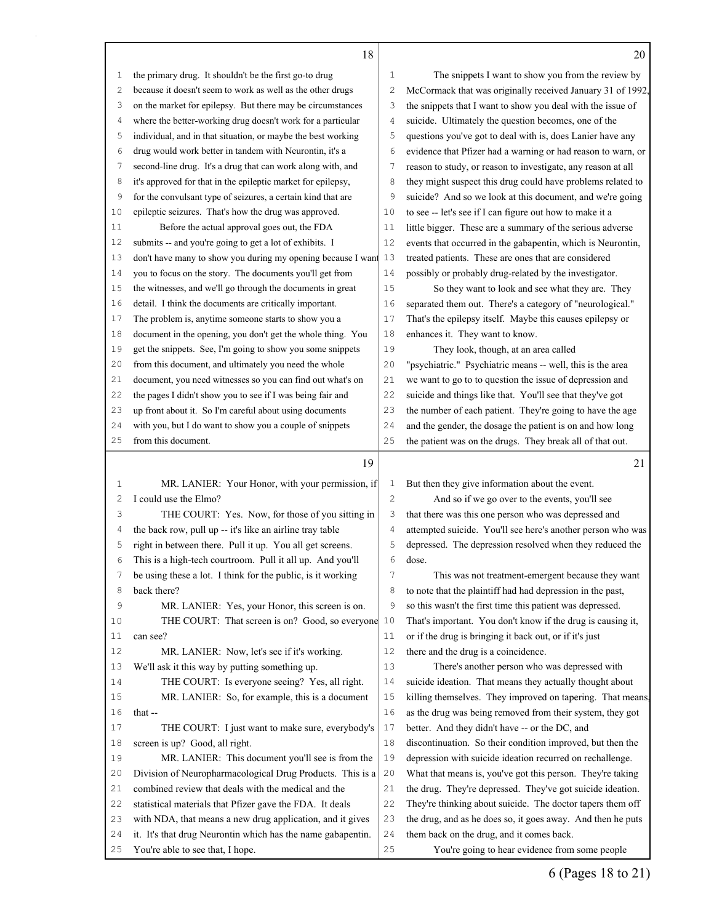|              | 18                                                           |                | 20                                                           |
|--------------|--------------------------------------------------------------|----------------|--------------------------------------------------------------|
| $\mathbf{1}$ | the primary drug. It shouldn't be the first go-to drug       | 1              | The snippets I want to show you from the review by           |
| 2            | because it doesn't seem to work as well as the other drugs   | $\mathbf{2}$   | McCormack that was originally received January 31 of 1992,   |
| 3            | on the market for epilepsy. But there may be circumstances   | 3              | the snippets that I want to show you deal with the issue of  |
| 4            | where the better-working drug doesn't work for a particular  | $\overline{4}$ | suicide. Ultimately the question becomes, one of the         |
| 5            | individual, and in that situation, or maybe the best working | 5              | questions you've got to deal with is, does Lanier have any   |
| 6            | drug would work better in tandem with Neurontin, it's a      | 6              | evidence that Pfizer had a warning or had reason to warn, or |
| 7            | second-line drug. It's a drug that can work along with, and  | 7              | reason to study, or reason to investigate, any reason at all |
| 8            | it's approved for that in the epileptic market for epilepsy, | 8              | they might suspect this drug could have problems related to  |
| 9            | for the convulsant type of seizures, a certain kind that are | 9              | suicide? And so we look at this document, and we're going    |
| 10           | epileptic seizures. That's how the drug was approved.        | 10             | to see -- let's see if I can figure out how to make it a     |
| 11           | Before the actual approval goes out, the FDA                 | 11             | little bigger. These are a summary of the serious adverse    |
| 12           | submits -- and you're going to get a lot of exhibits. I      | 12             | events that occurred in the gabapentin, which is Neurontin,  |
| 13           | don't have many to show you during my opening because I want | 13             | treated patients. These are ones that are considered         |
| 14           | you to focus on the story. The documents you'll get from     | 14             | possibly or probably drug-related by the investigator.       |
| 15           | the witnesses, and we'll go through the documents in great   | 15             | So they want to look and see what they are. They             |
| 16           | detail. I think the documents are critically important.      | 16             | separated them out. There's a category of "neurological."    |
| 17           | The problem is, anytime someone starts to show you a         | 17             | That's the epilepsy itself. Maybe this causes epilepsy or    |
| 18           | document in the opening, you don't get the whole thing. You  | 18             | enhances it. They want to know.                              |
| 19           | get the snippets. See, I'm going to show you some snippets   | 19             | They look, though, at an area called                         |
| 20           | from this document, and ultimately you need the whole        | 20             | "psychiatric." Psychiatric means -- well, this is the area   |
| 21           | document, you need witnesses so you can find out what's on   | 21             | we want to go to to question the issue of depression and     |
| 22           | the pages I didn't show you to see if I was being fair and   | 22             | suicide and things like that. You'll see that they've got    |
| 23           | up front about it. So I'm careful about using documents      | 23             | the number of each patient. They're going to have the age    |
| 24           | with you, but I do want to show you a couple of snippets     | 24             | and the gender, the dosage the patient is on and how long    |
| 25           | from this document.                                          | 25             | the patient was on the drugs. They break all of that out.    |
|              | 19                                                           |                | 21                                                           |
|              |                                                              |                |                                                              |
| 1            | MR. LANIER: Your Honor, with your permission, if             | 1              | But then they give information about the event.              |
| 2            | I could use the Elmo?                                        | $\mathbf{2}$   | And so if we go over to the events, you'll see               |
| 3            | THE COURT: Yes. Now, for those of you sitting in             | 3              | that there was this one person who was depressed and         |
| 4            | the back row, pull up -- it's like an airline tray table     | 4              | attempted suicide. You'll see here's another person who was  |
| 5            | right in between there. Pull it up. You all get screens.     | 5              | depressed. The depression resolved when they reduced the     |
| 6            | This is a high-tech courtroom. Pull it all up. And you'll    | 6              | dose.                                                        |
|              | be using these a lot. I think for the public, is it working  | 7              | This was not treatment-emergent because they want            |
| 8            | back there?                                                  | 8              | to note that the plaintiff had had depression in the past,   |
| 9            | MR. LANIER: Yes, your Honor, this screen is on.              | 9              | so this wasn't the first time this patient was depressed.    |
| 10           | THE COURT: That screen is on? Good, so everyone              | 10             | That's important. You don't know if the drug is causing it,  |
| 11           | can see?                                                     | 11             | or if the drug is bringing it back out, or if it's just      |
| 12           | MR. LANIER: Now, let's see if it's working.                  | 12             | there and the drug is a coincidence.                         |
| 13           | We'll ask it this way by putting something up.               | 13             | There's another person who was depressed with                |
| 14           | THE COURT: Is everyone seeing? Yes, all right.               | 14             | suicide ideation. That means they actually thought about     |
| 15           | MR. LANIER: So, for example, this is a document              | 15             | killing themselves. They improved on tapering. That means,   |
| 16           | that --                                                      | 16             | as the drug was being removed from their system, they got    |
| 17           | THE COURT: I just want to make sure, everybody's             | 17             | better. And they didn't have -- or the DC, and               |
| 18           | screen is up? Good, all right.                               | 18             | discontinuation. So their condition improved, but then the   |
| 19           | MR. LANIER: This document you'll see is from the             | 19             | depression with suicide ideation recurred on rechallenge.    |
| 20           | Division of Neuropharmacological Drug Products. This is a    | 20             | What that means is, you've got this person. They're taking   |
| 21           | combined review that deals with the medical and the          | 21             | the drug. They're depressed. They've got suicide ideation.   |
| 22           | statistical materials that Pfizer gave the FDA. It deals     | 22             | They're thinking about suicide. The doctor tapers them off   |

You're able to see that, I hope.

 with NDA, that means a new drug application, and it gives it. It's that drug Neurontin which has the name gabapentin. the drug, and as he does so, it goes away. And then he puts them back on the drug, and it comes back.

You're going to hear evidence from some people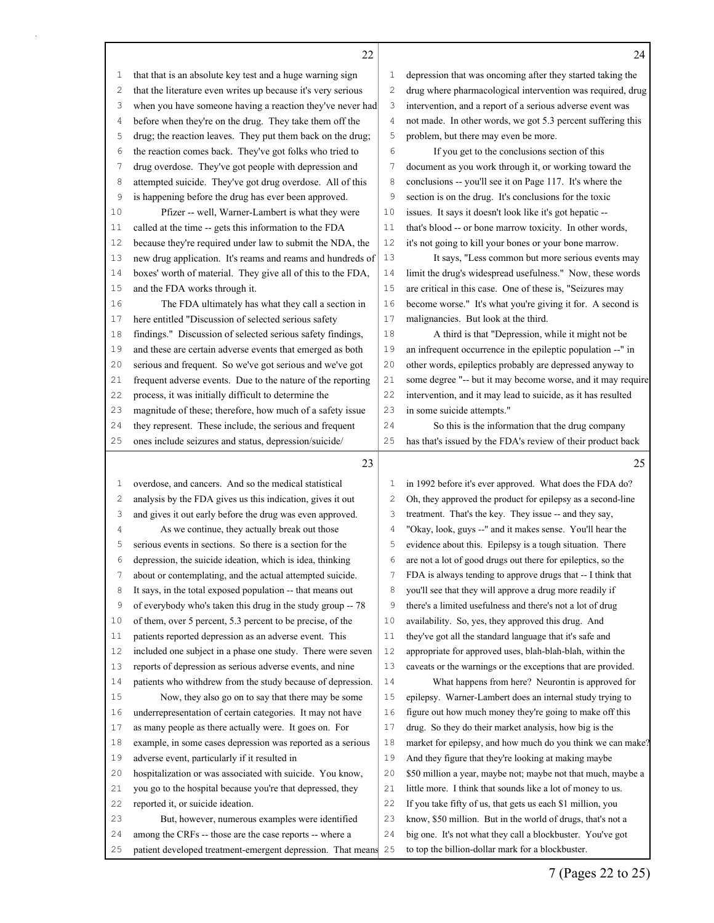$\mathsf{I}$ 

| 1  | that that is an absolute key test and a huge warning sign      | 1            | depression that was oncoming after they started taking the   |
|----|----------------------------------------------------------------|--------------|--------------------------------------------------------------|
| 2  | that the literature even writes up because it's very serious   | $\mathbf{2}$ | drug where pharmacological intervention was required, drug   |
| 3  | when you have someone having a reaction they've never had      | 3            | intervention, and a report of a serious adverse event was    |
| 4  | before when they're on the drug. They take them off the        | 4            | not made. In other words, we got 5.3 percent suffering this  |
| 5  | drug; the reaction leaves. They put them back on the drug;     | 5            | problem, but there may even be more.                         |
| 6  | the reaction comes back. They've got folks who tried to        | 6            | If you get to the conclusions section of this                |
| 7  | drug overdose. They've got people with depression and          | 7            | document as you work through it, or working toward the       |
| 8  | attempted suicide. They've got drug overdose. All of this      | 8            | conclusions -- you'll see it on Page 117. It's where the     |
| 9  | is happening before the drug has ever been approved.           | 9            | section is on the drug. It's conclusions for the toxic       |
| 10 | Pfizer -- well, Warner-Lambert is what they were               | 10           | issues. It says it doesn't look like it's got hepatic --     |
| 11 | called at the time -- gets this information to the FDA         | 11           | that's blood -- or bone marrow toxicity. In other words,     |
| 12 | because they're required under law to submit the NDA, the      | 12           | it's not going to kill your bones or your bone marrow.       |
| 13 | new drug application. It's reams and reams and hundreds of     | 13           | It says, "Less common but more serious events may            |
| 14 | boxes' worth of material. They give all of this to the FDA,    | 14           | limit the drug's widespread usefulness." Now, these words    |
| 15 | and the FDA works through it.                                  | 15           | are critical in this case. One of these is, "Seizures may    |
| 16 | The FDA ultimately has what they call a section in             | 16           | become worse." It's what you're giving it for. A second is   |
| 17 | here entitled "Discussion of selected serious safety           | 17           | malignancies. But look at the third.                         |
| 18 | findings." Discussion of selected serious safety findings,     | 18           | A third is that "Depression, while it might not be           |
| 19 | and these are certain adverse events that emerged as both      | 19           | an infrequent occurrence in the epileptic population --" in  |
| 20 | serious and frequent. So we've got serious and we've got       | 20           | other words, epileptics probably are depressed anyway to     |
| 21 | frequent adverse events. Due to the nature of the reporting    | 21           | some degree "-- but it may become worse, and it may require  |
| 22 | process, it was initially difficult to determine the           | 22           | intervention, and it may lead to suicide, as it has resulted |
| 23 | magnitude of these; therefore, how much of a safety issue      | 23           | in some suicide attempts."                                   |
| 24 | they represent. These include, the serious and frequent        | 24           | So this is the information that the drug company             |
| 25 | ones include seizures and status, depression/suicide/          | 25           | has that's issued by the FDA's review of their product back  |
|    | 23                                                             |              | 25                                                           |
| 1  | overdose, and cancers. And so the medical statistical          | 1            | in 1992 before it's ever approved. What does the FDA do?     |
| 2  | analysis by the FDA gives us this indication, gives it out     | 2            | Oh, they approved the product for epilepsy as a second-line  |
| З  | and gives it out early before the drug was even approved.      | 3            | treatment. That's the key. They issue -- and they say,       |
| 4  | As we continue, they actually break out those                  | 4            | "Okay, look, guys --" and it makes sense. You'll hear the    |
| 5  | serious events in sections. So there is a section for the      | 5            | evidence about this. Epilepsy is a tough situation. There    |
| 6  | depression, the suicide ideation, which is idea, thinking      | 6            | are not a lot of good drugs out there for epileptics, so the |
| 7  | about or contemplating, and the actual attempted suicide.      | 7            | FDA is always tending to approve drugs that -- I think that  |
| 8  | It says, in the total exposed population -- that means out     | 8            | you'll see that they will approve a drug more readily if     |
| 9  | of everybody who's taken this drug in the study group -- 78    | 9            | there's a limited usefulness and there's not a lot of drug   |
| 10 | of them, over 5 percent, 5.3 percent to be precise, of the     | 10           | availability. So, yes, they approved this drug. And          |
| 11 | patients reported depression as an adverse event. This         | 11           | they've got all the standard language that it's safe and     |
| 12 | included one subject in a phase one study. There were seven    | 12           | appropriate for approved uses, blah-blah-blah, within the    |
| 13 | reports of depression as serious adverse events, and nine      | 13           | caveats or the warnings or the exceptions that are provided. |
| 14 | patients who withdrew from the study because of depression.    | 14           | What happens from here? Neurontin is approved for            |
| 15 | Now, they also go on to say that there may be some             | 15           | epilepsy. Warner-Lambert does an internal study trying to    |
| 16 | underrepresentation of certain categories. It may not have     | 16           | figure out how much money they're going to make off this     |
| 17 | as many people as there actually were. It goes on. For         | 17           | drug. So they do their market analysis, how big is the       |
| 18 | example, in some cases depression was reported as a serious    | 18           | market for epilepsy, and how much do you think we can make?  |
| 19 | adverse event, particularly if it resulted in                  | 19           | And they figure that they're looking at making maybe         |
| 20 | hospitalization or was associated with suicide. You know,      | 20           | \$50 million a year, maybe not; maybe not that much, maybe a |
| 21 | you go to the hospital because you're that depressed, they     | 21           | little more. I think that sounds like a lot of money to us.  |
| 22 | reported it, or suicide ideation.                              | 22           | If you take fifty of us, that gets us each \$1 million, you  |
| 23 | But, however, numerous examples were identified                | 23           | know, \$50 million. But in the world of drugs, that's not a  |
| 24 | among the CRFs -- those are the case reports -- where a        | 24           | big one. It's not what they call a blockbuster. You've got   |
| 25 | patient developed treatment-emergent depression. That means 25 |              | to top the billion-dollar mark for a blockbuster.            |

7 (Pages 22 to 25)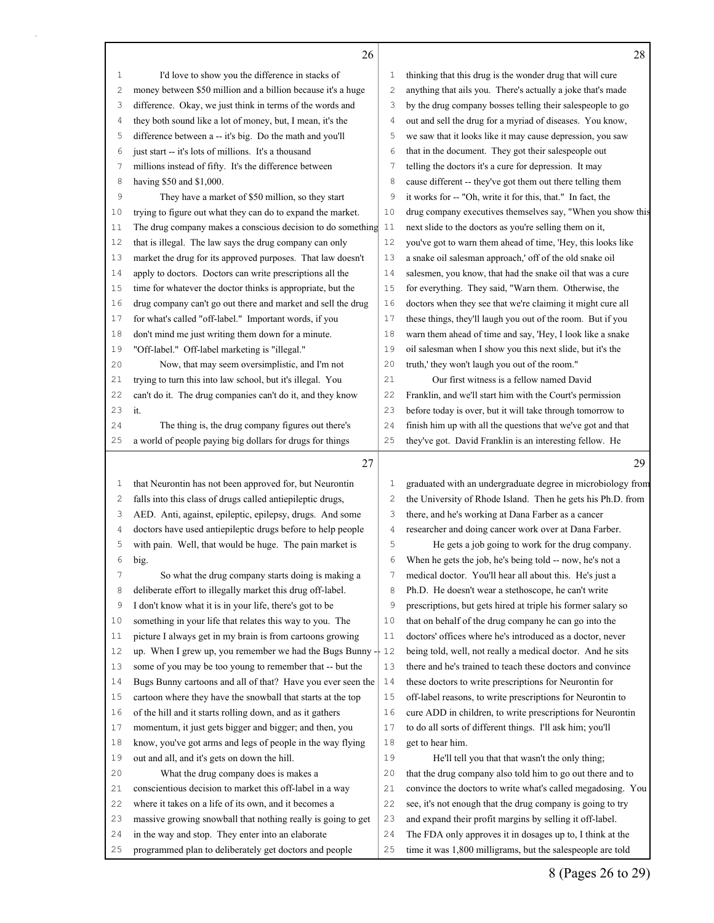I'd love to show you the difference in stacks of

| 2              | money between \$50 million and a billion because it's a huge | $\mathbf{2}$   | anything that ails you. There's actually a joke that's made  |
|----------------|--------------------------------------------------------------|----------------|--------------------------------------------------------------|
| 3              | difference. Okay, we just think in terms of the words and    |                | by the drug company bosses telling their salespeople to go   |
| $\overline{4}$ | they both sound like a lot of money, but, I mean, it's the   | $\overline{4}$ | out and sell the drug for a myriad of diseases. You know,    |
| 5              | difference between a -- it's big. Do the math and you'll     | 5              | we saw that it looks like it may cause depression, you saw   |
| 6              | just start -- it's lots of millions. It's a thousand         | 6              | that in the document. They got their salespeople out         |
| 7              | millions instead of fifty. It's the difference between       | 7              | telling the doctors it's a cure for depression. It may       |
| 8              | having \$50 and \$1,000.                                     | 8              | cause different -- they've got them out there telling them   |
| 9              | They have a market of \$50 million, so they start            | 9              | it works for -- "Oh, write it for this, that." In fact, the  |
| 10             | trying to figure out what they can do to expand the market.  | 10             | drug company executives themselves say, "When you show this  |
| 11             | The drug company makes a conscious decision to do something  | 11             | next slide to the doctors as you're selling them on it,      |
| 12             | that is illegal. The law says the drug company can only      | 12             | you've got to warn them ahead of time, 'Hey, this looks like |
| 13             | market the drug for its approved purposes. That law doesn't  | 13             | a snake oil salesman approach,' off of the old snake oil     |
| 14             | apply to doctors. Doctors can write prescriptions all the    | 14             | salesmen, you know, that had the snake oil that was a cure   |
| 15             | time for whatever the doctor thinks is appropriate, but the  | 15             | for everything. They said, "Warn them. Otherwise, the        |
| 16             | drug company can't go out there and market and sell the drug | 16             | doctors when they see that we're claiming it might cure all  |
| 17             | for what's called "off-label." Important words, if you       | 17             | these things, they'll laugh you out of the room. But if you  |
| 18             | don't mind me just writing them down for a minute.           | 18             | warn them ahead of time and say, 'Hey, I look like a snake   |
| 19             | "Off-label." Off-label marketing is "illegal."               | 19             | oil salesman when I show you this next slide, but it's the   |
| 20             | Now, that may seem oversimplistic, and I'm not               | 20             | truth,' they won't laugh you out of the room."               |
| 21             | trying to turn this into law school, but it's illegal. You   | 21             | Our first witness is a fellow named David                    |
| 22             | can't do it. The drug companies can't do it, and they know   | 22             | Franklin, and we'll start him with the Court's permission    |
| 23             | it.                                                          | 23             | before today is over, but it will take through tomorrow to   |
| 24             | The thing is, the drug company figures out there's           | 24             | finish him up with all the questions that we've got and that |
| 25             | a world of people paying big dollars for drugs for things    | 25             | they've got. David Franklin is an interesting fellow. He     |
|                |                                                              |                | 29                                                           |
|                |                                                              |                |                                                              |
|                | 27                                                           |                |                                                              |
| 1              | that Neurontin has not been approved for, but Neurontin      | $\mathbf 1$    | graduated with an undergraduate degree in microbiology from  |
| $\mathbf{2}$   | falls into this class of drugs called antiepileptic drugs,   | $\mathbf{2}$   | the University of Rhode Island. Then he gets his Ph.D. from  |
| 3              | AED. Anti, against, epileptic, epilepsy, drugs. And some     | 3              | there, and he's working at Dana Farber as a cancer           |
| 4              | doctors have used antiepileptic drugs before to help people  | $\sqrt{4}$     | researcher and doing cancer work over at Dana Farber.        |
| 5              | with pain. Well, that would be huge. The pain market is      | 5              | He gets a job going to work for the drug company.            |
| 6              | big.                                                         | 6              | When he gets the job, he's being told -- now, he's not a     |
| 7              | So what the drug company starts doing is making a            | 7              | medical doctor. You'll hear all about this. He's just a      |
| 8              | deliberate effort to illegally market this drug off-label.   | 8              | Ph.D. He doesn't wear a stethoscope, he can't write          |
| 9              | I don't know what it is in your life, there's got to be      | 9              | prescriptions, but gets hired at triple his former salary so |
| 10             | something in your life that relates this way to you. The     | 10             | that on behalf of the drug company he can go into the        |
| 11             | picture I always get in my brain is from cartoons growing    | 11             | doctors' offices where he's introduced as a doctor, never    |
| 12             | up. When I grew up, you remember we had the Bugs Bunny -     | 12             | being told, well, not really a medical doctor. And he sits   |
| 13             | some of you may be too young to remember that -- but the     | 13             | there and he's trained to teach these doctors and convince   |
| 14             | Bugs Bunny cartoons and all of that? Have you ever seen the  | 14             | these doctors to write prescriptions for Neurontin for       |
| 15             | cartoon where they have the snowball that starts at the top  | 15             | off-label reasons, to write prescriptions for Neurontin to   |
| 16             | of the hill and it starts rolling down, and as it gathers    | 16             | cure ADD in children, to write prescriptions for Neurontin   |
| 17             | momentum, it just gets bigger and bigger; and then, you      | 17             | to do all sorts of different things. I'll ask him; you'll    |
| 18             | know, you've got arms and legs of people in the way flying   | 18             | get to hear him.                                             |
| 19             | out and all, and it's gets on down the hill.                 | 19             | He'll tell you that that wasn't the only thing;              |
| 20             | What the drug company does is makes a                        | 20             | that the drug company also told him to go out there and to   |
| 21             | conscientious decision to market this off-label in a way     | 21             | convince the doctors to write what's called megadosing. You  |
| 22             | where it takes on a life of its own, and it becomes a        | 22             | see, it's not enough that the drug company is going to try   |
| 23             | massive growing snowball that nothing really is going to get | 23             | and expand their profit margins by selling it off-label.     |
| 24             | in the way and stop. They enter into an elaborate            | 24             | The FDA only approves it in dosages up to, I think at the    |

## 

thinking that this drug is the wonder drug that will cure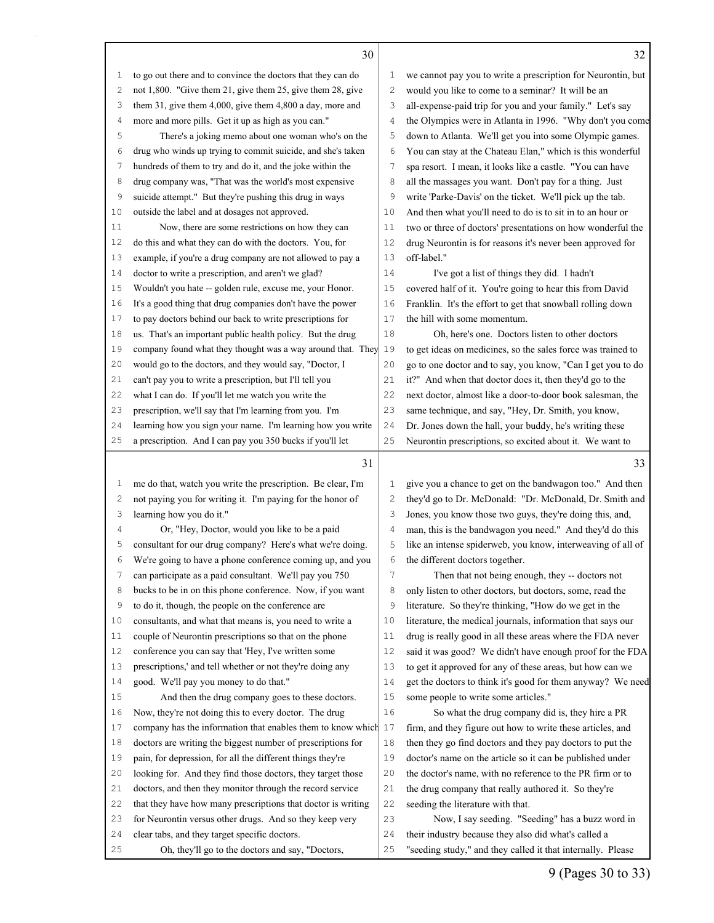| ٠<br>I |  |
|--------|--|
|        |  |
| i,     |  |
|        |  |

|             | 30                                                                                         |                | 32                                                                                      |
|-------------|--------------------------------------------------------------------------------------------|----------------|-----------------------------------------------------------------------------------------|
| 1           | to go out there and to convince the doctors that they can do                               | 1              | we cannot pay you to write a prescription for Neurontin, but                            |
| 2           | not 1,800. "Give them 21, give them 25, give them 28, give                                 | $\mathbf{2}$   | would you like to come to a seminar? It will be an                                      |
| 3           | them 31, give them 4,000, give them 4,800 a day, more and                                  | 3              | all-expense-paid trip for you and your family." Let's say                               |
| 4           | more and more pills. Get it up as high as you can."                                        | $\overline{4}$ | the Olympics were in Atlanta in 1996. "Why don't you come                               |
| 5           | There's a joking memo about one woman who's on the                                         | 5              | down to Atlanta. We'll get you into some Olympic games.                                 |
| 6           | drug who winds up trying to commit suicide, and she's taken                                | 6              | You can stay at the Chateau Elan," which is this wonderful                              |
| 7           | hundreds of them to try and do it, and the joke within the                                 | 7              | spa resort. I mean, it looks like a castle. "You can have                               |
| 8           | drug company was, "That was the world's most expensive                                     | 8              | all the massages you want. Don't pay for a thing. Just                                  |
| 9           | suicide attempt." But they're pushing this drug in ways                                    | 9              | write 'Parke-Davis' on the ticket. We'll pick up the tab.                               |
| 10          | outside the label and at dosages not approved.                                             | 10             | And then what you'll need to do is to sit in to an hour or                              |
| 11          | Now, there are some restrictions on how they can                                           | 11             | two or three of doctors' presentations on how wonderful the                             |
| 12          | do this and what they can do with the doctors. You, for                                    | 12             | drug Neurontin is for reasons it's never been approved for                              |
| 13          | example, if you're a drug company are not allowed to pay a                                 | 13             | off-label."                                                                             |
| 14          | doctor to write a prescription, and aren't we glad?                                        | 14             | I've got a list of things they did. I hadn't                                            |
| 15          | Wouldn't you hate -- golden rule, excuse me, your Honor.                                   | 15             | covered half of it. You're going to hear this from David                                |
| 16          | It's a good thing that drug companies don't have the power                                 | 16             | Franklin. It's the effort to get that snowball rolling down                             |
| 17          | to pay doctors behind our back to write prescriptions for                                  | 17             | the hill with some momentum.                                                            |
| 18          | us. That's an important public health policy. But the drug                                 | 18             | Oh, here's one. Doctors listen to other doctors                                         |
| 19          | company found what they thought was a way around that. They                                | 19             | to get ideas on medicines, so the sales force was trained to                            |
| 20          | would go to the doctors, and they would say, "Doctor, I                                    | 20             | go to one doctor and to say, you know, "Can I get you to do                             |
| 21          | can't pay you to write a prescription, but I'll tell you                                   | 21             | it?" And when that doctor does it, then they'd go to the                                |
| 22          | what I can do. If you'll let me watch you write the                                        | 22             | next doctor, almost like a door-to-door book salesman, the                              |
| 23          | prescription, we'll say that I'm learning from you. I'm                                    | 23             | same technique, and say, "Hey, Dr. Smith, you know,                                     |
| 24          | learning how you sign your name. I'm learning how you write                                | 24             | Dr. Jones down the hall, your buddy, he's writing these                                 |
| 25          | a prescription. And I can pay you 350 bucks if you'll let                                  | 25             | Neurontin prescriptions, so excited about it. We want to                                |
|             | 31                                                                                         |                | 33                                                                                      |
| $\mathbf 1$ | me do that, watch you write the prescription. Be clear, I'm                                | 1              | give you a chance to get on the bandwagon too." And then                                |
| 2           | not paying you for writing it. I'm paying for the honor of                                 | $\overline{c}$ | they'd go to Dr. McDonald: "Dr. McDonald, Dr. Smith and                                 |
| 3           | learning how you do it."                                                                   | 3              | Jones, you know those two guys, they're doing this, and,                                |
| 4           | Or, "Hey, Doctor, would you like to be a paid                                              | $\overline{4}$ | man, this is the bandwagon you need." And they'd do this                                |
| 5           | consultant for our drug company? Here's what we're doing.                                  | 5              | like an intense spiderweb, you know, interweaving of all of                             |
| 6           | We're going to have a phone conference coming up, and you                                  | 6              | the different doctors together.                                                         |
| 7           | can participate as a paid consultant. We'll pay you 750                                    | 7              | Then that not being enough, they -- doctors not                                         |
| 8           | bucks to be in on this phone conference. Now, if you want                                  | 8              | only listen to other doctors, but doctors, some, read the                               |
| 9           | to do it, though, the people on the conference are                                         | 9              | literature. So they're thinking, "How do we get in the                                  |
| 10          | consultants, and what that means is, you need to write a                                   | 10             | literature, the medical journals, information that says our                             |
| 11          | couple of Neurontin prescriptions so that on the phone                                     | 11             | drug is really good in all these areas where the FDA never                              |
| 12          | conference you can say that 'Hey, I've written some                                        | 12             | said it was good? We didn't have enough proof for the FDA                               |
| 13          | prescriptions,' and tell whether or not they're doing any                                  | 13             | to get it approved for any of these areas, but how can we                               |
| 14<br>15    | good. We'll pay you money to do that."<br>And then the drug company goes to these doctors. | 14<br>15       | get the doctors to think it's good for them anyway? We need                             |
| 16          | Now, they're not doing this to every doctor. The drug                                      | 16             | some people to write some articles."<br>So what the drug company did is, they hire a PR |
| 17          | company has the information that enables them to know which 17                             |                | firm, and they figure out how to write these articles, and                              |
| 18          | doctors are writing the biggest number of prescriptions for                                | 18             | then they go find doctors and they pay doctors to put the                               |
| 19          | pain, for depression, for all the different things they're                                 | 19             | doctor's name on the article so it can be published under                               |
| 20          | looking for. And they find those doctors, they target those                                | 20             | the doctor's name, with no reference to the PR firm or to                               |
| 21          | doctors, and then they monitor through the record service                                  | 21             | the drug company that really authored it. So they're                                    |
| 22          | that they have how many prescriptions that doctor is writing                               | 22             | seeding the literature with that.                                                       |
| 23          | for Neurontin versus other drugs. And so they keep very                                    | 23             | Now, I say seeding. "Seeding" has a buzz word in                                        |
| 24          | clear tabs, and they target specific doctors.                                              | 24             | their industry because they also did what's called a                                    |
|             |                                                                                            |                |                                                                                         |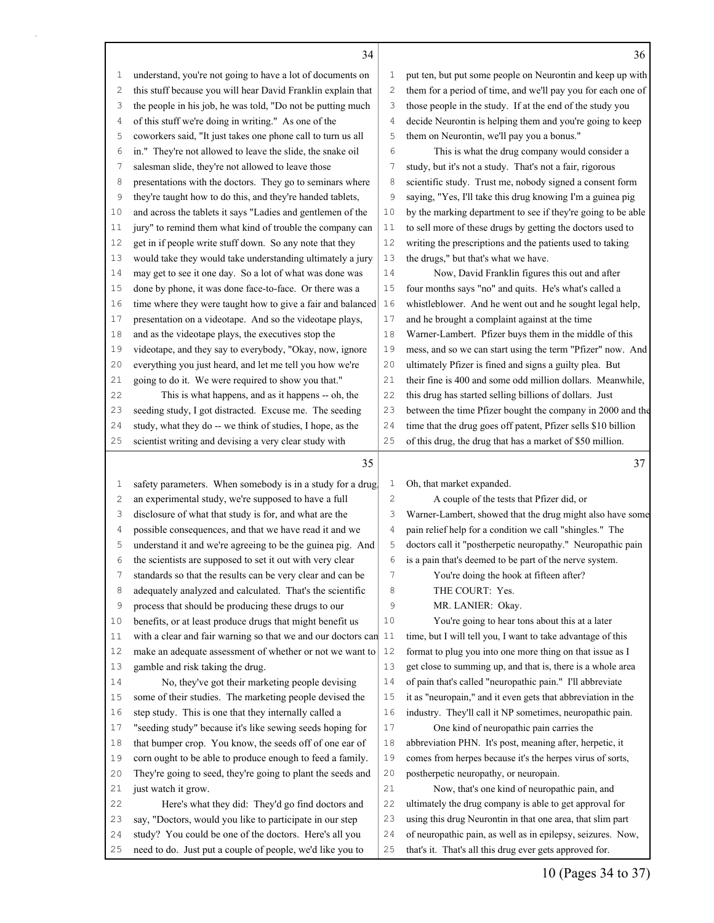time that the drug goes off patent, Pfizer sells \$10 billion

 understand, you're not going to have a lot of documents on this stuff because you will hear David Franklin explain that the people in his job, he was told, "Do not be putting much of this stuff we're doing in writing." As one of the coworkers said, "It just takes one phone call to turn us all in." They're not allowed to leave the slide, the snake oil salesman slide, they're not allowed to leave those

 presentations with the doctors. They go to seminars where they're taught how to do this, and they're handed tablets, and across the tablets it says "Ladies and gentlemen of the jury" to remind them what kind of trouble the company can get in if people write stuff down. So any note that they would take they would take understanding ultimately a jury may get to see it one day. So a lot of what was done was done by phone, it was done face-to-face. Or there was a time where they were taught how to give a fair and balanced presentation on a videotape. And so the videotape plays, and as the videotape plays, the executives stop the videotape, and they say to everybody, "Okay, now, ignore everything you just heard, and let me tell you how we're going to do it. We were required to show you that." This is what happens, and as it happens -- oh, the seeding study, I got distracted. Excuse me. The seeding study, what they do -- we think of studies, I hope, as the

|    | 36                                                           |
|----|--------------------------------------------------------------|
| 1  | put ten, but put some people on Neurontin and keep up with   |
| 2  | them for a period of time, and we'll pay you for each one of |
| 3  | those people in the study. If at the end of the study you    |
| 4  | decide Neurontin is helping them and you're going to keep    |
| 5  | them on Neurontin, we'll pay you a bonus."                   |
| 6  | This is what the drug company would consider a               |
| 7  | study, but it's not a study. That's not a fair, rigorous     |
| 8  | scientific study. Trust me, nobody signed a consent form     |
| 9  | saying, "Yes, I'll take this drug knowing I'm a guinea pig   |
| 10 | by the marking department to see if they're going to be able |
| 11 | to sell more of these drugs by getting the doctors used to   |
| 12 | writing the prescriptions and the patients used to taking    |
| 13 | the drugs," but that's what we have.                         |
| 14 | Now, David Franklin figures this out and after               |
| 15 | four months says "no" and quits. He's what's called a        |
| 16 | whistleblower. And he went out and he sought legal help,     |
| 17 | and he brought a complaint against at the time               |
| 18 | Warner-Lambert. Pfizer buys them in the middle of this       |
| 19 | mess, and so we can start using the term "Pfizer" now. And   |
| 20 | ultimately Pfizer is fined and signs a guilty plea. But      |
| 21 | their fine is 400 and some odd million dollars. Meanwhile,   |
| 22 | this drug has started selling billions of dollars. Just      |
| 23 | between the time Pfizer bought the company in 2000 and the   |

 scientist writing and devising a very clear study with safety parameters. When somebody is in a study for a drug, an experimental study, we're supposed to have a full disclosure of what that study is for, and what are the possible consequences, and that we have read it and we understand it and we're agreeing to be the guinea pig. And the scientists are supposed to set it out with very clear standards so that the results can be very clear and can be 8 adequately analyzed and calculated. That's the scientific process that should be producing these drugs to our benefits, or at least produce drugs that might benefit us with a clear and fair warning so that we and our doctors can make an adequate assessment of whether or not we want to gamble and risk taking the drug. No, they've got their marketing people devising some of their studies. The marketing people devised the step study. This is one that they internally called a "seeding study" because it's like sewing seeds hoping for that bumper crop. You know, the seeds off of one ear of corn ought to be able to produce enough to feed a family. They're going to seed, they're going to plant the seeds and just watch it grow. Here's what they did: They'd go find doctors and say, "Doctors, would you like to participate in our step study? You could be one of the doctors. Here's all you need to do. Just put a couple of people, we'd like you to of this drug, the drug that has a market of \$50 million. Oh, that market expanded. A couple of the tests that Pfizer did, or Warner-Lambert, showed that the drug might also have some pain relief help for a condition we call "shingles." The doctors call it "postherpetic neuropathy." Neuropathic pain is a pain that's deemed to be part of the nerve system. You're doing the hook at fifteen after? 8 THE COURT: Yes. MR. LANIER: Okay. You're going to hear tons about this at a later time, but I will tell you, I want to take advantage of this format to plug you into one more thing on that issue as I get close to summing up, and that is, there is a whole area of pain that's called "neuropathic pain." I'll abbreviate it as "neuropain," and it even gets that abbreviation in the industry. They'll call it NP sometimes, neuropathic pain. One kind of neuropathic pain carries the abbreviation PHN. It's post, meaning after, herpetic, it comes from herpes because it's the herpes virus of sorts, postherpetic neuropathy, or neuropain. Now, that's one kind of neuropathic pain, and ultimately the drug company is able to get approval for using this drug Neurontin in that one area, that slim part of neuropathic pain, as well as in epilepsy, seizures. Now, that's it. That's all this drug ever gets approved for.

## 10 (Pages 34 to 37)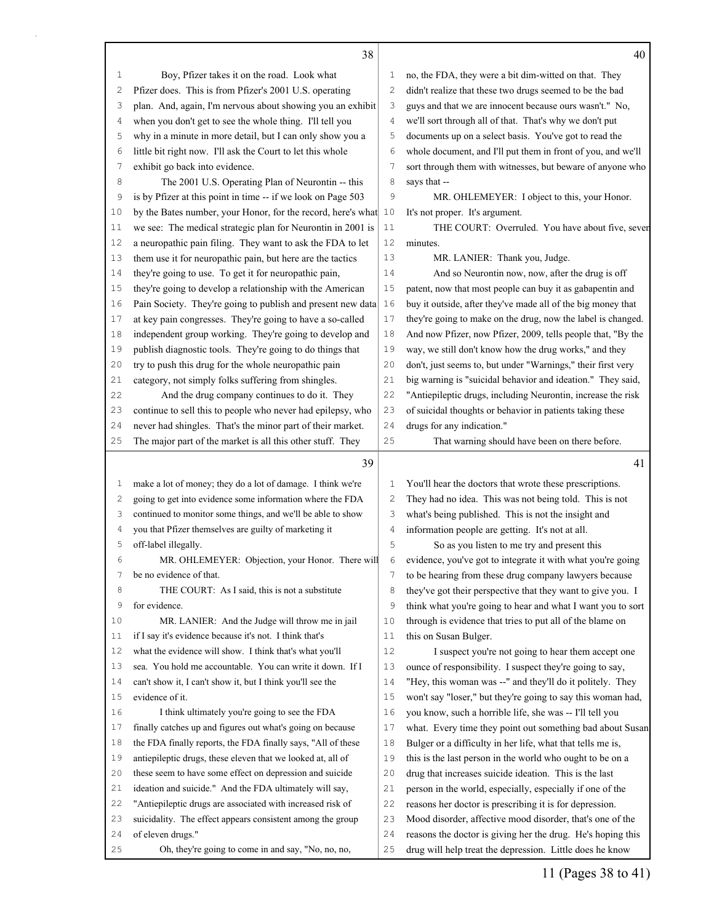|    | 38                                                           |                | 40                                                                                                                     |
|----|--------------------------------------------------------------|----------------|------------------------------------------------------------------------------------------------------------------------|
| 1  | Boy, Pfizer takes it on the road. Look what                  | 1              | no, the FDA, they were a bit dim-witted on that. They                                                                  |
| 2  | Pfizer does. This is from Pfizer's 2001 U.S. operating       | 2              | didn't realize that these two drugs seemed to be the bad                                                               |
| З  | plan. And, again, I'm nervous about showing you an exhibit   | 3              | guys and that we are innocent because ours wasn't." No,                                                                |
| 4  | when you don't get to see the whole thing. I'll tell you     | 4              | we'll sort through all of that. That's why we don't put                                                                |
| 5  | why in a minute in more detail, but I can only show you a    | 5              | documents up on a select basis. You've got to read the                                                                 |
| 6  | little bit right now. I'll ask the Court to let this whole   | 6              | whole document, and I'll put them in front of you, and we'll                                                           |
| 7  | exhibit go back into evidence.                               | 7              | sort through them with witnesses, but beware of anyone who                                                             |
| 8  | The 2001 U.S. Operating Plan of Neurontin -- this            | 8              | says that --                                                                                                           |
| 9  | is by Pfizer at this point in time -- if we look on Page 503 | 9              | MR. OHLEMEYER: I object to this, your Honor.                                                                           |
| 10 | by the Bates number, your Honor, for the record, here's what | 10             | It's not proper. It's argument.                                                                                        |
| 11 | we see: The medical strategic plan for Neurontin in 2001 is  | 11             | THE COURT: Overruled. You have about five, seven                                                                       |
| 12 | a neuropathic pain filing. They want to ask the FDA to let   | 12             | minutes.                                                                                                               |
| 13 | them use it for neuropathic pain, but here are the tactics   | 13             | MR. LANIER: Thank you, Judge.                                                                                          |
| 14 | they're going to use. To get it for neuropathic pain,        | 14             | And so Neurontin now, now, after the drug is off                                                                       |
| 15 | they're going to develop a relationship with the American    | 15             | patent, now that most people can buy it as gabapentin and                                                              |
| 16 | Pain Society. They're going to publish and present new data  | 16             | buy it outside, after they've made all of the big money that                                                           |
| 17 | at key pain congresses. They're going to have a so-called    | 17             | they're going to make on the drug, now the label is changed.                                                           |
| 18 | independent group working. They're going to develop and      | 18             | And now Pfizer, now Pfizer, 2009, tells people that, "By the                                                           |
| 19 | publish diagnostic tools. They're going to do things that    | 19             | way, we still don't know how the drug works," and they                                                                 |
| 20 | try to push this drug for the whole neuropathic pain         | 20             | don't, just seems to, but under "Warnings," their first very                                                           |
| 21 | category, not simply folks suffering from shingles.          | 21             | big warning is "suicidal behavior and ideation." They said,                                                            |
| 22 | And the drug company continues to do it. They                | 22             | "Antiepileptic drugs, including Neurontin, increase the risk                                                           |
| 23 | continue to sell this to people who never had epilepsy, who  | 23             | of suicidal thoughts or behavior in patients taking these                                                              |
| 24 | never had shingles. That's the minor part of their market.   | 24             | drugs for any indication."                                                                                             |
| 25 | The major part of the market is all this other stuff. They   | 25             | That warning should have been on there before.                                                                         |
|    |                                                              |                |                                                                                                                        |
|    |                                                              |                |                                                                                                                        |
|    | 39                                                           |                | 41                                                                                                                     |
| 1  | make a lot of money; they do a lot of damage. I think we're  | 1              | You'll hear the doctors that wrote these prescriptions.                                                                |
| 2  | going to get into evidence some information where the FDA    | $\mathbf{2}$   | They had no idea. This was not being told. This is not                                                                 |
| 3  | continued to monitor some things, and we'll be able to show  | 3              | what's being published. This is not the insight and                                                                    |
| 4  | you that Pfizer themselves are guilty of marketing it        | $\overline{4}$ | information people are getting. It's not at all.                                                                       |
| 5  | off-label illegally.                                         | 5              | So as you listen to me try and present this                                                                            |
| 6  | MR. OHLEMEYER: Objection, your Honor. There will             | 6              | evidence, you've got to integrate it with what you're going                                                            |
| 7  | be no evidence of that.                                      | 7              | to be hearing from these drug company lawyers because                                                                  |
| 8  | THE COURT: As I said, this is not a substitute               | 8              | they've got their perspective that they want to give you. I                                                            |
| 9  | for evidence.                                                | 9              | think what you're going to hear and what I want you to sort                                                            |
| 10 | MR. LANIER: And the Judge will throw me in jail              | 10             | through is evidence that tries to put all of the blame on                                                              |
| 11 | if I say it's evidence because it's not. I think that's      | 11             | this on Susan Bulger.                                                                                                  |
| 12 | what the evidence will show. I think that's what you'll      | 12             | I suspect you're not going to hear them accept one                                                                     |
| 13 | sea. You hold me accountable. You can write it down. If I    | 13             | ounce of responsibility. I suspect they're going to say,                                                               |
| 14 | can't show it, I can't show it, but I think you'll see the   | 14             | "Hey, this woman was --" and they'll do it politely. They                                                              |
| 15 | evidence of it.                                              | 15             | won't say "loser," but they're going to say this woman had,                                                            |
| 16 | I think ultimately you're going to see the FDA               | 16             | you know, such a horrible life, she was -- I'll tell you                                                               |
| 17 | finally catches up and figures out what's going on because   | 17             |                                                                                                                        |
| 18 | the FDA finally reports, the FDA finally says, "All of these | 18             | Bulger or a difficulty in her life, what that tells me is,                                                             |
| 19 | antiepileptic drugs, these eleven that we looked at, all of  | 19             | this is the last person in the world who ought to be on a                                                              |
| 20 | these seem to have some effect on depression and suicide     | 20             | drug that increases suicide ideation. This is the last                                                                 |
| 21 | ideation and suicide." And the FDA ultimately will say,      | 21             | what. Every time they point out something bad about Susan<br>person in the world, especially, especially if one of the |
| 22 | "Antiepileptic drugs are associated with increased risk of   | 22             | reasons her doctor is prescribing it is for depression.                                                                |
| 23 | suicidality. The effect appears consistent among the group   | 23             | Mood disorder, affective mood disorder, that's one of the                                                              |
| 24 | of eleven drugs."                                            | 24             | reasons the doctor is giving her the drug. He's hoping this                                                            |

11 (Pages 38 to 41)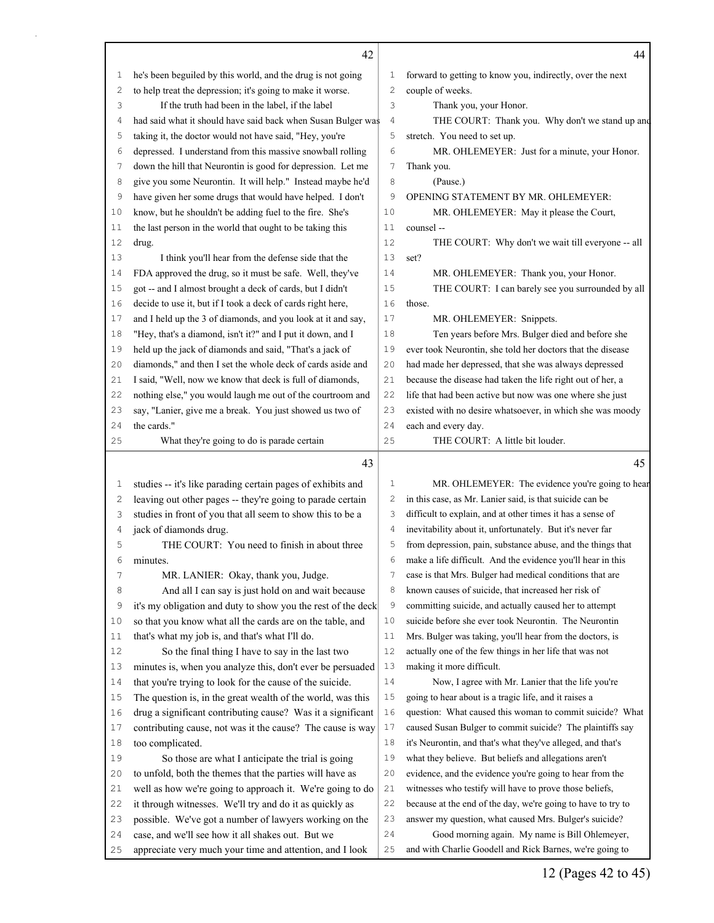|          | 42                                                                                                            |                | 44                                                                                                         |
|----------|---------------------------------------------------------------------------------------------------------------|----------------|------------------------------------------------------------------------------------------------------------|
| 1        | he's been beguiled by this world, and the drug is not going                                                   | 1              | forward to getting to know you, indirectly, over the next                                                  |
| 2        | to help treat the depression; it's going to make it worse.                                                    | $\overline{c}$ | couple of weeks.                                                                                           |
| 3        | If the truth had been in the label, if the label                                                              | 3              | Thank you, your Honor.                                                                                     |
| 4        | had said what it should have said back when Susan Bulger was                                                  | $\overline{4}$ | THE COURT: Thank you. Why don't we stand up and                                                            |
| 5        | taking it, the doctor would not have said, "Hey, you're                                                       | 5              | stretch. You need to set up.                                                                               |
| 6        | depressed. I understand from this massive snowball rolling                                                    | 6              | MR. OHLEMEYER: Just for a minute, your Honor.                                                              |
| 7        | down the hill that Neurontin is good for depression. Let me                                                   | $\overline{7}$ | Thank you.                                                                                                 |
| 8        | give you some Neurontin. It will help." Instead maybe he'd                                                    | 8              | (Pause.)                                                                                                   |
| 9        | have given her some drugs that would have helped. I don't                                                     | 9              | OPENING STATEMENT BY MR. OHLEMEYER:                                                                        |
| 10       | know, but he shouldn't be adding fuel to the fire. She's                                                      | 10             | MR. OHLEMEYER: May it please the Court,                                                                    |
| 11       | the last person in the world that ought to be taking this                                                     | 11             | counsel --                                                                                                 |
| 12       | drug.                                                                                                         | 12             | THE COURT: Why don't we wait till everyone -- all                                                          |
| 13       | I think you'll hear from the defense side that the                                                            | 13             | set?                                                                                                       |
| 14       | FDA approved the drug, so it must be safe. Well, they've                                                      | 14             | MR. OHLEMEYER: Thank you, your Honor.                                                                      |
| 15       | got -- and I almost brought a deck of cards, but I didn't                                                     | 15             | THE COURT: I can barely see you surrounded by all                                                          |
| 16       | decide to use it, but if I took a deck of cards right here,                                                   | 16             | those.                                                                                                     |
| 17       | and I held up the 3 of diamonds, and you look at it and say,                                                  | 17             | MR. OHLEMEYER: Snippets.                                                                                   |
| 18       | "Hey, that's a diamond, isn't it?" and I put it down, and I                                                   | 18             | Ten years before Mrs. Bulger died and before she                                                           |
| 19       | held up the jack of diamonds and said, "That's a jack of                                                      | 19             | ever took Neurontin, she told her doctors that the disease                                                 |
| 20       | diamonds," and then I set the whole deck of cards aside and                                                   | 20             | had made her depressed, that she was always depressed                                                      |
| 21       | I said, "Well, now we know that deck is full of diamonds,                                                     | 21             | because the disease had taken the life right out of her, a                                                 |
| 22       | nothing else," you would laugh me out of the courtroom and                                                    | 22             | life that had been active but now was one where she just                                                   |
| 23       | say, "Lanier, give me a break. You just showed us two of                                                      | 23             | existed with no desire whatsoever, in which she was moody                                                  |
| 24       | the cards."                                                                                                   | 24             | each and every day.                                                                                        |
| 25       | What they're going to do is parade certain                                                                    | 25             | THE COURT: A little bit louder.                                                                            |
|          | 43                                                                                                            |                | 45                                                                                                         |
| 1        | studies -- it's like parading certain pages of exhibits and                                                   | $\mathbf 1$    | MR. OHLEMEYER: The evidence you're going to hear                                                           |
| 2        | leaving out other pages -- they're going to parade certain                                                    | $\overline{c}$ | in this case, as Mr. Lanier said, is that suicide can be                                                   |
| 3        | studies in front of you that all seem to show this to be a                                                    | 3              | difficult to explain, and at other times it has a sense of                                                 |
| 4        | jack of diamonds drug.                                                                                        | $\overline{4}$ | inevitability about it, unfortunately. But it's never far                                                  |
| 5        | THE COURT: You need to finish in about three                                                                  | 5              | from depression, pain, substance abuse, and the things that                                                |
| 6        | minutes.                                                                                                      | 6              | make a life difficult. And the evidence you'll hear in this                                                |
| 7        | MR. LANIER: Okay, thank you, Judge.                                                                           | 7              | case is that Mrs. Bulger had medical conditions that are                                                   |
| 8        | And all I can say is just hold on and wait because                                                            | 8              | known causes of suicide, that increased her risk of                                                        |
| 9        | it's my obligation and duty to show you the rest of the deck                                                  | 9              | committing suicide, and actually caused her to attempt                                                     |
| 10       | so that you know what all the cards are on the table, and                                                     | 10             | suicide before she ever took Neurontin. The Neurontin                                                      |
| 11       | that's what my job is, and that's what I'll do.                                                               | 11             | Mrs. Bulger was taking, you'll hear from the doctors, is                                                   |
| 12       | So the final thing I have to say in the last two                                                              | 12             | actually one of the few things in her life that was not                                                    |
| 13       | minutes is, when you analyze this, don't ever be persuaded                                                    | 13             | making it more difficult.                                                                                  |
| 14       | that you're trying to look for the cause of the suicide.                                                      | 14             | Now, I agree with Mr. Lanier that the life you're                                                          |
| 15       | The question is, in the great wealth of the world, was this                                                   | 15             | going to hear about is a tragic life, and it raises a                                                      |
| 16       |                                                                                                               |                |                                                                                                            |
|          | drug a significant contributing cause? Was it a significant                                                   | 16             | question: What caused this woman to commit suicide? What                                                   |
| 17       | contributing cause, not was it the cause? The cause is way                                                    | 17             | caused Susan Bulger to commit suicide? The plaintiffs say                                                  |
| 18       | too complicated.                                                                                              | 18             | it's Neurontin, and that's what they've alleged, and that's                                                |
| 19       | So those are what I anticipate the trial is going                                                             | 19             | what they believe. But beliefs and allegations aren't                                                      |
| 20       | to unfold, both the themes that the parties will have as                                                      | 20             | evidence, and the evidence you're going to hear from the                                                   |
| 21       | well as how we're going to approach it. We're going to do                                                     | 21             | witnesses who testify will have to prove those beliefs,                                                    |
| 22       | it through witnesses. We'll try and do it as quickly as                                                       | 22             | because at the end of the day, we're going to have to try to                                               |
| 23       | possible. We've got a number of lawyers working on the                                                        | 23             | answer my question, what caused Mrs. Bulger's suicide?                                                     |
| 24<br>25 | case, and we'll see how it all shakes out. But we<br>appreciate very much your time and attention, and I look | 24<br>25       | Good morning again. My name is Bill Ohlemeyer,<br>and with Charlie Goodell and Rick Barnes, we're going to |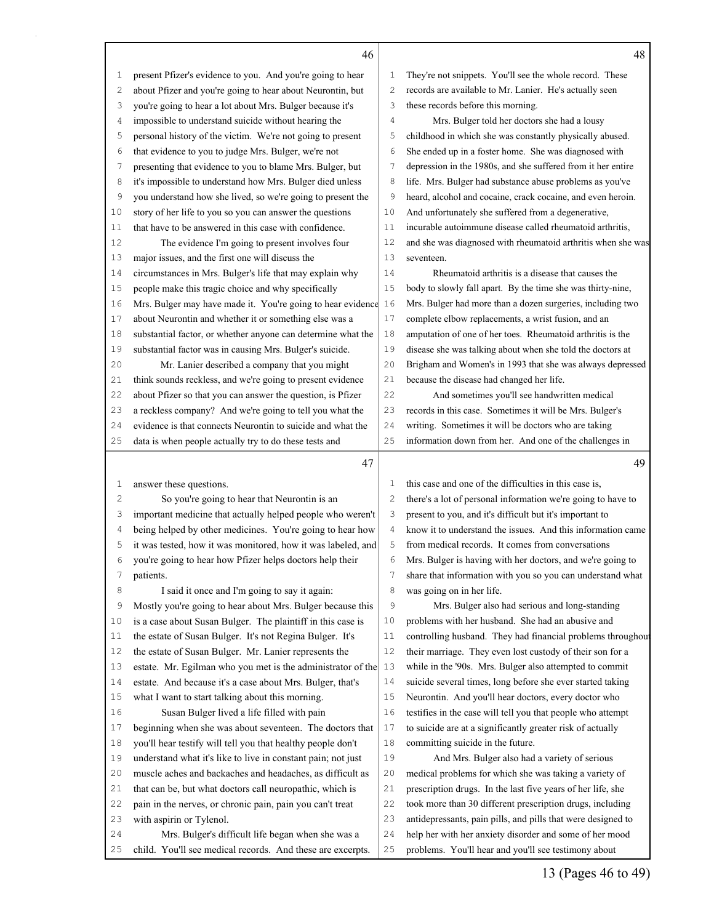|              | 46                                                                                                              |          | 48                                                                                                              |
|--------------|-----------------------------------------------------------------------------------------------------------------|----------|-----------------------------------------------------------------------------------------------------------------|
| $\mathbf{1}$ | present Pfizer's evidence to you. And you're going to hear                                                      | 1        | They're not snippets. You'll see the whole record. These                                                        |
| 2            | about Pfizer and you're going to hear about Neurontin, but                                                      | 2        | records are available to Mr. Lanier. He's actually seen                                                         |
| 3            | you're going to hear a lot about Mrs. Bulger because it's                                                       | 3        | these records before this morning.                                                                              |
| 4            | impossible to understand suicide without hearing the                                                            | 4        | Mrs. Bulger told her doctors she had a lousy                                                                    |
| 5            | personal history of the victim. We're not going to present                                                      | 5        | childhood in which she was constantly physically abused.                                                        |
| 6            | that evidence to you to judge Mrs. Bulger, we're not                                                            | 6        | She ended up in a foster home. She was diagnosed with                                                           |
| 7            | presenting that evidence to you to blame Mrs. Bulger, but                                                       | 7        | depression in the 1980s, and she suffered from it her entire                                                    |
| 8            | it's impossible to understand how Mrs. Bulger died unless                                                       | 8        | life. Mrs. Bulger had substance abuse problems as you've                                                        |
| 9            | you understand how she lived, so we're going to present the                                                     | 9        | heard, alcohol and cocaine, crack cocaine, and even heroin.                                                     |
| 10           | story of her life to you so you can answer the questions                                                        | 10       | And unfortunately she suffered from a degenerative,                                                             |
| 11           | that have to be answered in this case with confidence.                                                          | 11       | incurable autoimmune disease called rheumatoid arthritis,                                                       |
| 12           | The evidence I'm going to present involves four                                                                 | 12       | and she was diagnosed with rheumatoid arthritis when she was                                                    |
| 13           | major issues, and the first one will discuss the                                                                | 13       | seventeen.                                                                                                      |
| 14           | circumstances in Mrs. Bulger's life that may explain why                                                        | 14       | Rheumatoid arthritis is a disease that causes the                                                               |
| 15           | people make this tragic choice and why specifically                                                             | 15       | body to slowly fall apart. By the time she was thirty-nine,                                                     |
| 16           | Mrs. Bulger may have made it. You're going to hear evidence 16                                                  |          | Mrs. Bulger had more than a dozen surgeries, including two                                                      |
| 17           | about Neurontin and whether it or something else was a                                                          | 17       | complete elbow replacements, a wrist fusion, and an                                                             |
| 18           | substantial factor, or whether anyone can determine what the                                                    | 18       | amputation of one of her toes. Rheumatoid arthritis is the                                                      |
| 19           | substantial factor was in causing Mrs. Bulger's suicide.                                                        | 19       | disease she was talking about when she told the doctors at                                                      |
| 20           | Mr. Lanier described a company that you might                                                                   | 20       | Brigham and Women's in 1993 that she was always depressed                                                       |
| 21           | think sounds reckless, and we're going to present evidence                                                      | 21       | because the disease had changed her life.                                                                       |
| 22           | about Pfizer so that you can answer the question, is Pfizer                                                     | 22       | And sometimes you'll see handwritten medical                                                                    |
| 23           | a reckless company? And we're going to tell you what the                                                        | 23       | records in this case. Sometimes it will be Mrs. Bulger's                                                        |
| 24           | evidence is that connects Neurontin to suicide and what the                                                     | 24       | writing. Sometimes it will be doctors who are taking                                                            |
| 25           | data is when people actually try to do these tests and                                                          | 25       | information down from her. And one of the challenges in                                                         |
|              | 47                                                                                                              |          | 49                                                                                                              |
| $\mathbf 1$  | answer these questions.                                                                                         | 1        | this case and one of the difficulties in this case is,                                                          |
| 2            | So you're going to hear that Neurontin is an                                                                    | 2        | there's a lot of personal information we're going to have to                                                    |
| 3            | important medicine that actually helped people who weren't                                                      | 3        | present to you, and it's difficult but it's important to                                                        |
| 4            | being helped by other medicines. You're going to hear how                                                       | 4        | know it to understand the issues. And this information came                                                     |
| 5            | it was tested, how it was monitored, how it was labeled, and                                                    | 5        | from medical records. It comes from conversations                                                               |
| 6            | you're going to hear how Pfizer helps doctors help their                                                        | 6        | Mrs. Bulger is having with her doctors, and we're going to                                                      |
| 7            | patients.                                                                                                       | 7        | share that information with you so you can understand what                                                      |
| 8            | I said it once and I'm going to say it again:                                                                   | 8        | was going on in her life.                                                                                       |
| 9            | Mostly you're going to hear about Mrs. Bulger because this                                                      | 9        | Mrs. Bulger also had serious and long-standing                                                                  |
| 10           | is a case about Susan Bulger. The plaintiff in this case is                                                     | 10       | problems with her husband. She had an abusive and                                                               |
| 11           | the estate of Susan Bulger. It's not Regina Bulger. It's                                                        | 11       | controlling husband. They had financial problems throughout                                                     |
| 12           | the estate of Susan Bulger. Mr. Lanier represents the                                                           | 12       | their marriage. They even lost custody of their son for a                                                       |
| 13           | estate. Mr. Egilman who you met is the administrator of the $\vert$ 13                                          |          | while in the '90s. Mrs. Bulger also attempted to commit                                                         |
| 14           | estate. And because it's a case about Mrs. Bulger, that's                                                       | 14       | suicide several times, long before she ever started taking                                                      |
| 15           | what I want to start talking about this morning.                                                                | 15       | Neurontin. And you'll hear doctors, every doctor who                                                            |
| 16           | Susan Bulger lived a life filled with pain                                                                      | 16       | testifies in the case will tell you that people who attempt                                                     |
| 17           | beginning when she was about seventeen. The doctors that                                                        | 17       | to suicide are at a significantly greater risk of actually                                                      |
| 18           | you'll hear testify will tell you that healthy people don't                                                     | 18       | committing suicide in the future.                                                                               |
| 19           | understand what it's like to live in constant pain; not just                                                    | 19       | And Mrs. Bulger also had a variety of serious                                                                   |
| 20           | muscle aches and backaches and headaches, as difficult as                                                       | 20       | medical problems for which she was taking a variety of                                                          |
| 21           | that can be, but what doctors call neuropathic, which is                                                        | 21       | prescription drugs. In the last five years of her life, she                                                     |
| 22           | pain in the nerves, or chronic pain, pain you can't treat                                                       | 22       | took more than 30 different prescription drugs, including                                                       |
|              |                                                                                                                 |          |                                                                                                                 |
| 23           | with aspirin or Tylenol.                                                                                        | 23       | antidepressants, pain pills, and pills that were designed to                                                    |
| 24<br>25     | Mrs. Bulger's difficult life began when she was a<br>child. You'll see medical records. And these are excerpts. | 24<br>25 | help her with her anxiety disorder and some of her mood<br>problems. You'll hear and you'll see testimony about |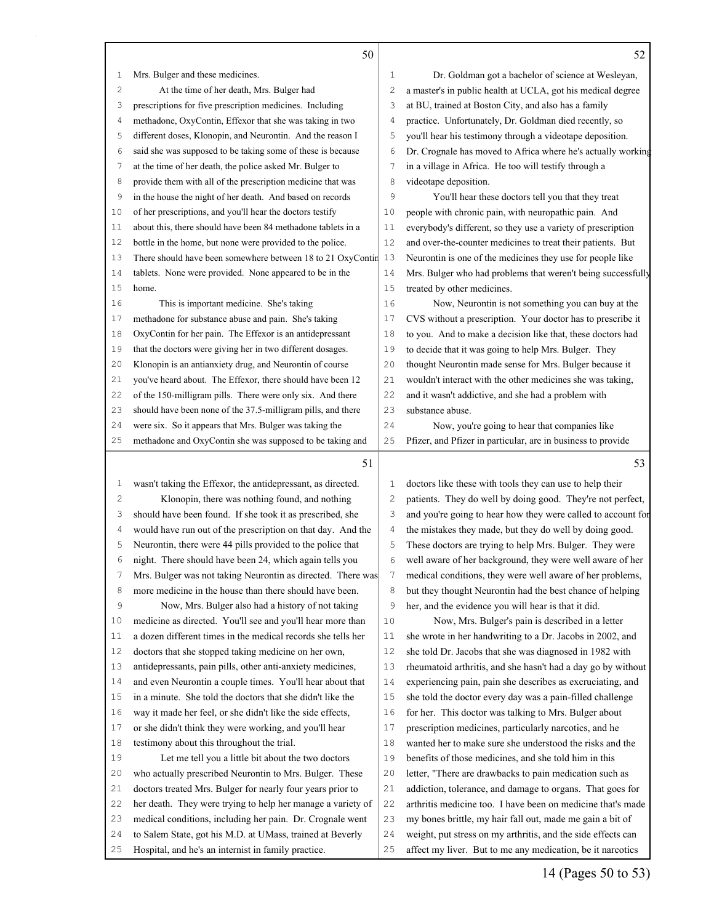|                | 50                                                                                                                     |                | 52                                                                                                                        |
|----------------|------------------------------------------------------------------------------------------------------------------------|----------------|---------------------------------------------------------------------------------------------------------------------------|
| 1              | Mrs. Bulger and these medicines.                                                                                       | 1              | Dr. Goldman got a bachelor of science at Wesleyan,                                                                        |
| 2              | At the time of her death, Mrs. Bulger had                                                                              | $\overline{c}$ | a master's in public health at UCLA, got his medical degree                                                               |
| 3              | prescriptions for five prescription medicines. Including                                                               | 3              | at BU, trained at Boston City, and also has a family                                                                      |
| 4              | methadone, OxyContin, Effexor that she was taking in two                                                               | 4              | practice. Unfortunately, Dr. Goldman died recently, so                                                                    |
| 5              | different doses, Klonopin, and Neurontin. And the reason I                                                             | 5              | you'll hear his testimony through a videotape deposition.                                                                 |
| 6              | said she was supposed to be taking some of these is because                                                            | 6              | Dr. Crognale has moved to Africa where he's actually working                                                              |
| 7              | at the time of her death, the police asked Mr. Bulger to                                                               | 7              | in a village in Africa. He too will testify through a                                                                     |
| 8              | provide them with all of the prescription medicine that was                                                            | 8              | videotape deposition.                                                                                                     |
| 9              | in the house the night of her death. And based on records                                                              | 9              | You'll hear these doctors tell you that they treat                                                                        |
| 10             | of her prescriptions, and you'll hear the doctors testify                                                              | 10             | people with chronic pain, with neuropathic pain. And                                                                      |
| 11             | about this, there should have been 84 methadone tablets in a                                                           | 11             | everybody's different, so they use a variety of prescription                                                              |
| 12             | bottle in the home, but none were provided to the police.                                                              | 12             | and over-the-counter medicines to treat their patients. But                                                               |
| 13             | There should have been somewhere between 18 to 21 OxyContin                                                            | 13             | Neurontin is one of the medicines they use for people like                                                                |
| 14             | tablets. None were provided. None appeared to be in the                                                                | 14             | Mrs. Bulger who had problems that weren't being successfully                                                              |
| 15             | home.                                                                                                                  | 15             | treated by other medicines.                                                                                               |
| 16             | This is important medicine. She's taking                                                                               | 16             | Now, Neurontin is not something you can buy at the                                                                        |
| 17             | methadone for substance abuse and pain. She's taking                                                                   | 17             | CVS without a prescription. Your doctor has to prescribe it                                                               |
| 18             | OxyContin for her pain. The Effexor is an antidepressant                                                               | 18             | to you. And to make a decision like that, these doctors had                                                               |
| 19             | that the doctors were giving her in two different dosages.                                                             | 19             | to decide that it was going to help Mrs. Bulger. They                                                                     |
| 20             | Klonopin is an antianxiety drug, and Neurontin of course                                                               | 20             | thought Neurontin made sense for Mrs. Bulger because it                                                                   |
| 21             | you've heard about. The Effexor, there should have been 12                                                             | 21             | wouldn't interact with the other medicines she was taking,                                                                |
| 22             | of the 150-milligram pills. There were only six. And there                                                             | 22             | and it wasn't addictive, and she had a problem with                                                                       |
| 23             | should have been none of the 37.5-milligram pills, and there                                                           | 23             | substance abuse.                                                                                                          |
| 24             | were six. So it appears that Mrs. Bulger was taking the                                                                | 24             | Now, you're going to hear that companies like                                                                             |
| 25             | methadone and OxyContin she was supposed to be taking and                                                              | 25             | Pfizer, and Pfizer in particular, are in business to provide                                                              |
|                | 51                                                                                                                     |                | 53                                                                                                                        |
|                |                                                                                                                        |                |                                                                                                                           |
| 1              | wasn't taking the Effexor, the antidepressant, as directed.                                                            | 1              | doctors like these with tools they can use to help their                                                                  |
| $\mathbf{2}$   | Klonopin, there was nothing found, and nothing                                                                         | $\overline{c}$ | patients. They do well by doing good. They're not perfect,                                                                |
| 3              | should have been found. If she took it as prescribed, she                                                              | 3              | and you're going to hear how they were called to account for                                                              |
| $\overline{4}$ | would have run out of the prescription on that day. And the                                                            | 4              | the mistakes they made, but they do well by doing good.                                                                   |
| 5              | Neurontin, there were 44 pills provided to the police that                                                             | 5              | These doctors are trying to help Mrs. Bulger. They were                                                                   |
| 6              | night. There should have been 24, which again tells you                                                                | 6              | well aware of her background, they were well aware of her                                                                 |
| 7              | Mrs. Bulger was not taking Neurontin as directed. There was                                                            | 7              | medical conditions, they were well aware of her problems,                                                                 |
| 8              | more medicine in the house than there should have been.                                                                | 8              | but they thought Neurontin had the best chance of helping                                                                 |
| 9              | Now, Mrs. Bulger also had a history of not taking                                                                      | 9              | her, and the evidence you will hear is that it did.                                                                       |
| 10             | medicine as directed. You'll see and you'll hear more than                                                             | 10             | Now, Mrs. Bulger's pain is described in a letter                                                                          |
| 11             | a dozen different times in the medical records she tells her                                                           | 11             | she wrote in her handwriting to a Dr. Jacobs in 2002, and                                                                 |
| 12             | doctors that she stopped taking medicine on her own,                                                                   | 12             | she told Dr. Jacobs that she was diagnosed in 1982 with                                                                   |
| 13             | antidepressants, pain pills, other anti-anxiety medicines,                                                             | 13             | rheumatoid arthritis, and she hasn't had a day go by without                                                              |
| 14             | and even Neurontin a couple times. You'll hear about that                                                              | 14             | experiencing pain, pain she describes as excruciating, and                                                                |
| 15             | in a minute. She told the doctors that she didn't like the                                                             | 15             | she told the doctor every day was a pain-filled challenge                                                                 |
| 16             | way it made her feel, or she didn't like the side effects,                                                             | 16             | for her. This doctor was talking to Mrs. Bulger about                                                                     |
| 17             | or she didn't think they were working, and you'll hear                                                                 | 17             | prescription medicines, particularly narcotics, and he                                                                    |
| 18             | testimony about this throughout the trial.                                                                             | 18             | wanted her to make sure she understood the risks and the                                                                  |
| 19             | Let me tell you a little bit about the two doctors                                                                     | 19             | benefits of those medicines, and she told him in this                                                                     |
| 20             | who actually prescribed Neurontin to Mrs. Bulger. These                                                                | 20             | letter, "There are drawbacks to pain medication such as                                                                   |
| 21             | doctors treated Mrs. Bulger for nearly four years prior to                                                             | 21             | addiction, tolerance, and damage to organs. That goes for                                                                 |
| 22             | her death. They were trying to help her manage a variety of                                                            | 22             | arthritis medicine too. I have been on medicine that's made                                                               |
| 23<br>24       | medical conditions, including her pain. Dr. Crognale went<br>to Salem State, got his M.D. at UMass, trained at Beverly | 23<br>24       | my bones brittle, my hair fall out, made me gain a bit of<br>weight, put stress on my arthritis, and the side effects can |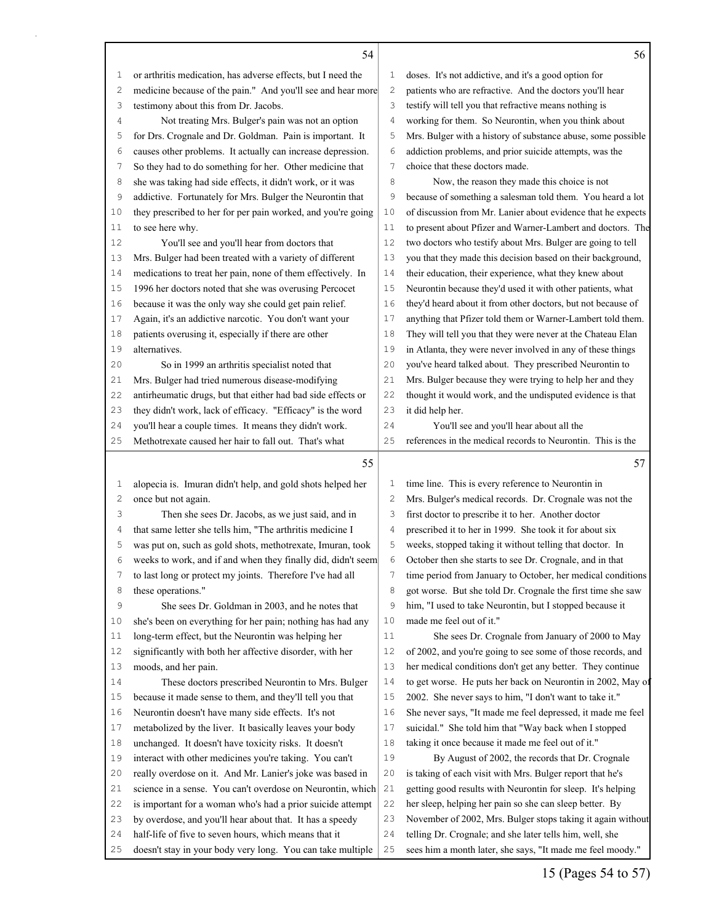|    | 54                                                           |                | 56                                                           |
|----|--------------------------------------------------------------|----------------|--------------------------------------------------------------|
| 1  | or arthritis medication, has adverse effects, but I need the | 1              | doses. It's not addictive, and it's a good option for        |
| 2  | medicine because of the pain." And you'll see and hear more  | $\mathbf{2}$   | patients who are refractive. And the doctors you'll hear     |
| 3  | testimony about this from Dr. Jacobs.                        | 3              | testify will tell you that refractive means nothing is       |
| 4  | Not treating Mrs. Bulger's pain was not an option            | $\overline{4}$ | working for them. So Neurontin, when you think about         |
| 5  | for Drs. Crognale and Dr. Goldman. Pain is important. It     | 5              | Mrs. Bulger with a history of substance abuse, some possible |
| 6  | causes other problems. It actually can increase depression.  | 6              | addiction problems, and prior suicide attempts, was the      |
| 7  | So they had to do something for her. Other medicine that     | 7              | choice that these doctors made.                              |
| 8  | she was taking had side effects, it didn't work, or it was   | 8              | Now, the reason they made this choice is not                 |
| 9  | addictive. Fortunately for Mrs. Bulger the Neurontin that    | 9              | because of something a salesman told them. You heard a lot   |
| 10 | they prescribed to her for per pain worked, and you're going | 10             | of discussion from Mr. Lanier about evidence that he expects |
| 11 | to see here why.                                             | 11             | to present about Pfizer and Warner-Lambert and doctors. The  |
| 12 | You'll see and you'll hear from doctors that                 | 12             | two doctors who testify about Mrs. Bulger are going to tell  |
| 13 | Mrs. Bulger had been treated with a variety of different     | 13             | you that they made this decision based on their background,  |
| 14 | medications to treat her pain, none of them effectively. In  | 14             | their education, their experience, what they knew about      |
| 15 | 1996 her doctors noted that she was overusing Percocet       | 15             | Neurontin because they'd used it with other patients, what   |
| 16 | because it was the only way she could get pain relief.       | 16             | they'd heard about it from other doctors, but not because of |
| 17 | Again, it's an addictive narcotic. You don't want your       | 17             | anything that Pfizer told them or Warner-Lambert told them.  |
| 18 | patients overusing it, especially if there are other         | 18             | They will tell you that they were never at the Chateau Elan  |
| 19 | alternatives.                                                | 19             | in Atlanta, they were never involved in any of these things  |
| 20 | So in 1999 an arthritis specialist noted that                | 20             | you've heard talked about. They prescribed Neurontin to      |
| 21 | Mrs. Bulger had tried numerous disease-modifying             | 21             | Mrs. Bulger because they were trying to help her and they    |
| 22 | antirheumatic drugs, but that either had bad side effects or | 22             | thought it would work, and the undisputed evidence is that   |
| 23 | they didn't work, lack of efficacy. "Efficacy" is the word   | 23             | it did help her.                                             |
| 24 | you'll hear a couple times. It means they didn't work.       | 24             | You'll see and you'll hear about all the                     |
| 25 | Methotrexate caused her hair to fall out. That's what        | 25             | references in the medical records to Neurontin. This is the  |
|    | 55                                                           |                | 57                                                           |
| 1  | alopecia is. Imuran didn't help, and gold shots helped her   | 1              | time line. This is every reference to Neurontin in           |
| 2  | once but not again.                                          | 2              | Mrs. Bulger's medical records. Dr. Crognale was not the      |
| 3  | Then she sees Dr. Jacobs, as we just said, and in            | 3              | first doctor to prescribe it to her. Another doctor          |
| 4  | that same letter she tells him, "The arthritis medicine I    | 4              | prescribed it to her in 1999. She took it for about six      |
| 5  | was put on, such as gold shots, methotrexate, Imuran, took   | 5              | weeks, stopped taking it without telling that doctor. In     |
| 6  | weeks to work, and if and when they finally did, didn't seem | 6              | October then she starts to see Dr. Crognale, and in that     |
| 7  | to last long or protect my joints. Therefore I've had all    | 7              | time period from January to October, her medical conditions  |
| 8  | these operations."                                           | 8              | got worse. But she told Dr. Crognale the first time she saw  |
| 9  | She sees Dr. Goldman in 2003, and he notes that              | 9              | him, "I used to take Neurontin, but I stopped because it     |
| 10 | she's been on everything for her pain; nothing has had any   | 10             | made me feel out of it."                                     |
| 11 | long-term effect, but the Neurontin was helping her          | 11             | She sees Dr. Crognale from January of 2000 to May            |
| 12 | significantly with both her affective disorder, with her     | 12             | of 2002, and you're going to see some of those records, and  |
| 13 | moods, and her pain.                                         | 13             | her medical conditions don't get any better. They continue   |
| 14 | These doctors prescribed Neurontin to Mrs. Bulger            | 14             | to get worse. He puts her back on Neurontin in 2002, May of  |
| 15 | because it made sense to them, and they'll tell you that     | 15             | 2002. She never says to him, "I don't want to take it."      |
| 16 | Neurontin doesn't have many side effects. It's not           | 16             | She never says, "It made me feel depressed, it made me feel  |
| 17 | metabolized by the liver. It basically leaves your body      | 17             | suicidal." She told him that "Way back when I stopped        |
| 18 | unchanged. It doesn't have toxicity risks. It doesn't        | 18             | taking it once because it made me feel out of it."           |
| 19 | interact with other medicines you're taking. You can't       | 19             | By August of 2002, the records that Dr. Crognale             |
| 20 | really overdose on it. And Mr. Lanier's joke was based in    | 20             | is taking of each visit with Mrs. Bulger report that he's    |
| 21 | science in a sense. You can't overdose on Neurontin, which   | 21             | getting good results with Neurontin for sleep. It's helping  |
| 22 | is important for a woman who's had a prior suicide attempt   | 22             | her sleep, helping her pain so she can sleep better. By      |
| 23 | by overdose, and you'll hear about that. It has a speedy     | 23             | November of 2002, Mrs. Bulger stops taking it again without  |
|    | half-life of five to seven hours, which means that it        |                | telling Dr. Crognale; and she later tells him, well, she     |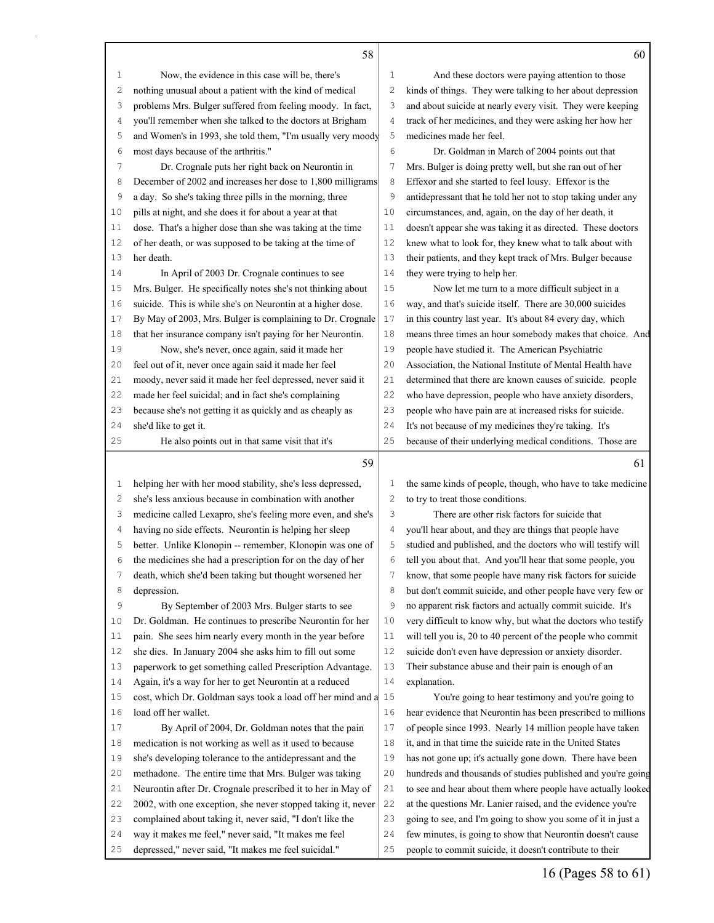|        | 58                                                                                  |        | 60                                                                                                                                                                                          |
|--------|-------------------------------------------------------------------------------------|--------|---------------------------------------------------------------------------------------------------------------------------------------------------------------------------------------------|
| 1      | Now, the evidence in this case will be, there's                                     | 1      | And these doctors were paying attention to those                                                                                                                                            |
| 2      | nothing unusual about a patient with the kind of medical                            | 2      | kinds of things. They were talking to her about depression                                                                                                                                  |
| 3      | problems Mrs. Bulger suffered from feeling moody. In fact,                          | 3      | and about suicide at nearly every visit. They were keeping                                                                                                                                  |
| 4      | you'll remember when she talked to the doctors at Brigham                           | 4      | track of her medicines, and they were asking her how her                                                                                                                                    |
| 5      | and Women's in 1993, she told them, "I'm usually very moody                         | 5      | medicines made her feel.                                                                                                                                                                    |
| 6      | most days because of the arthritis."                                                | 6      | Dr. Goldman in March of 2004 points out that                                                                                                                                                |
| 7      | Dr. Crognale puts her right back on Neurontin in                                    | 7      | Mrs. Bulger is doing pretty well, but she ran out of her                                                                                                                                    |
| 8      | December of 2002 and increases her dose to 1,800 milligrams                         | 8      | Effexor and she started to feel lousy. Effexor is the                                                                                                                                       |
| 9      | a day. So she's taking three pills in the morning, three                            | 9      | antidepressant that he told her not to stop taking under any                                                                                                                                |
| 10     | pills at night, and she does it for about a year at that                            | 10     | circumstances, and, again, on the day of her death, it                                                                                                                                      |
| 11     | dose. That's a higher dose than she was taking at the time                          | 11     | doesn't appear she was taking it as directed. These doctors                                                                                                                                 |
| 12     | of her death, or was supposed to be taking at the time of                           | 12     | knew what to look for, they knew what to talk about with                                                                                                                                    |
| 13     | her death.                                                                          | 13     | their patients, and they kept track of Mrs. Bulger because                                                                                                                                  |
| 14     | In April of 2003 Dr. Crognale continues to see                                      | 14     | they were trying to help her.                                                                                                                                                               |
| 15     | Mrs. Bulger. He specifically notes she's not thinking about                         | 15     | Now let me turn to a more difficult subject in a                                                                                                                                            |
| 16     | suicide. This is while she's on Neurontin at a higher dose.                         | 16     | way, and that's suicide itself. There are 30,000 suicides                                                                                                                                   |
| 17     | By May of 2003, Mrs. Bulger is complaining to Dr. Crognale                          | 17     | in this country last year. It's about 84 every day, which                                                                                                                                   |
| 18     | that her insurance company isn't paying for her Neurontin.                          | 18     | means three times an hour somebody makes that choice. And                                                                                                                                   |
| 19     | Now, she's never, once again, said it made her                                      | 19     | people have studied it. The American Psychiatric                                                                                                                                            |
| 20     | feel out of it, never once again said it made her feel                              | 20     | Association, the National Institute of Mental Health have                                                                                                                                   |
| 21     | moody, never said it made her feel depressed, never said it                         | 21     | determined that there are known causes of suicide. people                                                                                                                                   |
| 22     | made her feel suicidal; and in fact she's complaining                               | 22     | who have depression, people who have anxiety disorders,                                                                                                                                     |
| 23     | because she's not getting it as quickly and as cheaply as                           | 23     | people who have pain are at increased risks for suicide.                                                                                                                                    |
| 24     | she'd like to get it.                                                               | 24     | It's not because of my medicines they're taking. It's                                                                                                                                       |
| 25     | He also points out in that same visit that it's                                     | 25     | because of their underlying medical conditions. Those are                                                                                                                                   |
|        | 59                                                                                  |        | 61                                                                                                                                                                                          |
| 1      | helping her with her mood stability, she's less depressed,                          | 1      | the same kinds of people, though, who have to take medicine                                                                                                                                 |
| 2      | she's less anxious because in combination with another                              | 2      | to try to treat those conditions.                                                                                                                                                           |
| 3      | medicine called Lexapro, she's feeling more even, and she's                         | 3      | There are other risk factors for suicide that                                                                                                                                               |
| 4      |                                                                                     |        |                                                                                                                                                                                             |
|        |                                                                                     |        |                                                                                                                                                                                             |
|        | having no side effects. Neurontin is helping her sleep                              | 4      | you'll hear about, and they are things that people have                                                                                                                                     |
| 5<br>6 | better. Unlike Klonopin -- remember, Klonopin was one of                            | 5<br>6 | studied and published, and the doctors who will testify will                                                                                                                                |
|        | the medicines she had a prescription for on the day of her                          |        | tell you about that. And you'll hear that some people, you                                                                                                                                  |
| 7      | death, which she'd been taking but thought worsened her                             | 7      | know, that some people have many risk factors for suicide                                                                                                                                   |
| 8<br>9 | depression.                                                                         | 8<br>9 | but don't commit suicide, and other people have very few or                                                                                                                                 |
| 10     | By September of 2003 Mrs. Bulger starts to see                                      | 10     | no apparent risk factors and actually commit suicide. It's                                                                                                                                  |
| 11     | Dr. Goldman. He continues to prescribe Neurontin for her                            | 11     | very difficult to know why, but what the doctors who testify                                                                                                                                |
| 12     | pain. She sees him nearly every month in the year before                            | 12     | will tell you is, 20 to 40 percent of the people who commit                                                                                                                                 |
| 13     | she dies. In January 2004 she asks him to fill out some                             | 13     | suicide don't even have depression or anxiety disorder.<br>Their substance abuse and their pain is enough of an                                                                             |
| 14     | paperwork to get something called Prescription Advantage.                           | 14     | explanation.                                                                                                                                                                                |
| 15     | Again, it's a way for her to get Neurontin at a reduced                             | 15     |                                                                                                                                                                                             |
| 16     | cost, which Dr. Goldman says took a load off her mind and a<br>load off her wallet. | 16     | You're going to hear testimony and you're going to                                                                                                                                          |
| 17     | By April of 2004, Dr. Goldman notes that the pain                                   | 17     | hear evidence that Neurontin has been prescribed to millions<br>of people since 1993. Nearly 14 million people have taken                                                                   |
| 18     | medication is not working as well as it used to because                             | 18     | it, and in that time the suicide rate in the United States                                                                                                                                  |
| 19     | she's developing tolerance to the antidepressant and the                            | 19     | has not gone up; it's actually gone down. There have been                                                                                                                                   |
| 20     | methadone. The entire time that Mrs. Bulger was taking                              | 20     |                                                                                                                                                                                             |
| 21     | Neurontin after Dr. Crognale prescribed it to her in May of                         | 21     |                                                                                                                                                                                             |
| 22     | 2002, with one exception, she never stopped taking it, never                        | 22     | hundreds and thousands of studies published and you're going<br>to see and hear about them where people have actually looked<br>at the questions Mr. Lanier raised, and the evidence you're |

 way it makes me feel," never said, "It makes me feel depressed," never said, "It makes me feel suicidal."

 few minutes, is going to show that Neurontin doesn't cause people to commit suicide, it doesn't contribute to their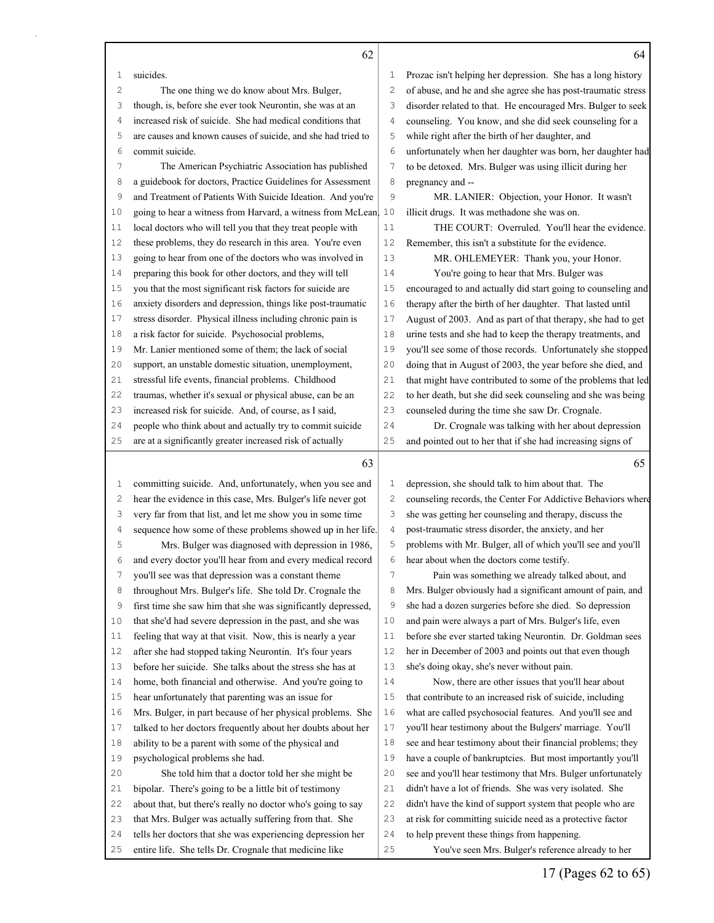|              | 62                                                                                                                   |          | 64                                                                                                 |
|--------------|----------------------------------------------------------------------------------------------------------------------|----------|----------------------------------------------------------------------------------------------------|
| 1            | suicides.                                                                                                            | 1        | Prozac isn't helping her depression. She has a long history                                        |
| 2            | The one thing we do know about Mrs. Bulger,                                                                          | 2        | of abuse, and he and she agree she has post-traumatic stress                                       |
| 3            | though, is, before she ever took Neurontin, she was at an                                                            | З        | disorder related to that. He encouraged Mrs. Bulger to seek                                        |
| 4            | increased risk of suicide. She had medical conditions that                                                           | 4        | counseling. You know, and she did seek counseling for a                                            |
| 5            | are causes and known causes of suicide, and she had tried to                                                         | 5        | while right after the birth of her daughter, and                                                   |
| 6            | commit suicide.                                                                                                      | 6        | unfortunately when her daughter was born, her daughter had                                         |
| 7            | The American Psychiatric Association has published                                                                   | 7        | to be detoxed. Mrs. Bulger was using illicit during her                                            |
| 8            | a guidebook for doctors, Practice Guidelines for Assessment                                                          | 8        | pregnancy and --                                                                                   |
| 9            | and Treatment of Patients With Suicide Ideation. And you're                                                          | 9        | MR. LANIER: Objection, your Honor. It wasn't                                                       |
| 10           | going to hear a witness from Harvard, a witness from McLean                                                          | 10       | illicit drugs. It was methadone she was on.                                                        |
| 11           | local doctors who will tell you that they treat people with                                                          | 11       | THE COURT: Overruled. You'll hear the evidence.                                                    |
| 12           | these problems, they do research in this area. You're even                                                           | 12       | Remember, this isn't a substitute for the evidence.                                                |
| 13           | going to hear from one of the doctors who was involved in                                                            | 13       | MR. OHLEMEYER: Thank you, your Honor.                                                              |
| 14           | preparing this book for other doctors, and they will tell                                                            | 14       | You're going to hear that Mrs. Bulger was                                                          |
| 15           | you that the most significant risk factors for suicide are                                                           | 15       | encouraged to and actually did start going to counseling and                                       |
| 16           | anxiety disorders and depression, things like post-traumatic                                                         | 16       | therapy after the birth of her daughter. That lasted until                                         |
| 17           | stress disorder. Physical illness including chronic pain is                                                          | 17       | August of 2003. And as part of that therapy, she had to get                                        |
| 18           | a risk factor for suicide. Psychosocial problems,                                                                    | 18       | urine tests and she had to keep the therapy treatments, and                                        |
| 19           | Mr. Lanier mentioned some of them; the lack of social                                                                | 19       | you'll see some of those records. Unfortunately she stopped                                        |
| 20           | support, an unstable domestic situation, unemployment,                                                               | 20       | doing that in August of 2003, the year before she died, and                                        |
| 21           | stressful life events, financial problems. Childhood                                                                 | 21       | that might have contributed to some of the problems that led                                       |
| 22           | traumas, whether it's sexual or physical abuse, can be an                                                            | 22       | to her death, but she did seek counseling and she was being                                        |
| 23           | increased risk for suicide. And, of course, as I said,                                                               | 23       | counseled during the time she saw Dr. Crognale.                                                    |
| 24           | people who think about and actually try to commit suicide                                                            | 24       | Dr. Crognale was talking with her about depression                                                 |
| 25           | are at a significantly greater increased risk of actually                                                            | 25       | and pointed out to her that if she had increasing signs of                                         |
|              | 63                                                                                                                   |          | 65                                                                                                 |
| $\mathbf{1}$ | committing suicide. And, unfortunately, when you see and                                                             | 1        | depression, she should talk to him about that. The                                                 |
| 2            | hear the evidence in this case, Mrs. Bulger's life never got                                                         | 2        | counseling records, the Center For Addictive Behaviors where                                       |
| 3            | very far from that list, and let me show you in some time                                                            | 3        | she was getting her counseling and therapy, discuss the                                            |
| 4            | sequence how some of these problems showed up in her life.                                                           | 4        | post-traumatic stress disorder, the anxiety, and her                                               |
| 5            | Mrs. Bulger was diagnosed with depression in 1986,                                                                   | 5        | problems with Mr. Bulger, all of which you'll see and you'll                                       |
| 6            | and every doctor you'll hear from and every medical record                                                           | 6        | hear about when the doctors come testify.                                                          |
| 7            | you'll see was that depression was a constant theme                                                                  | 7        |                                                                                                    |
| 8            |                                                                                                                      |          | Pain was something we already talked about, and                                                    |
|              | throughout Mrs. Bulger's life. She told Dr. Crognale the                                                             | 8        | Mrs. Bulger obviously had a significant amount of pain, and                                        |
| 9            | first time she saw him that she was significantly depressed,                                                         | 9        | she had a dozen surgeries before she died. So depression                                           |
| 10           | that she'd had severe depression in the past, and she was                                                            | 10       | and pain were always a part of Mrs. Bulger's life, even                                            |
| 11           | feeling that way at that visit. Now, this is nearly a year                                                           | 11       | before she ever started taking Neurontin. Dr. Goldman sees                                         |
| 12           | after she had stopped taking Neurontin. It's four years                                                              | 12       | her in December of 2003 and points out that even though                                            |
| 13           | before her suicide. She talks about the stress she has at                                                            | 13       | she's doing okay, she's never without pain.                                                        |
| 14           | home, both financial and otherwise. And you're going to                                                              | 14       | Now, there are other issues that you'll hear about                                                 |
| 15           | hear unfortunately that parenting was an issue for                                                                   | $15$     | that contribute to an increased risk of suicide, including                                         |
| 16           | Mrs. Bulger, in part because of her physical problems. She                                                           | 16       | what are called psychosocial features. And you'll see and                                          |
| 17           | talked to her doctors frequently about her doubts about her                                                          | 17       | you'll hear testimony about the Bulgers' marriage. You'll                                          |
| 18           | ability to be a parent with some of the physical and                                                                 | 18       | see and hear testimony about their financial problems; they                                        |
| 19           | psychological problems she had.                                                                                      | 19       | have a couple of bankruptcies. But most importantly you'll                                         |
| 20           | She told him that a doctor told her she might be                                                                     | 20       | see and you'll hear testimony that Mrs. Bulger unfortunately                                       |
| 21           | bipolar. There's going to be a little bit of testimony                                                               | 21       | didn't have a lot of friends. She was very isolated. She                                           |
| 22           | about that, but there's really no doctor who's going to say                                                          | 22       | didn't have the kind of support system that people who are                                         |
| 23           | that Mrs. Bulger was actually suffering from that. She                                                               | 23       | at risk for committing suicide need as a protective factor                                         |
| 24<br>25     | tells her doctors that she was experiencing depression her<br>entire life. She tells Dr. Crognale that medicine like | 24<br>25 | to help prevent these things from happening.<br>You've seen Mrs. Bulger's reference already to her |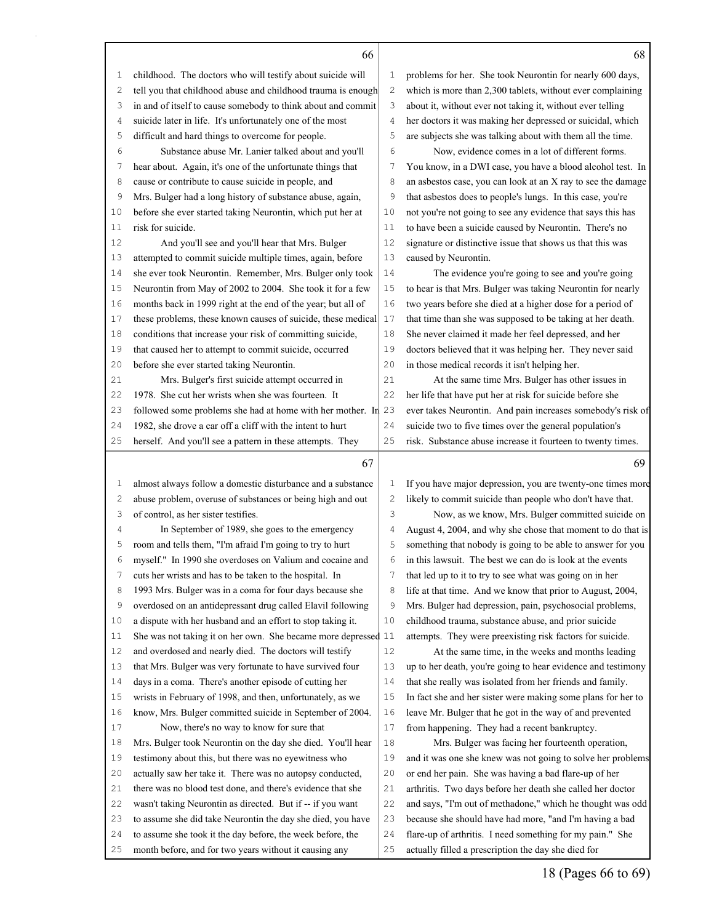## 

childhood. The doctors who will testify about suicide will

2 tell you in and

 to assume she took it the day before, the week before, the month before, and for two years without it causing any

| 2              | tell you that childhood abuse and childhood trauma is enough                                                              | 2            | which is more than 2,300 tablets, without ever complaining                                                            |
|----------------|---------------------------------------------------------------------------------------------------------------------------|--------------|-----------------------------------------------------------------------------------------------------------------------|
| 3              | in and of itself to cause somebody to think about and commit                                                              | 3            | about it, without ever not taking it, without ever telling                                                            |
| 4              | suicide later in life. It's unfortunately one of the most                                                                 | 4            | her doctors it was making her depressed or suicidal, which                                                            |
| 5              | difficult and hard things to overcome for people.                                                                         | 5            | are subjects she was talking about with them all the time.                                                            |
| 6              | Substance abuse Mr. Lanier talked about and you'll                                                                        | 6            | Now, evidence comes in a lot of different forms.                                                                      |
| 7              | hear about. Again, it's one of the unfortunate things that                                                                | 7            | You know, in a DWI case, you have a blood alcohol test. In                                                            |
| 8              | cause or contribute to cause suicide in people, and                                                                       | 8            | an asbestos case, you can look at an X ray to see the damage                                                          |
| 9              | Mrs. Bulger had a long history of substance abuse, again,                                                                 | 9            | that asbestos does to people's lungs. In this case, you're                                                            |
| 10             | before she ever started taking Neurontin, which put her at                                                                | 10           | not you're not going to see any evidence that says this has                                                           |
| 11             | risk for suicide.                                                                                                         | 11           | to have been a suicide caused by Neurontin. There's no                                                                |
| 12             | And you'll see and you'll hear that Mrs. Bulger                                                                           | 12           | signature or distinctive issue that shows us that this was                                                            |
| 13             | attempted to commit suicide multiple times, again, before                                                                 | 13           | caused by Neurontin.                                                                                                  |
| 14             | she ever took Neurontin. Remember, Mrs. Bulger only took                                                                  | 14           | The evidence you're going to see and you're going                                                                     |
| 15             | Neurontin from May of 2002 to 2004. She took it for a few                                                                 | 15           | to hear is that Mrs. Bulger was taking Neurontin for nearly                                                           |
| 16             | months back in 1999 right at the end of the year; but all of                                                              | 16           | two years before she died at a higher dose for a period of                                                            |
| 17             | these problems, these known causes of suicide, these medical                                                              | 17           | that time than she was supposed to be taking at her death.                                                            |
| 18             | conditions that increase your risk of committing suicide,                                                                 | 18           | She never claimed it made her feel depressed, and her                                                                 |
| 19             | that caused her to attempt to commit suicide, occurred                                                                    | 19           | doctors believed that it was helping her. They never said                                                             |
| 20             | before she ever started taking Neurontin.                                                                                 | 20           | in those medical records it isn't helping her.                                                                        |
| 21             | Mrs. Bulger's first suicide attempt occurred in                                                                           | 21           | At the same time Mrs. Bulger has other issues in                                                                      |
| 22             | 1978. She cut her wrists when she was fourteen. It                                                                        | 22           | her life that have put her at risk for suicide before she                                                             |
| 23             | followed some problems she had at home with her mother. In                                                                | 23           | ever takes Neurontin. And pain increases somebody's risk of                                                           |
| 24             | 1982, she drove a car off a cliff with the intent to hurt                                                                 | 24           | suicide two to five times over the general population's                                                               |
| 25             | herself. And you'll see a pattern in these attempts. They                                                                 | 25           | risk. Substance abuse increase it fourteen to twenty times.                                                           |
|                |                                                                                                                           |              |                                                                                                                       |
|                |                                                                                                                           |              |                                                                                                                       |
|                | 67                                                                                                                        |              | 69                                                                                                                    |
| $\mathbf{1}$   | almost always follow a domestic disturbance and a substance                                                               | 1            | If you have major depression, you are twenty-one times more                                                           |
| $\overline{c}$ | abuse problem, overuse of substances or being high and out                                                                | $\mathbf{2}$ | likely to commit suicide than people who don't have that.                                                             |
| 3              | of control, as her sister testifies.                                                                                      | 3            | Now, as we know, Mrs. Bulger committed suicide on                                                                     |
| 4              | In September of 1989, she goes to the emergency                                                                           | 4            | August 4, 2004, and why she chose that moment to do that is                                                           |
| 5              | room and tells them, "I'm afraid I'm going to try to hurt                                                                 | 5            | something that nobody is going to be able to answer for you                                                           |
| 6              | myself." In 1990 she overdoses on Valium and cocaine and                                                                  | 6            | in this lawsuit. The best we can do is look at the events                                                             |
| 7              | cuts her wrists and has to be taken to the hospital. In                                                                   | 7            | that led up to it to try to see what was going on in her                                                              |
| 8              | 1993 Mrs. Bulger was in a coma for four days because she                                                                  | 8            | life at that time. And we know that prior to August, 2004,                                                            |
| 9              | overdosed on an antidepressant drug called Elavil following                                                               | 9            | Mrs. Bulger had depression, pain, psychosocial problems,                                                              |
| 10             | a dispute with her husband and an effort to stop taking it.                                                               | 10           | childhood trauma, substance abuse, and prior suicide                                                                  |
| 11             | She was not taking it on her own. She became more depressed 11                                                            |              | attempts. They were preexisting risk factors for suicide.                                                             |
| 12             | and overdosed and nearly died. The doctors will testify                                                                   | 12           | At the same time, in the weeks and months leading                                                                     |
| 13             | that Mrs. Bulger was very fortunate to have survived four                                                                 | 13           | up to her death, you're going to hear evidence and testimony                                                          |
| 14             | days in a coma. There's another episode of cutting her                                                                    | 14           | that she really was isolated from her friends and family.                                                             |
| 15             | wrists in February of 1998, and then, unfortunately, as we                                                                | 15           | In fact she and her sister were making some plans for her to                                                          |
| 16             | know, Mrs. Bulger committed suicide in September of 2004.                                                                 | 16           | leave Mr. Bulger that he got in the way of and prevented                                                              |
| 17             | Now, there's no way to know for sure that                                                                                 | 17           | from happening. They had a recent bankruptcy.                                                                         |
| 18             | Mrs. Bulger took Neurontin on the day she died. You'll hear                                                               | 18           | Mrs. Bulger was facing her fourteenth operation,                                                                      |
| 19             | testimony about this, but there was no eyewitness who                                                                     | 19           | and it was one she knew was not going to solve her problems                                                           |
| 20             | actually saw her take it. There was no autopsy conducted,                                                                 | 20           | or end her pain. She was having a bad flare-up of her                                                                 |
| 21             | there was no blood test done, and there's evidence that she                                                               | 21           | arthritis. Two days before her death she called her doctor                                                            |
| 22             | wasn't taking Neurontin as directed. But if -- if you want<br>to assume she did take Neurontin the day she died, you have | 22<br>23     | and says, "I'm out of methadone," which he thought was odd<br>because she should have had more, "and I'm having a bad |

problems for her. She took Neurontin for nearly 600 days,

 flare-up of arthritis. I need something for my pain." She actually filled a prescription the day she died for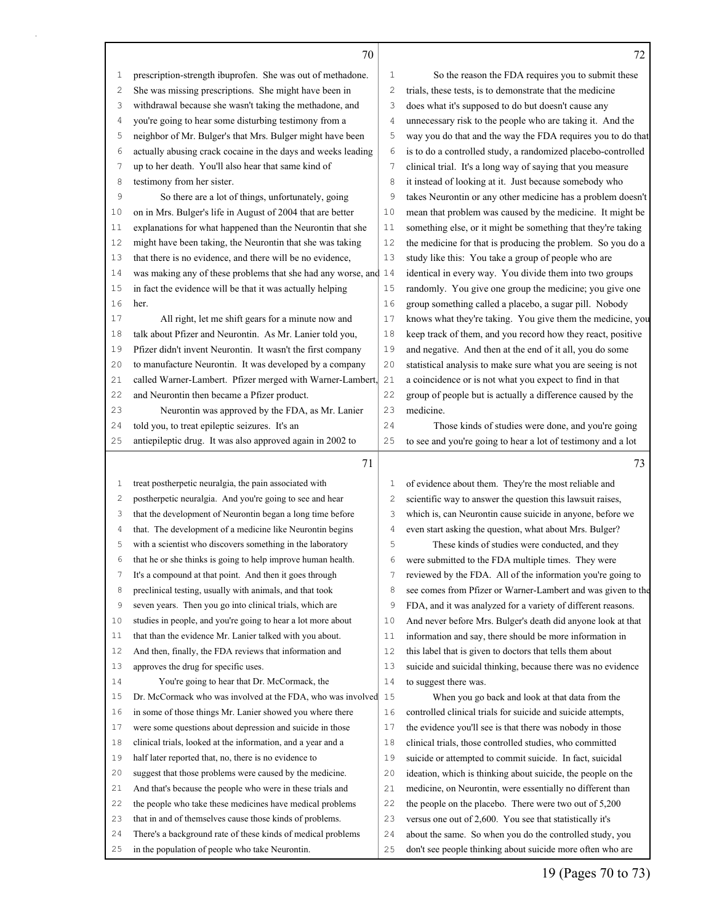|        | 70                                                              |              | 72                                                                                                                           |
|--------|-----------------------------------------------------------------|--------------|------------------------------------------------------------------------------------------------------------------------------|
| 1      | prescription-strength ibuprofen. She was out of methadone.      | 1            | So the reason the FDA requires you to submit these                                                                           |
| 2      | She was missing prescriptions. She might have been in           | $\mathbf{2}$ | trials, these tests, is to demonstrate that the medicine                                                                     |
| 3      | withdrawal because she wasn't taking the methadone, and         | 3            | does what it's supposed to do but doesn't cause any                                                                          |
| 4      | you're going to hear some disturbing testimony from a           | 4            | unnecessary risk to the people who are taking it. And the                                                                    |
| 5      | neighbor of Mr. Bulger's that Mrs. Bulger might have been       | 5            | way you do that and the way the FDA requires you to do that                                                                  |
| 6      | actually abusing crack cocaine in the days and weeks leading    | 6            | is to do a controlled study, a randomized placebo-controlled                                                                 |
| 7      | up to her death. You'll also hear that same kind of             | 7            | clinical trial. It's a long way of saying that you measure                                                                   |
| 8      | testimony from her sister.                                      | 8            | it instead of looking at it. Just because somebody who                                                                       |
| 9      | So there are a lot of things, unfortunately, going              | 9            | takes Neurontin or any other medicine has a problem doesn't                                                                  |
| 10     | on in Mrs. Bulger's life in August of 2004 that are better      | 10           | mean that problem was caused by the medicine. It might be                                                                    |
| 11     | explanations for what happened than the Neurontin that she      | 11           | something else, or it might be something that they're taking                                                                 |
| 12     | might have been taking, the Neurontin that she was taking       | 12           | the medicine for that is producing the problem. So you do a                                                                  |
| 13     | that there is no evidence, and there will be no evidence,       | 13           | study like this: You take a group of people who are                                                                          |
| 14     | was making any of these problems that she had any worse, and 14 |              | identical in every way. You divide them into two groups                                                                      |
| 15     | in fact the evidence will be that it was actually helping       | 15           | randomly. You give one group the medicine; you give one                                                                      |
| 16     | her.                                                            | 16           | group something called a placebo, a sugar pill. Nobody                                                                       |
| 17     | All right, let me shift gears for a minute now and              | 17           | knows what they're taking. You give them the medicine, you                                                                   |
| $1\,8$ | talk about Pfizer and Neurontin. As Mr. Lanier told you,        | 18           | keep track of them, and you record how they react, positive                                                                  |
| 19     | Pfizer didn't invent Neurontin. It wasn't the first company     | 19           | and negative. And then at the end of it all, you do some                                                                     |
| 20     | to manufacture Neurontin. It was developed by a company         | 20           | statistical analysis to make sure what you are seeing is not                                                                 |
| 21     | called Warner-Lambert. Pfizer merged with Warner-Lambert,       | 21           | a coincidence or is not what you expect to find in that                                                                      |
| 22     | and Neurontin then became a Pfizer product.                     | 22           | group of people but is actually a difference caused by the                                                                   |
| 23     | Neurontin was approved by the FDA, as Mr. Lanier                | 23           | medicine.                                                                                                                    |
| 24     | told you, to treat epileptic seizures. It's an                  | 24           | Those kinds of studies were done, and you're going                                                                           |
| 25     | antiepileptic drug. It was also approved again in 2002 to       | 25           | to see and you're going to hear a lot of testimony and a lot                                                                 |
|        |                                                                 |              |                                                                                                                              |
|        |                                                                 |              |                                                                                                                              |
|        | 71                                                              |              | 73                                                                                                                           |
| 1      | treat postherpetic neuralgia, the pain associated with          | 1            | of evidence about them. They're the most reliable and                                                                        |
| 2      | postherpetic neuralgia. And you're going to see and hear        | 2            | scientific way to answer the question this lawsuit raises,                                                                   |
| 3      | that the development of Neurontin began a long time before      | 3            | which is, can Neurontin cause suicide in anyone, before we                                                                   |
| 4      | that. The development of a medicine like Neurontin begins       | 4            | even start asking the question, what about Mrs. Bulger?                                                                      |
| 5      | with a scientist who discovers something in the laboratory      | 5            | These kinds of studies were conducted, and they                                                                              |
| 6      | that he or she thinks is going to help improve human health.    | 6            | were submitted to the FDA multiple times. They were                                                                          |
| 7      | It's a compound at that point. And then it goes through         | 7            | reviewed by the FDA. All of the information you're going to                                                                  |
| 8      | preclinical testing, usually with animals, and that took        | 8            |                                                                                                                              |
| 9      | seven years. Then you go into clinical trials, which are        | 9            | FDA, and it was analyzed for a variety of different reasons.                                                                 |
| 10     | studies in people, and you're going to hear a lot more about    | 10           | see comes from Pfizer or Warner-Lambert and was given to the<br>And never before Mrs. Bulger's death did anyone look at that |
| 11     | that than the evidence Mr. Lanier talked with you about.        | 11           | information and say, there should be more information in                                                                     |
| 12     | And then, finally, the FDA reviews that information and         | 12           | this label that is given to doctors that tells them about                                                                    |
| 13     | approves the drug for specific uses.                            | 13           | suicide and suicidal thinking, because there was no evidence                                                                 |
| 14     | You're going to hear that Dr. McCormack, the                    | 14           | to suggest there was.                                                                                                        |
| 15     | Dr. McCormack who was involved at the FDA, who was involved 15  |              | When you go back and look at that data from the                                                                              |
| 16     | in some of those things Mr. Lanier showed you where there       | 16           | controlled clinical trials for suicide and suicide attempts,                                                                 |
| 17     | were some questions about depression and suicide in those       | 17           | the evidence you'll see is that there was nobody in those                                                                    |
| 18     | clinical trials, looked at the information, and a year and a    | 18           | clinical trials, those controlled studies, who committed                                                                     |
| 19     | half later reported that, no, there is no evidence to           | 19           | suicide or attempted to commit suicide. In fact, suicidal                                                                    |
| 20     | suggest that those problems were caused by the medicine.        | 20           | ideation, which is thinking about suicide, the people on the                                                                 |
| 21     | And that's because the people who were in these trials and      | 21           | medicine, on Neurontin, were essentially no different than                                                                   |
| 22     | the people who take these medicines have medical problems       | 22           | the people on the placebo. There were two out of 5,200                                                                       |
| 23     | that in and of themselves cause those kinds of problems.        | 23           | versus one out of 2,600. You see that statistically it's                                                                     |
| 24     | There's a background rate of these kinds of medical problems    | 24           | about the same. So when you do the controlled study, you                                                                     |

Γ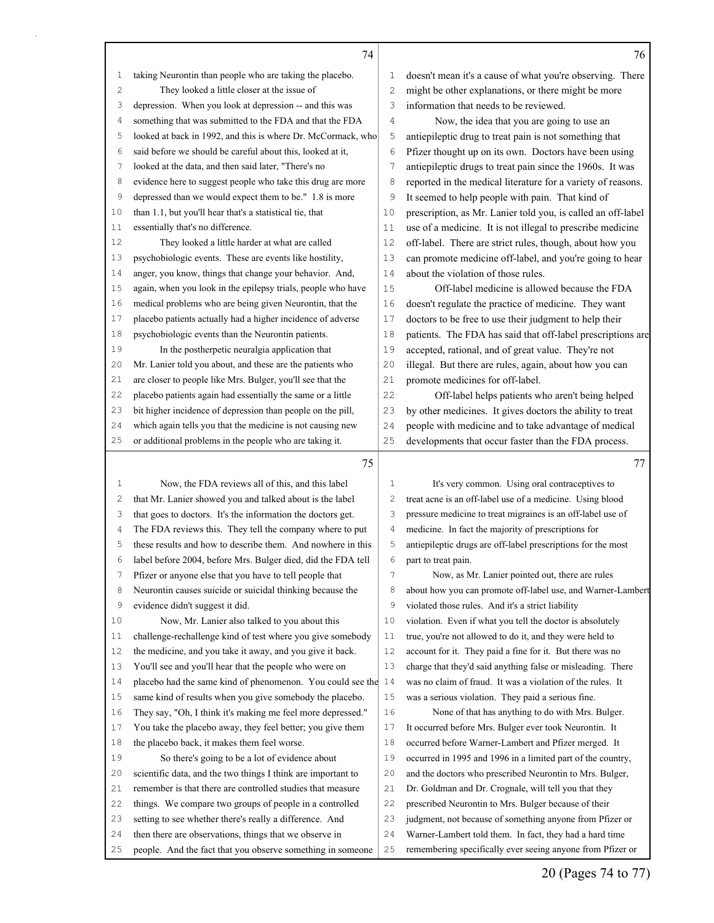|                | 74                                                           |              | 76                                                           |
|----------------|--------------------------------------------------------------|--------------|--------------------------------------------------------------|
| 1              | taking Neurontin than people who are taking the placebo.     | 1            | doesn't mean it's a cause of what you're observing. There    |
| $\mathbf{2}$   | They looked a little closer at the issue of                  | $\mathbf{2}$ | might be other explanations, or there might be more          |
| 3              | depression. When you look at depression -- and this was      | 3            | information that needs to be reviewed.                       |
| 4              | something that was submitted to the FDA and that the FDA     | 4            | Now, the idea that you are going to use an                   |
| 5              | looked at back in 1992, and this is where Dr. McCormack, who | 5            | antiepileptic drug to treat pain is not something that       |
| 6              | said before we should be careful about this, looked at it,   | 6            | Pfizer thought up on its own. Doctors have been using        |
| 7              | looked at the data, and then said later, "There's no         | 7            | antiepileptic drugs to treat pain since the 1960s. It was    |
| 8              | evidence here to suggest people who take this drug are more  | 8            | reported in the medical literature for a variety of reasons. |
| 9              | depressed than we would expect them to be." 1.8 is more      | 9            | It seemed to help people with pain. That kind of             |
| 10             | than 1.1, but you'll hear that's a statistical tie, that     | 10           | prescription, as Mr. Lanier told you, is called an off-label |
| 11             | essentially that's no difference.                            | 11           | use of a medicine. It is not illegal to prescribe medicine   |
| 12             | They looked a little harder at what are called               | 12           | off-label. There are strict rules, though, about how you     |
| 13             | psychobiologic events. These are events like hostility,      | 13           | can promote medicine off-label, and you're going to hear     |
| 14             | anger, you know, things that change your behavior. And,      | 14           | about the violation of those rules.                          |
| 15             | again, when you look in the epilepsy trials, people who have | 15           | Off-label medicine is allowed because the FDA                |
| 16             | medical problems who are being given Neurontin, that the     | 16           | doesn't regulate the practice of medicine. They want         |
| 17             | placebo patients actually had a higher incidence of adverse  | 17           | doctors to be free to use their judgment to help their       |
| 18             | psychobiologic events than the Neurontin patients.           | 18           | patients. The FDA has said that off-label prescriptions are  |
| 19             | In the postherpetic neuralgia application that               | 19           | accepted, rational, and of great value. They're not          |
| 20             | Mr. Lanier told you about, and these are the patients who    | 20           | illegal. But there are rules, again, about how you can       |
| 21             | are closer to people like Mrs. Bulger, you'll see that the   | 21           | promote medicines for off-label.                             |
| 22             | placebo patients again had essentially the same or a little  | 22           | Off-label helps patients who aren't being helped             |
| 23             | bit higher incidence of depression than people on the pill,  | 23           | by other medicines. It gives doctors the ability to treat    |
| 24             | which again tells you that the medicine is not causing new   | 24           | people with medicine and to take advantage of medical        |
| 25             | or additional problems in the people who are taking it.      | 25           | developments that occur faster than the FDA process.         |
|                | 75                                                           |              | 77                                                           |
| 1              | Now, the FDA reviews all of this, and this label             | 1            | It's very common. Using oral contraceptives to               |
| $\overline{c}$ | that Mr. Lanier showed you and talked about is the label     | 2            | treat acne is an off-label use of a medicine. Using blood    |
| 3              | that goes to doctors. It's the information the doctors get.  | 3            | pressure medicine to treat migraines is an off-label use of  |
| 4              | The FDA reviews this. They tell the company where to put     | 4            | medicine. In fact the majority of prescriptions for          |
| 5              | these results and how to describe them. And nowhere in this  | 5            | antiepileptic drugs are off-label prescriptions for the most |
| 6              | label before 2004, before Mrs. Bulger died, did the FDA tell | 6            | part to treat pain.                                          |
| $\overline{7}$ | Pfizer or anyone else that you have to tell people that      | 7            | Now, as Mr. Lanier pointed out, there are rules              |
| 8              | Neurontin causes suicide or suicidal thinking because the    | 8            | about how you can promote off-label use, and Warner-Lambert  |
| 9              | evidence didn't suggest it did.                              | 9            | violated those rules. And it's a strict liability            |
| 10             | Now, Mr. Lanier also talked to you about this                | 10           | violation. Even if what you tell the doctor is absolutely    |
| 11             | challenge-rechallenge kind of test where you give somebody   | 11           | true, you're not allowed to do it, and they were held to     |
| 12             | the medicine, and you take it away, and you give it back.    | 12           | account for it. They paid a fine for it. But there was no    |
| 13             | You'll see and you'll hear that the people who were on       | 13           | charge that they'd said anything false or misleading. There  |
| 14             | placebo had the same kind of phenomenon. You could see the   | 14           | was no claim of fraud. It was a violation of the rules. It   |
| 15             | same kind of results when you give somebody the placebo.     | 15           | was a serious violation. They paid a serious fine.           |
| 16             | They say, "Oh, I think it's making me feel more depressed."  | 16           | None of that has anything to do with Mrs. Bulger.            |
| 17             | You take the placebo away, they feel better; you give them   | 17           | It occurred before Mrs. Bulger ever took Neurontin. It       |
| 18             | the placebo back, it makes them feel worse.                  | 18           | occurred before Warner-Lambert and Pfizer merged. It         |
| 19             | So there's going to be a lot of evidence about               | 19           | occurred in 1995 and 1996 in a limited part of the country,  |
| 20             | scientific data, and the two things I think are important to | 20           | and the doctors who prescribed Neurontin to Mrs. Bulger,     |
| 21             | remember is that there are controlled studies that measure   | 21           | Dr. Goldman and Dr. Crognale, will tell you that they        |
| 22             | things. We compare two groups of people in a controlled      | 22           | prescribed Neurontin to Mrs. Bulger because of their         |
| 23             | setting to see whether there's really a difference. And      | 23           | judgment, not because of something anyone from Pfizer or     |
| 24             | then there are observations, things that we observe in       | 24           | Warner-Lambert told them. In fact, they had a hard time      |
|                | people. And the fact that you observe something in someone   | 25           | remembering specifically ever seeing anyone from Pfizer or   |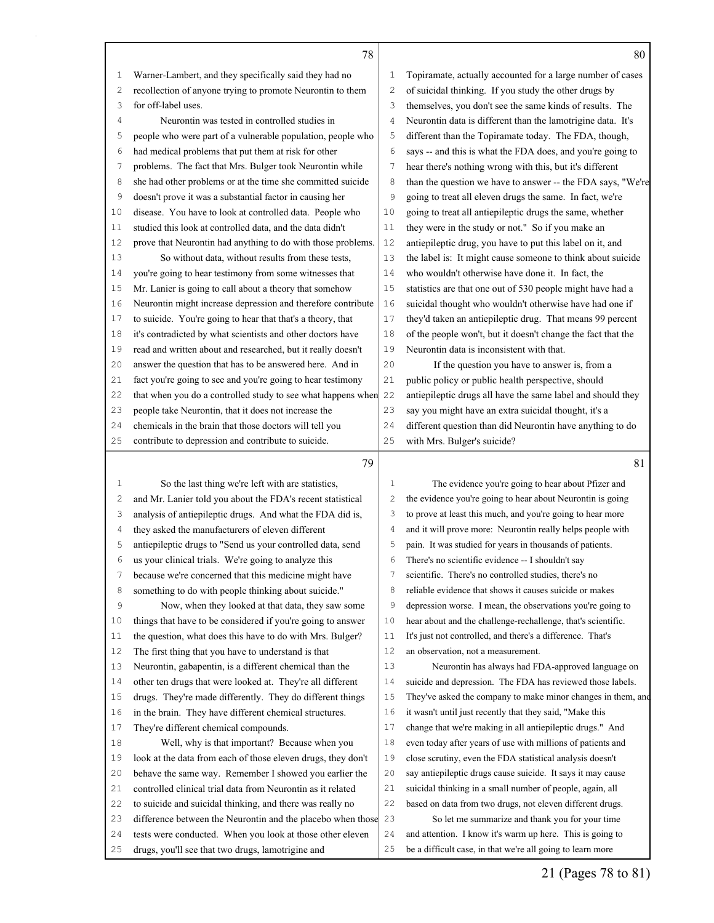|                | 78                                                           |                | 80                                                           |
|----------------|--------------------------------------------------------------|----------------|--------------------------------------------------------------|
| 1              | Warner-Lambert, and they specifically said they had no       | 1              | Topiramate, actually accounted for a large number of cases   |
| 2              | recollection of anyone trying to promote Neurontin to them   | $\mathbf{2}$   | of suicidal thinking. If you study the other drugs by        |
| 3              | for off-label uses.                                          | 3              | themselves, you don't see the same kinds of results. The     |
| 4              | Neurontin was tested in controlled studies in                | 4              | Neurontin data is different than the lamotrigine data. It's  |
| 5              | people who were part of a vulnerable population, people who  | 5              | different than the Topiramate today. The FDA, though,        |
| 6              | had medical problems that put them at risk for other         | 6              | says -- and this is what the FDA does, and you're going to   |
| 7              | problems. The fact that Mrs. Bulger took Neurontin while     | 7              | hear there's nothing wrong with this, but it's different     |
| 8              | she had other problems or at the time she committed suicide  | 8              | than the question we have to answer -- the FDA says, "We're  |
| 9              | doesn't prove it was a substantial factor in causing her     | 9              | going to treat all eleven drugs the same. In fact, we're     |
| 10             | disease. You have to look at controlled data. People who     | 10             | going to treat all antiepileptic drugs the same, whether     |
| 11             | studied this look at controlled data, and the data didn't    | 11             | they were in the study or not." So if you make an            |
| 12             | prove that Neurontin had anything to do with those problems. | 12             | antiepileptic drug, you have to put this label on it, and    |
| 13             | So without data, without results from these tests,           | 13             | the label is: It might cause someone to think about suicide  |
| 14             | you're going to hear testimony from some witnesses that      | 14             | who wouldn't otherwise have done it. In fact, the            |
| 15             | Mr. Lanier is going to call about a theory that somehow      | 15             | statistics are that one out of 530 people might have had a   |
| 16             | Neurontin might increase depression and therefore contribute | 16             | suicidal thought who wouldn't otherwise have had one if      |
| 17             | to suicide. You're going to hear that that's a theory, that  | 17             | they'd taken an antiepileptic drug. That means 99 percent    |
| 18             | it's contradicted by what scientists and other doctors have  | 18             | of the people won't, but it doesn't change the fact that the |
| 19             | read and written about and researched, but it really doesn't | 19             | Neurontin data is inconsistent with that.                    |
| 20             | answer the question that has to be answered here. And in     | 20             | If the question you have to answer is, from a                |
| 21             | fact you're going to see and you're going to hear testimony  | 21             | public policy or public health perspective, should           |
| 22             | that when you do a controlled study to see what happens when | 22             | antiepileptic drugs all have the same label and should they  |
| 23             | people take Neurontin, that it does not increase the         | 23             | say you might have an extra suicidal thought, it's a         |
| 24             | chemicals in the brain that those doctors will tell you      | 24             | different question than did Neurontin have anything to do    |
| 25             | contribute to depression and contribute to suicide.          | 25             | with Mrs. Bulger's suicide?                                  |
|                | 79                                                           |                | 81                                                           |
| $\mathbf 1$    | So the last thing we're left with are statistics,            | $\mathbf{1}$   | The evidence you're going to hear about Pfizer and           |
| 2              | and Mr. Lanier told you about the FDA's recent statistical   | $\mathbf{2}$   | the evidence you're going to hear about Neurontin is going   |
| 3              | analysis of antiepileptic drugs. And what the FDA did is,    | 3              | to prove at least this much, and you're going to hear more   |
| $\overline{4}$ | they asked the manufacturers of eleven different             | $\overline{4}$ | and it will prove more: Neurontin really helps people with   |
| 5              | antiepileptic drugs to "Send us your controlled data, send   | 5              | pain. It was studied for years in thousands of patients.     |
| 6              | us your clinical trials. We're going to analyze this         | 6              | There's no scientific evidence -- I shouldn't say            |
| 7              | because we're concerned that this medicine might have        | 7              | scientific. There's no controlled studies, there's no        |
| 8              | something to do with people thinking about suicide."         | 8              | reliable evidence that shows it causes suicide or makes      |
| 9              | Now, when they looked at that data, they saw some            | 9              | depression worse. I mean, the observations you're going to   |
| 10             | things that have to be considered if you're going to answer  | 10             | hear about and the challenge-rechallenge, that's scientific. |
| 11             | the question, what does this have to do with Mrs. Bulger?    | 11             | It's just not controlled, and there's a difference. That's   |
| 12             | The first thing that you have to understand is that          | 12             | an observation, not a measurement.                           |
| 13             | Neurontin, gabapentin, is a different chemical than the      | 13             | Neurontin has always had FDA-approved language on            |
| 14             | other ten drugs that were looked at. They're all different   | 14             | suicide and depression. The FDA has reviewed those labels.   |
| 15             | drugs. They're made differently. They do different things    | 15             | They've asked the company to make minor changes in them, and |

in the brain. They have different chemical structures.

 Well, why is that important? Because when you look at the data from each of those eleven drugs, they don't behave the same way. Remember I showed you earlier the controlled clinical trial data from Neurontin as it related to suicide and suicidal thinking, and there was really no difference between the Neurontin and the placebo when those tests were conducted. When you look at those other eleven

drugs, you'll see that two drugs, lamotrigine and

They're different chemical compounds.

 it wasn't until just recently that they said, "Make this change that we're making in all antiepileptic drugs." And even today after years of use with millions of patients and close scrutiny, even the FDA statistical analysis doesn't say antiepileptic drugs cause suicide. It says it may cause suicidal thinking in a small number of people, again, all based on data from two drugs, not eleven different drugs. So let me summarize and thank you for your time and attention. I know it's warm up here. This is going to be a difficult case, in that we're all going to learn more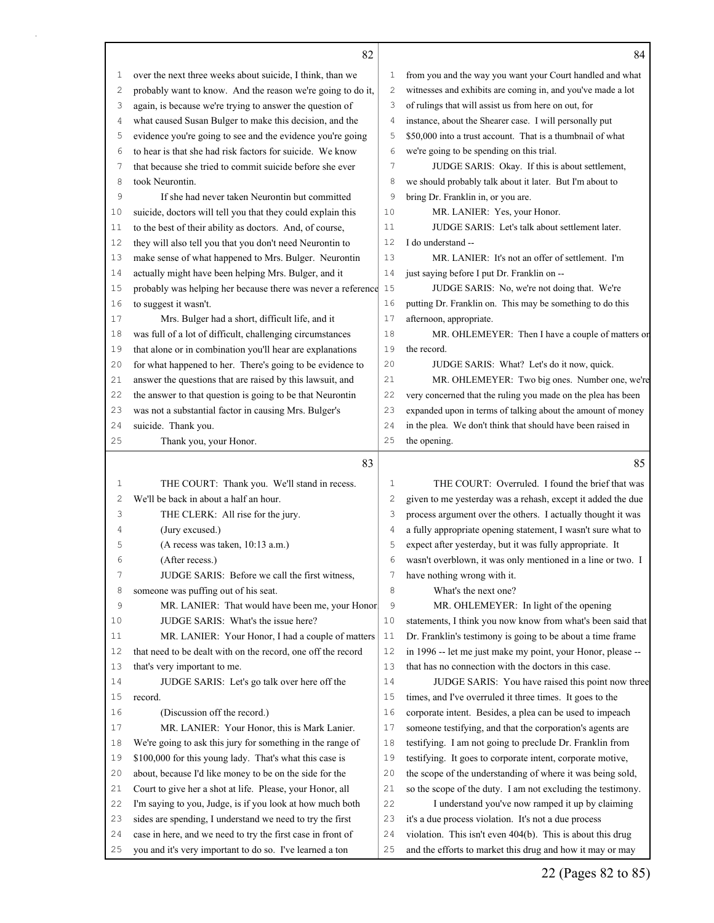| ĉ |  |
|---|--|

 $\Gamma$ 

|      | 82                                                                                                                |              | 84                                                                                                                        |
|------|-------------------------------------------------------------------------------------------------------------------|--------------|---------------------------------------------------------------------------------------------------------------------------|
| 1    | over the next three weeks about suicide, I think, than we                                                         | 1            | from you and the way you want your Court handled and what                                                                 |
| 2    | probably want to know. And the reason we're going to do it,                                                       | $\mathbf{2}$ | witnesses and exhibits are coming in, and you've made a lot                                                               |
| 3    | again, is because we're trying to answer the question of                                                          | 3            | of rulings that will assist us from here on out, for                                                                      |
| 4    | what caused Susan Bulger to make this decision, and the                                                           | 4            | instance, about the Shearer case. I will personally put                                                                   |
| 5    | evidence you're going to see and the evidence you're going                                                        | 5            | \$50,000 into a trust account. That is a thumbnail of what                                                                |
| 6    | to hear is that she had risk factors for suicide. We know                                                         | 6            | we're going to be spending on this trial.                                                                                 |
| 7    | that because she tried to commit suicide before she ever                                                          | 7            | JUDGE SARIS: Okay. If this is about settlement,                                                                           |
| 8    | took Neurontin.                                                                                                   | 8            | we should probably talk about it later. But I'm about to                                                                  |
| 9    | If she had never taken Neurontin but committed                                                                    | 9            | bring Dr. Franklin in, or you are.                                                                                        |
| 10   | suicide, doctors will tell you that they could explain this                                                       | 10           | MR. LANIER: Yes, your Honor.                                                                                              |
| 11   | to the best of their ability as doctors. And, of course,                                                          | 11           | JUDGE SARIS: Let's talk about settlement later.                                                                           |
| 12   | they will also tell you that you don't need Neurontin to                                                          | 12           | I do understand --                                                                                                        |
| 13   | make sense of what happened to Mrs. Bulger. Neurontin                                                             | 13           | MR. LANIER: It's not an offer of settlement. I'm                                                                          |
| 14   | actually might have been helping Mrs. Bulger, and it                                                              | 14           | just saying before I put Dr. Franklin on --                                                                               |
| 15   | probably was helping her because there was never a reference 15                                                   |              | JUDGE SARIS: No, we're not doing that. We're                                                                              |
| 16   | to suggest it wasn't.                                                                                             | 16           | putting Dr. Franklin on. This may be something to do this                                                                 |
| 17   | Mrs. Bulger had a short, difficult life, and it                                                                   | 17           | afternoon, appropriate.                                                                                                   |
| 18   | was full of a lot of difficult, challenging circumstances                                                         | 18           | MR. OHLEMEYER: Then I have a couple of matters or                                                                         |
| 19   | that alone or in combination you'll hear are explanations                                                         | 19           | the record.                                                                                                               |
| 20   | for what happened to her. There's going to be evidence to                                                         | 20           | JUDGE SARIS: What? Let's do it now, quick.                                                                                |
| 21   | answer the questions that are raised by this lawsuit, and                                                         | 21           | MR. OHLEMEYER: Two big ones. Number one, we're                                                                            |
| 22   | the answer to that question is going to be that Neurontin                                                         | 22           | very concerned that the ruling you made on the plea has been                                                              |
| 23   | was not a substantial factor in causing Mrs. Bulger's                                                             | 23           | expanded upon in terms of talking about the amount of money                                                               |
| 24   | suicide. Thank you.                                                                                               | 24           | in the plea. We don't think that should have been raised in                                                               |
| 25   | Thank you, your Honor.                                                                                            | 25           | the opening.                                                                                                              |
|      | 83                                                                                                                |              | 85                                                                                                                        |
| 1    | THE COURT: Thank you. We'll stand in recess.                                                                      | 1            | THE COURT: Overruled. I found the brief that was                                                                          |
| 2    | We'll be back in about a half an hour.                                                                            | $\mathbf{2}$ | given to me yesterday was a rehash, except it added the due                                                               |
|      |                                                                                                                   |              |                                                                                                                           |
| 3    |                                                                                                                   | 3            |                                                                                                                           |
| 4    | THE CLERK: All rise for the jury.                                                                                 | 4            | process argument over the others. I actually thought it was                                                               |
| 5    | (Jury excused.)                                                                                                   | 5            | a fully appropriate opening statement, I wasn't sure what to                                                              |
| 6    | (A recess was taken, 10:13 a.m.)<br>(After recess.)                                                               | 6            | expect after yesterday, but it was fully appropriate. It                                                                  |
| 7    | JUDGE SARIS: Before we call the first witness,                                                                    | 7            | wasn't overblown, it was only mentioned in a line or two. I                                                               |
| 8    |                                                                                                                   | 8            | have nothing wrong with it.                                                                                               |
| 9    | someone was puffing out of his seat.                                                                              | 9            | What's the next one?                                                                                                      |
| 10   | MR. LANIER: That would have been me, your Honor<br>JUDGE SARIS: What's the issue here?                            | 10           | MR. OHLEMEYER: In light of the opening                                                                                    |
| $11$ |                                                                                                                   | 11           | statements, I think you now know from what's been said that<br>Dr. Franklin's testimony is going to be about a time frame |
| 12   | MR. LANIER: Your Honor, I had a couple of matters<br>that need to be dealt with on the record, one off the record | 12           |                                                                                                                           |
| 13   |                                                                                                                   | 13           | in 1996 -- let me just make my point, your Honor, please --<br>that has no connection with the doctors in this case.      |
| 14   | that's very important to me.                                                                                      | 14           |                                                                                                                           |
| 15   | JUDGE SARIS: Let's go talk over here off the<br>record.                                                           | 15           | JUDGE SARIS: You have raised this point now three                                                                         |
| 16   | (Discussion off the record.)                                                                                      | 16           | times, and I've overruled it three times. It goes to the<br>corporate intent. Besides, a plea can be used to impeach      |
| 17   | MR. LANIER: Your Honor, this is Mark Lanier.                                                                      | 17           | someone testifying, and that the corporation's agents are                                                                 |
| 18   | We're going to ask this jury for something in the range of                                                        | 18           | testifying. I am not going to preclude Dr. Franklin from                                                                  |
| 19   | \$100,000 for this young lady. That's what this case is                                                           | 19           | testifying. It goes to corporate intent, corporate motive,                                                                |
| 20   | about, because I'd like money to be on the side for the                                                           | 20           | the scope of the understanding of where it was being sold,                                                                |
| 21   | Court to give her a shot at life. Please, your Honor, all                                                         | 21           | so the scope of the duty. I am not excluding the testimony.                                                               |
| 22   | I'm saying to you, Judge, is if you look at how much both                                                         | 22           | I understand you've now ramped it up by claiming                                                                          |
| 23   | sides are spending, I understand we need to try the first                                                         | 23           | it's a due process violation. It's not a due process                                                                      |
| 24   | case in here, and we need to try the first case in front of                                                       | 24           | violation. This isn't even 404(b). This is about this drug                                                                |

22 (Pages 82 to 85)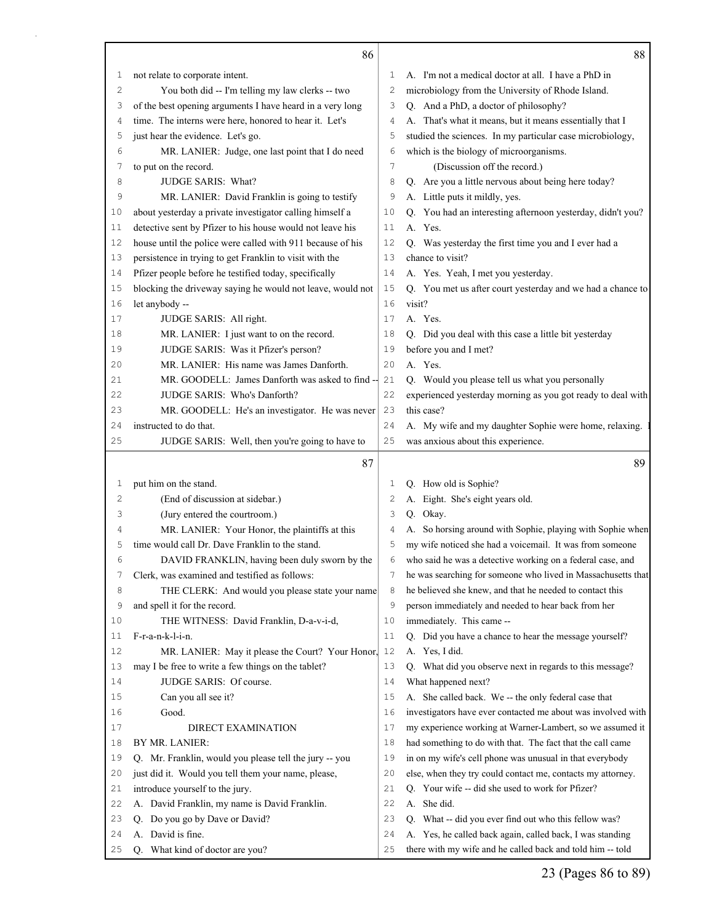|    | 86                                                         |                | 88                                                           |
|----|------------------------------------------------------------|----------------|--------------------------------------------------------------|
| 1  | not relate to corporate intent.                            | 1              | A. I'm not a medical doctor at all. I have a PhD in          |
| 2  | You both did -- I'm telling my law clerks -- two           | 2              | microbiology from the University of Rhode Island.            |
| 3  | of the best opening arguments I have heard in a very long  | 3              | Q. And a PhD, a doctor of philosophy?                        |
| 4  | time. The interns were here, honored to hear it. Let's     | 4              | A. That's what it means, but it means essentially that I     |
| 5  | just hear the evidence. Let's go.                          | 5              | studied the sciences. In my particular case microbiology,    |
| 6  | MR. LANIER: Judge, one last point that I do need           | 6              | which is the biology of microorganisms.                      |
| 7  | to put on the record.                                      | $\overline{7}$ | (Discussion off the record.)                                 |
| 8  | JUDGE SARIS: What?                                         | 8              | Q. Are you a little nervous about being here today?          |
| 9  | MR. LANIER: David Franklin is going to testify             | 9              | A. Little puts it mildly, yes.                               |
| 10 | about yesterday a private investigator calling himself a   | 10             | Q. You had an interesting afternoon yesterday, didn't you?   |
| 11 | detective sent by Pfizer to his house would not leave his  | 11             | A. Yes.                                                      |
| 12 | house until the police were called with 911 because of his | 12             | Q. Was yesterday the first time you and I ever had a         |
| 13 | persistence in trying to get Franklin to visit with the    | 13             | chance to visit?                                             |
| 14 | Pfizer people before he testified today, specifically      | 14             | A. Yes. Yeah, I met you yesterday.                           |
| 15 | blocking the driveway saying he would not leave, would not | 15             | Q. You met us after court yesterday and we had a chance to   |
| 16 | let anybody --                                             | 16             | visit?                                                       |
| 17 | JUDGE SARIS: All right.                                    | 17             | A. Yes.                                                      |
| 18 | MR. LANIER: I just want to on the record.                  | 18             | Q. Did you deal with this case a little bit yesterday        |
| 19 | JUDGE SARIS: Was it Pfizer's person?                       | 19             | before you and I met?                                        |
| 20 | MR. LANIER: His name was James Danforth.                   | 20             | A. Yes.                                                      |
|    |                                                            |                |                                                              |
| 21 | MR. GOODELL: James Danforth was asked to find --           | 21             | Q. Would you please tell us what you personally              |
| 22 | JUDGE SARIS: Who's Danforth?                               | 22             | experienced yesterday morning as you got ready to deal with  |
| 23 | MR. GOODELL: He's an investigator. He was never            | 23             | this case?                                                   |
| 24 | instructed to do that.                                     | 24             | A. My wife and my daughter Sophie were home, relaxing.       |
| 25 | JUDGE SARIS: Well, then you're going to have to            | 25             | was anxious about this experience.                           |
|    | 87                                                         |                | 89                                                           |
| 1  | put him on the stand.                                      | 1              | Q. How old is Sophie?                                        |
| 2  | (End of discussion at sidebar.)                            | 2              | A. Eight. She's eight years old.                             |
| 3  | (Jury entered the courtroom.)                              | 3              | Q. Okay.                                                     |
| 4  | MR. LANIER: Your Honor, the plaintiffs at this             | 4              | A. So horsing around with Sophie, playing with Sophie when   |
| 5  | time would call Dr. Dave Franklin to the stand.            | 5              | my wife noticed she had a voicemail. It was from someone     |
| 6  | DAVID FRANKLIN, having been duly sworn by the              | 6              |                                                              |
| 7  | Clerk, was examined and testified as follows:              |                | who said he was a detective working on a federal case, and   |
| 8  |                                                            | 7              | he was searching for someone who lived in Massachusetts that |
|    | THE CLERK: And would you please state your name            | 8              | he believed she knew, and that he needed to contact this     |
| 9  | and spell it for the record.                               | 9              | person immediately and needed to hear back from her          |
| 10 | THE WITNESS: David Franklin, D-a-v-i-d,                    | 10             | immediately. This came --                                    |
| 11 | F-r-a-n-k-l-i-n.                                           | 11             | Q. Did you have a chance to hear the message yourself?       |
| 12 | MR. LANIER: May it please the Court? Your Honor,           | 12             | A. Yes, I did.                                               |
| 13 | may I be free to write a few things on the tablet?         | 13             | Q. What did you observe next in regards to this message?     |
| 14 | JUDGE SARIS: Of course.                                    | 14             | What happened next?                                          |
| 15 | Can you all see it?                                        | 15             | A. She called back. We -- the only federal case that         |
| 16 | Good.                                                      | 16             | investigators have ever contacted me about was involved with |
| 17 | DIRECT EXAMINATION                                         | 17             | my experience working at Warner-Lambert, so we assumed it    |
| 18 | BY MR. LANIER:                                             | 18             | had something to do with that. The fact that the call came   |
| 19 | Q. Mr. Franklin, would you please tell the jury -- you     | 19             | in on my wife's cell phone was unusual in that everybody     |
| 20 | just did it. Would you tell them your name, please,        | 20             | else, when they try could contact me, contacts my attorney.  |
| 21 | introduce yourself to the jury.                            | 21             | Q. Your wife -- did she used to work for Pfizer?             |
| 22 | A. David Franklin, my name is David Franklin.              | 22             | A. She did.                                                  |
| 23 | Q. Do you go by Dave or David?                             | 23             | Q. What -- did you ever find out who this fellow was?        |
| 24 | A. David is fine.                                          | 24             | A. Yes, he called back again, called back, I was standing    |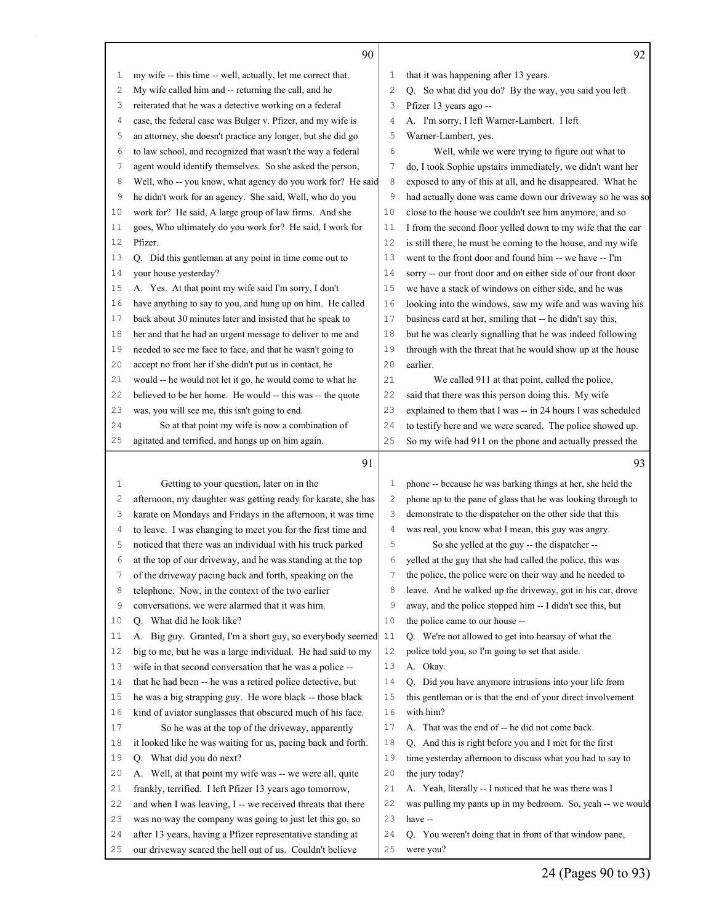|              | 90                                                           |    | 92                                                           |
|--------------|--------------------------------------------------------------|----|--------------------------------------------------------------|
| $\mathbf{1}$ | my wife -- this time -- well, actually, let me correct that. | 1  | that it was happening after 13 years.                        |
| 2            | My wife called him and -- returning the call, and he         | 2  | Q. So what did you do? By the way, you said you left         |
| 3            | reiterated that he was a detective working on a federal      | 3  | Pfizer 13 years ago --                                       |
| 4            | case, the federal case was Bulger v. Pfizer, and my wife is  | 4  | A. I'm sorry, I left Warner-Lambert. I left                  |
| 5            | an attorney, she doesn't practice any longer, but she did go | 5  | Warner-Lambert, yes.                                         |
| 6            | to law school, and recognized that wasn't the way a federal  | 6  | Well, while we were trying to figure out what to             |
| 7            | agent would identify themselves. So she asked the person,    | 7  | do, I took Sophie upstairs immediately, we didn't want her   |
| 8            | Well, who -- you know, what agency do you work for? He said  | 8  | exposed to any of this at all, and he disappeared. What he   |
| 9            | he didn't work for an agency. She said, Well, who do you     | 9  | had actually done was came down our driveway so he was so    |
| 10           | work for? He said, A large group of law firms. And she       | 10 | close to the house we couldn't see him anymore, and so       |
| 11           | goes, Who ultimately do you work for? He said, I work for    | 11 | I from the second floor yelled down to my wife that the car  |
| 12           | Pfizer.                                                      | 12 | is still there, he must be coming to the house, and my wife  |
| 13           | Q. Did this gentleman at any point in time come out to       | 13 | went to the front door and found him -- we have -- I'm       |
| 14           | your house yesterday?                                        | 14 | sorry -- our front door and on either side of our front door |
| 15           | A. Yes. At that point my wife said I'm sorry, I don't        | 15 | we have a stack of windows on either side, and he was        |
| 16           | have anything to say to you, and hung up on him. He called   | 16 | looking into the windows, saw my wife and was waving his     |
| 17           | back about 30 minutes later and insisted that he speak to    | 17 | business card at her, smiling that -- he didn't say this,    |
| 18           | her and that he had an urgent message to deliver to me and   | 18 | but he was clearly signalling that he was indeed following   |
| 19           | needed to see me face to face, and that he wasn't going to   | 19 | through with the threat that he would show up at the house   |
| 20           | accept no from her if she didn't put us in contact, he       | 20 | earlier.                                                     |
| 21           | would -- he would not let it go, he would come to what he    | 21 | We called 911 at that point, called the police,              |
| 22           | believed to be her home. He would -- this was -- the quote   | 22 | said that there was this person doing this. My wife          |
| 23           | was, you will see me, this isn't going to end.               | 23 | explained to them that I was -- in 24 hours I was scheduled  |
| 24           | So at that point my wife is now a combination of             | 24 | to testify here and we were scared. The police showed up.    |
| 25           | agitated and terrified, and hangs up on him again.           | 25 | So my wife had 911 on the phone and actually pressed the     |
|              | 91                                                           |    | 93                                                           |
| 1            | Getting to your question, later on in the                    | 1  | phone -- because he was barking things at her, she held the  |
| 2            | afternoon, my daughter was getting ready for karate, she has | 2  | phone up to the pane of glass that he was looking through to |
| 3            | karate on Mondays and Fridays in the afternoon, it was time  | 3  | demonstrate to the dispatcher on the other side that this    |
| 4            | to leave. I was changing to meet you for the first time and  | 4  | was real, you know what I mean, this guy was angry.          |
| 5            | noticed that there was an individual with his truck parked   | 5  | So she yelled at the guy -- the dispatcher --                |
| 6            | at the top of our driveway, and he was standing at the top   | 6  | yelled at the guy that she had called the police, this was   |
| 7            | of the driveway pacing back and forth, speaking on the       | 7  | the police, the police were on their way and he needed to    |
| 8            | telephone. Now, in the context of the two earlier            | 8  | leave. And he walked up the driveway, got in his car, drove  |
| 9            | conversations, we were alarmed that it was him.              | 9  | away, and the police stopped him -- I didn't see this, but   |
| 10           | Q. What did he look like?                                    | 10 | the police came to our house --                              |
| 11           | A. Big guy. Granted, I'm a short guy, so everybody seemed    | 11 | Q. We're not allowed to get into hearsay of what the         |
| 12           | big to me, but he was a large individual. He had said to my  | 12 | police told you, so I'm going to set that aside.             |
| 13           | wife in that second conversation that he was a police --     | 13 | A. Okay.                                                     |
| 14           | that he had been -- he was a retired police detective, but   | 14 | Q. Did you have anymore intrusions into your life from       |
| 15           | he was a big strapping guy. He wore black -- those black     | 15 | this gentleman or is that the end of your direct involvement |
| 16           | kind of aviator sunglasses that obscured much of his face.   | 16 | with him?                                                    |
| 17           | So he was at the top of the driveway, apparently             | 17 | A. That was the end of -- he did not come back.              |
| 18           | it looked like he was waiting for us, pacing back and forth. | 18 | Q. And this is right before you and I met for the first      |
| 19           | Q. What did you do next?                                     | 19 | time yesterday afternoon to discuss what you had to say to   |
| 20           | A. Well, at that point my wife was -- we were all, quite     | 20 | the jury today?                                              |
| 21           | frankly, terrified. I left Pfizer 13 years ago tomorrow,     | 21 | A. Yeah, literally -- I noticed that he was there was I      |
| 22           | and when I was leaving, I -- we received threats that there  | 22 | was pulling my pants up in my bedroom. So, yeah -- we would  |
| 23           | was no way the company was going to just let this go, so     | 23 | have --                                                      |
| 24           | after 13 years, having a Pfizer representative standing at   | 24 | Q. You weren't doing that in front of that window pane,      |
| 25           | our driveway scared the hell out of us. Couldn't believe     | 25 | were you?                                                    |

24 (Pages 90 to 93)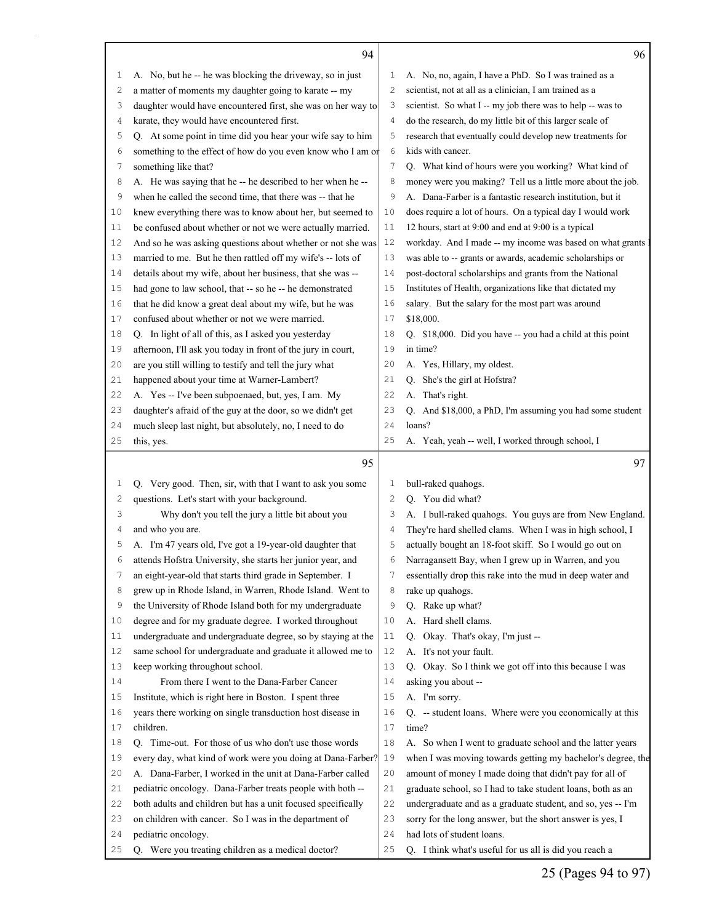|                | 94                                                                        |                | 96                                                                                   |
|----------------|---------------------------------------------------------------------------|----------------|--------------------------------------------------------------------------------------|
| 1              | A. No, but he -- he was blocking the driveway, so in just                 | 1              | A. No, no, again, I have a PhD. So I was trained as a                                |
| 2              | a matter of moments my daughter going to karate -- my                     | $\mathbf{2}$   | scientist, not at all as a clinician, I am trained as a                              |
| 3              | daughter would have encountered first, she was on her way to              | 3              | scientist. So what I -- my job there was to help -- was to                           |
| 4              | karate, they would have encountered first.                                |                | do the research, do my little bit of this larger scale of                            |
| 5              | Q. At some point in time did you hear your wife say to him                |                | research that eventually could develop new treatments for                            |
| 6              | something to the effect of how do you even know who I am of               | 6              | kids with cancer.                                                                    |
| 7              | something like that?                                                      | 7              | Q. What kind of hours were you working? What kind of                                 |
| 8              | A. He was saying that he -- he described to her when he --                | 8              | money were you making? Tell us a little more about the job.                          |
| 9              | when he called the second time, that there was -- that he                 | 9              | A. Dana-Farber is a fantastic research institution, but it                           |
| 10             | knew everything there was to know about her, but seemed to                | 10             | does require a lot of hours. On a typical day I would work                           |
| 11             | be confused about whether or not we were actually married.                | 11             | 12 hours, start at 9:00 and end at 9:00 is a typical                                 |
| 12             | And so he was asking questions about whether or not she was               | 12             | workday. And I made -- my income was based on what grants                            |
| 13             | married to me. But he then rattled off my wife's -- lots of               | 13             | was able to -- grants or awards, academic scholarships or                            |
| 14             | details about my wife, about her business, that she was --                | 14             | post-doctoral scholarships and grants from the National                              |
| 15             | had gone to law school, that -- so he -- he demonstrated                  | 15             | Institutes of Health, organizations like that dictated my                            |
| 16             | that he did know a great deal about my wife, but he was                   | 16             | salary. But the salary for the most part was around                                  |
| 17             | confused about whether or not we were married.                            | 17             | \$18,000.                                                                            |
| 18             | Q. In light of all of this, as I asked you yesterday                      | 18             | Q. \$18,000. Did you have -- you had a child at this point                           |
| 19             | afternoon, I'll ask you today in front of the jury in court,              | 19             | in time?                                                                             |
| 20             | are you still willing to testify and tell the jury what                   | 20             | A. Yes, Hillary, my oldest.                                                          |
| 21             | happened about your time at Warner-Lambert?                               | 21             | Q. She's the girl at Hofstra?                                                        |
| 22             | A. Yes -- I've been subpoenaed, but, yes, I am. My                        | 22             | A. That's right.                                                                     |
| 23             | daughter's afraid of the guy at the door, so we didn't get                | 23             | Q. And \$18,000, a PhD, I'm assuming you had some student                            |
| 24             | much sleep last night, but absolutely, no, I need to do                   | 24             | loans?                                                                               |
| 25             | this, yes.                                                                | 25             | A. Yeah, yeah -- well, I worked through school, I                                    |
|                |                                                                           |                |                                                                                      |
|                | 95                                                                        |                | 97                                                                                   |
| $\mathbf 1$    | Q. Very good. Then, sir, with that I want to ask you some                 | 1              | bull-raked quahogs.                                                                  |
| $\overline{c}$ | questions. Let's start with your background.                              | $\overline{c}$ | Q. You did what?                                                                     |
| 3              | Why don't you tell the jury a little bit about you                        | 3              | A. I bull-raked quahogs. You guys are from New England.                              |
| 4              | and who you are.                                                          | $\overline{4}$ | They're hard shelled clams. When I was in high school, I                             |
| 5              | A. I'm 47 years old, I've got a 19-year-old daughter that                 | 5              | actually bought an 18-foot skiff. So I would go out on                               |
| 6              | attends Hofstra University, she starts her junior year, and               | 6              | Narragansett Bay, when I grew up in Warren, and you                                  |
| 7              | an eight-year-old that starts third grade in September. I                 | 7              | essentially drop this rake into the mud in deep water and                            |
| 8              | grew up in Rhode Island, in Warren, Rhode Island. Went to                 | 8              | rake up quahogs.                                                                     |
| 9              | the University of Rhode Island both for my undergraduate                  | 9              | Q. Rake up what?                                                                     |
| 10             | degree and for my graduate degree. I worked throughout                    | 10             | A. Hard shell clams.                                                                 |
| 11             | undergraduate and undergraduate degree, so by staying at the              | 11             | Q. Okay. That's okay, I'm just --                                                    |
| 12             | same school for undergraduate and graduate it allowed me to               | 12             | A. It's not your fault.                                                              |
| 13             | keep working throughout school.                                           | 13             | Q. Okay. So I think we got off into this because I was                               |
| 14             | From there I went to the Dana-Farber Cancer                               | 14             | asking you about --                                                                  |
| 15             | Institute, which is right here in Boston. I spent three                   | 15             | A. I'm sorry.                                                                        |
| 16             | years there working on single transduction host disease in                | 16             | Q. -- student loans. Where were you economically at this                             |
| 17             | children.                                                                 | 17             | time?                                                                                |
| 18             | Q. Time-out. For those of us who don't use those words                    | 18             | A. So when I went to graduate school and the latter years                            |
| 19             | every day, what kind of work were you doing at Dana-Farber?               | 19             | when I was moving towards getting my bachelor's degree, the                          |
| 20             | A. Dana-Farber, I worked in the unit at Dana-Farber called                | 20             | amount of money I made doing that didn't pay for all of                              |
| 21             | pediatric oncology. Dana-Farber treats people with both --                | 21             | graduate school, so I had to take student loans, both as an                          |
| 22             | both adults and children but has a unit focused specifically              | 22             | undergraduate and as a graduate student, and so, yes -- I'm                          |
| 23             | on children with cancer. So I was in the department of                    | 23             | sorry for the long answer, but the short answer is yes, I                            |
| 24<br>25       | pediatric oncology.<br>Q. Were you treating children as a medical doctor? | 24<br>25       | had lots of student loans.<br>Q. I think what's useful for us all is did you reach a |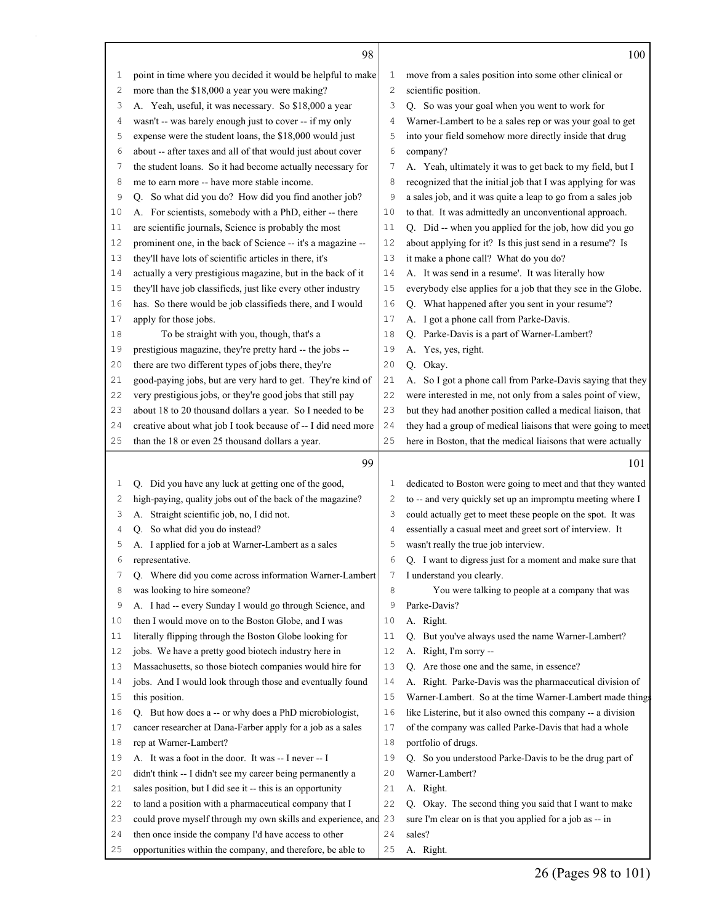|              | 98                                                                                                                   |          | 100                                                                                                                       |
|--------------|----------------------------------------------------------------------------------------------------------------------|----------|---------------------------------------------------------------------------------------------------------------------------|
| 1            | point in time where you decided it would be helpful to make                                                          | 1        | move from a sales position into some other clinical or                                                                    |
| $\mathbf{2}$ | more than the \$18,000 a year you were making?                                                                       | 2        | scientific position.                                                                                                      |
| 3            | A. Yeah, useful, it was necessary. So \$18,000 a year                                                                | 3        | Q. So was your goal when you went to work for                                                                             |
| 4            | wasn't -- was barely enough just to cover -- if my only                                                              | 4        | Warner-Lambert to be a sales rep or was your goal to get                                                                  |
| 5            | expense were the student loans, the \$18,000 would just                                                              | 5        | into your field somehow more directly inside that drug                                                                    |
| 6            | about -- after taxes and all of that would just about cover                                                          | 6        | company?                                                                                                                  |
| 7            | the student loans. So it had become actually necessary for                                                           | 7        | A. Yeah, ultimately it was to get back to my field, but I                                                                 |
| 8            | me to earn more -- have more stable income.                                                                          | 8        | recognized that the initial job that I was applying for was                                                               |
| 9            | Q. So what did you do? How did you find another job?                                                                 | 9        | a sales job, and it was quite a leap to go from a sales job                                                               |
| 10           | A. For scientists, somebody with a PhD, either -- there                                                              | 10       | to that. It was admittedly an unconventional approach.                                                                    |
| 11           | are scientific journals, Science is probably the most                                                                | 11       | Q. Did -- when you applied for the job, how did you go                                                                    |
| 12           | prominent one, in the back of Science -- it's a magazine --                                                          | 12       | about applying for it? Is this just send in a resume'? Is                                                                 |
| 13           | they'll have lots of scientific articles in there, it's                                                              | 13       | it make a phone call? What do you do?                                                                                     |
| 14           | actually a very prestigious magazine, but in the back of it                                                          | 14       | A. It was send in a resume'. It was literally how                                                                         |
| 15           | they'll have job classifieds, just like every other industry                                                         | 15       | everybody else applies for a job that they see in the Globe.                                                              |
| 16           | has. So there would be job classifieds there, and I would                                                            | 16       | Q. What happened after you sent in your resume'?                                                                          |
| 17           | apply for those jobs.                                                                                                | 17       | A. I got a phone call from Parke-Davis.                                                                                   |
| 18           | To be straight with you, though, that's a                                                                            | 18       | Q. Parke-Davis is a part of Warner-Lambert?                                                                               |
| 19           | prestigious magazine, they're pretty hard -- the jobs --                                                             | 19       | A. Yes, yes, right.                                                                                                       |
| 20           | there are two different types of jobs there, they're                                                                 | 20       | Q. Okay.                                                                                                                  |
| 21           | good-paying jobs, but are very hard to get. They're kind of                                                          | 21       | A. So I got a phone call from Parke-Davis saying that they                                                                |
| 22           | very prestigious jobs, or they're good jobs that still pay                                                           | 22       | were interested in me, not only from a sales point of view,                                                               |
| 23           | about 18 to 20 thousand dollars a year. So I needed to be                                                            | 23       | but they had another position called a medical liaison, that                                                              |
| 24           | creative about what job I took because of -- I did need more                                                         | 24       | they had a group of medical liaisons that were going to meet                                                              |
| 25           | than the 18 or even 25 thousand dollars a year.                                                                      | 25       | here in Boston, that the medical liaisons that were actually                                                              |
|              | 99                                                                                                                   |          | 101                                                                                                                       |
|              |                                                                                                                      | 1        |                                                                                                                           |
| 1<br>2       | Q. Did you have any luck at getting one of the good,<br>high-paying, quality jobs out of the back of the magazine?   | 2        | dedicated to Boston were going to meet and that they wanted                                                               |
| 3            | A. Straight scientific job, no, I did not.                                                                           | 3        | to -- and very quickly set up an impromptu meeting where I<br>could actually get to meet these people on the spot. It was |
| 4            | So what did you do instead?<br>O.                                                                                    | 4        | essentially a casual meet and greet sort of interview. It                                                                 |
| 5            | A. I applied for a job at Warner-Lambert as a sales                                                                  | 5        | wasn't really the true job interview.                                                                                     |
| 6            | representative.                                                                                                      | 6        | Q. I want to digress just for a moment and make sure that                                                                 |
| 7            | Where did you come across information Warner-Lambert<br>Q.                                                           | 7        | I understand you clearly.                                                                                                 |
| 8            | was looking to hire someone?                                                                                         | 8        | You were talking to people at a company that was                                                                          |
| 9            | A. I had -- every Sunday I would go through Science, and                                                             | 9        | Parke-Davis?                                                                                                              |
| 10           | then I would move on to the Boston Globe, and I was                                                                  | 10       | A. Right.                                                                                                                 |
| 11           | literally flipping through the Boston Globe looking for                                                              | 11       | Q. But you've always used the name Warner-Lambert?                                                                        |
| 12           | jobs. We have a pretty good biotech industry here in                                                                 | 12       | A. Right, I'm sorry --                                                                                                    |
| 13           | Massachusetts, so those biotech companies would hire for                                                             | 13       | Q. Are those one and the same, in essence?                                                                                |
| 14           | jobs. And I would look through those and eventually found                                                            | 14       | A. Right. Parke-Davis was the pharmaceutical division of                                                                  |
| 15           | this position.                                                                                                       | 15       | Warner-Lambert. So at the time Warner-Lambert made things                                                                 |
| 16           | Q. But how does a -- or why does a PhD microbiologist,                                                               | 16       | like Listerine, but it also owned this company -- a division                                                              |
| 17           | cancer researcher at Dana-Farber apply for a job as a sales                                                          | 17       | of the company was called Parke-Davis that had a whole                                                                    |
| 18           | rep at Warner-Lambert?                                                                                               | 18       | portfolio of drugs.                                                                                                       |
| 19           | A. It was a foot in the door. It was -- I never -- I                                                                 | 19       | Q. So you understood Parke-Davis to be the drug part of                                                                   |
| 20           | didn't think -- I didn't see my career being permanently a                                                           | 20       | Warner-Lambert?                                                                                                           |
| 21           | sales position, but I did see it -- this is an opportunity                                                           | 21       | A. Right.                                                                                                                 |
| 22           | to land a position with a pharmaceutical company that I                                                              | 22       | Q. Okay. The second thing you said that I want to make                                                                    |
| 23           |                                                                                                                      |          |                                                                                                                           |
|              |                                                                                                                      |          |                                                                                                                           |
| 24           | could prove myself through my own skills and experience, and                                                         | 23<br>24 | sure I'm clear on is that you applied for a job as -- in<br>sales?                                                        |
| 25           | then once inside the company I'd have access to other<br>opportunities within the company, and therefore, be able to | 25       | A. Right.                                                                                                                 |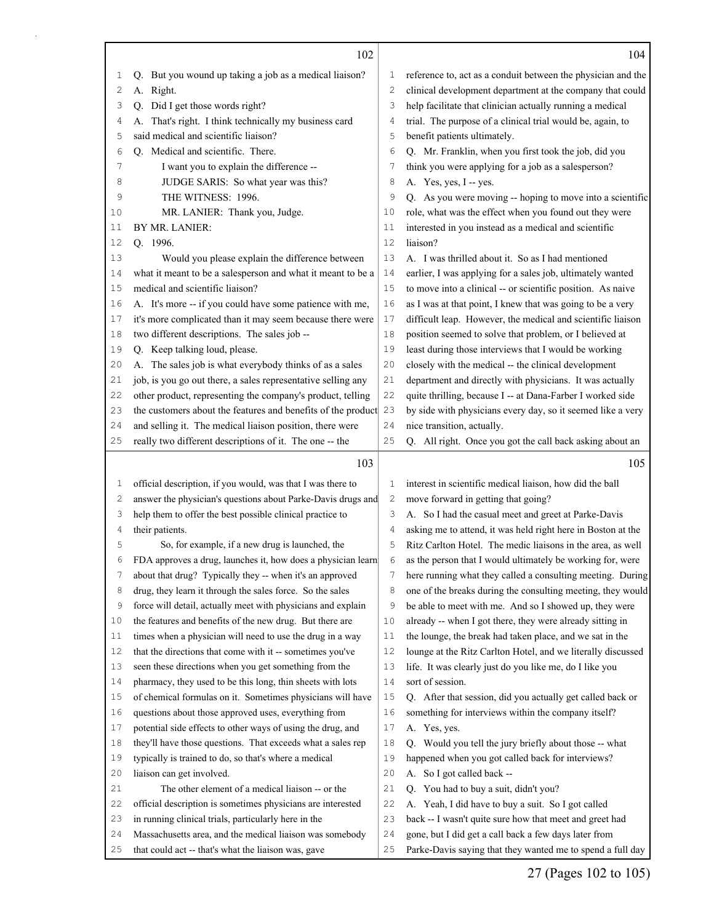|          | 102                                                                                                             |                | 104                                                                                                                                                                                     |
|----------|-----------------------------------------------------------------------------------------------------------------|----------------|-----------------------------------------------------------------------------------------------------------------------------------------------------------------------------------------|
| 1        | But you wound up taking a job as a medical liaison?<br>Q.                                                       | 1              | reference to, act as a conduit between the physician and the                                                                                                                            |
| 2        | A. Right.                                                                                                       | $\overline{c}$ | clinical development department at the company that could                                                                                                                               |
| 3        | Did I get those words right?<br>Q.                                                                              | 3              | help facilitate that clinician actually running a medical                                                                                                                               |
| 4        | That's right. I think technically my business card<br>А.                                                        | 4              | trial. The purpose of a clinical trial would be, again, to                                                                                                                              |
| 5        | said medical and scientific liaison?                                                                            | 5              | benefit patients ultimately.                                                                                                                                                            |
| 6        | Q. Medical and scientific. There.                                                                               | 6              | Q. Mr. Franklin, when you first took the job, did you                                                                                                                                   |
| 7        | I want you to explain the difference --                                                                         | 7              | think you were applying for a job as a salesperson?                                                                                                                                     |
| 8        | JUDGE SARIS: So what year was this?                                                                             | 8              | A. Yes, yes, I -- yes.                                                                                                                                                                  |
| 9        | THE WITNESS: 1996.                                                                                              | 9              | Q. As you were moving -- hoping to move into a scientific                                                                                                                               |
| 10       | MR. LANIER: Thank you, Judge.                                                                                   | 10             | role, what was the effect when you found out they were                                                                                                                                  |
| 11       | BY MR. LANIER:                                                                                                  | 11             | interested in you instead as a medical and scientific                                                                                                                                   |
| 12       | O. 1996.                                                                                                        | 12             | liaison?                                                                                                                                                                                |
| 13       | Would you please explain the difference between                                                                 | 13             | A. I was thrilled about it. So as I had mentioned                                                                                                                                       |
| 14       | what it meant to be a salesperson and what it meant to be a                                                     | 14             | earlier, I was applying for a sales job, ultimately wanted                                                                                                                              |
| 15       | medical and scientific liaison?                                                                                 | 15             | to move into a clinical -- or scientific position. As naive                                                                                                                             |
| 16       | A. It's more -- if you could have some patience with me,                                                        | 16             | as I was at that point, I knew that was going to be a very                                                                                                                              |
| 17       | it's more complicated than it may seem because there were                                                       | 17             | difficult leap. However, the medical and scientific liaison                                                                                                                             |
| 18       | two different descriptions. The sales job --                                                                    | 18             | position seemed to solve that problem, or I believed at                                                                                                                                 |
| 19       | Q. Keep talking loud, please.                                                                                   | 19             | least during those interviews that I would be working                                                                                                                                   |
| 20       | A. The sales job is what everybody thinks of as a sales                                                         | 20             | closely with the medical -- the clinical development                                                                                                                                    |
| 21       | job, is you go out there, a sales representative selling any                                                    | 21             | department and directly with physicians. It was actually                                                                                                                                |
| 22       | other product, representing the company's product, telling                                                      | 22             | quite thrilling, because I -- at Dana-Farber I worked side                                                                                                                              |
| 23       | the customers about the features and benefits of the product                                                    | 23             | by side with physicians every day, so it seemed like a very                                                                                                                             |
| 24       | and selling it. The medical liaison position, there were                                                        | 24             | nice transition, actually.                                                                                                                                                              |
| 25       | really two different descriptions of it. The one -- the                                                         | 25             | Q. All right. Once you got the call back asking about an                                                                                                                                |
|          |                                                                                                                 |                |                                                                                                                                                                                         |
|          |                                                                                                                 |                |                                                                                                                                                                                         |
|          | 103                                                                                                             |                | 105                                                                                                                                                                                     |
| 1        | official description, if you would, was that I was there to                                                     | $\mathbf 1$    | interest in scientific medical liaison, how did the ball                                                                                                                                |
| 2        | answer the physician's questions about Parke-Davis drugs and                                                    | 2              | move forward in getting that going?                                                                                                                                                     |
| 3        | help them to offer the best possible clinical practice to                                                       | 3              | A. So I had the casual meet and greet at Parke-Davis                                                                                                                                    |
| 4        | their patients.                                                                                                 | 4              | asking me to attend, it was held right here in Boston at the                                                                                                                            |
| 5        | So, for example, if a new drug is launched, the                                                                 | 5              | Ritz Carlton Hotel. The medic liaisons in the area, as well                                                                                                                             |
| 6        | FDA approves a drug, launches it, how does a physician learn                                                    | 6              | as the person that I would ultimately be working for, were                                                                                                                              |
| 7        | about that drug? Typically they -- when it's an approved                                                        | 7              |                                                                                                                                                                                         |
| 8        | drug, they learn it through the sales force. So the sales                                                       | 8              |                                                                                                                                                                                         |
| 9        | force will detail, actually meet with physicians and explain                                                    | 9              | be able to meet with me. And so I showed up, they were                                                                                                                                  |
| 10       | the features and benefits of the new drug. But there are                                                        | 10             | already -- when I got there, they were already sitting in                                                                                                                               |
| 11       | times when a physician will need to use the drug in a way                                                       | 11             | the lounge, the break had taken place, and we sat in the                                                                                                                                |
| 12       | that the directions that come with it -- sometimes you've                                                       | 12             | lounge at the Ritz Carlton Hotel, and we literally discussed                                                                                                                            |
| 13       | seen these directions when you get something from the                                                           | 13             | life. It was clearly just do you like me, do I like you                                                                                                                                 |
| 14       | pharmacy, they used to be this long, thin sheets with lots                                                      | 14             | sort of session.                                                                                                                                                                        |
| 15       | of chemical formulas on it. Sometimes physicians will have                                                      | 15             | here running what they called a consulting meeting. During<br>one of the breaks during the consulting meeting, they would<br>Q. After that session, did you actually get called back or |
| 16       | questions about those approved uses, everything from                                                            | 16             | something for interviews within the company itself?                                                                                                                                     |
| 17       | potential side effects to other ways of using the drug, and                                                     | 17             | A. Yes, yes.                                                                                                                                                                            |
| 18       | they'll have those questions. That exceeds what a sales rep                                                     | 18             | Q. Would you tell the jury briefly about those -- what                                                                                                                                  |
| 19       | typically is trained to do, so that's where a medical                                                           | 19             | happened when you got called back for interviews?                                                                                                                                       |
| 20       | liaison can get involved.                                                                                       | 20             | A. So I got called back --                                                                                                                                                              |
| 21       | The other element of a medical liaison -- or the                                                                | 21             | Q. You had to buy a suit, didn't you?                                                                                                                                                   |
| 22       | official description is sometimes physicians are interested                                                     | 22             | A. Yeah, I did have to buy a suit. So I got called                                                                                                                                      |
| 23       | in running clinical trials, particularly here in the                                                            | 23             | back -- I wasn't quite sure how that meet and greet had                                                                                                                                 |
| 24<br>25 | Massachusetts area, and the medical liaison was somebody<br>that could act -- that's what the liaison was, gave | 24<br>25       | gone, but I did get a call back a few days later from<br>Parke-Davis saying that they wanted me to spend a full day                                                                     |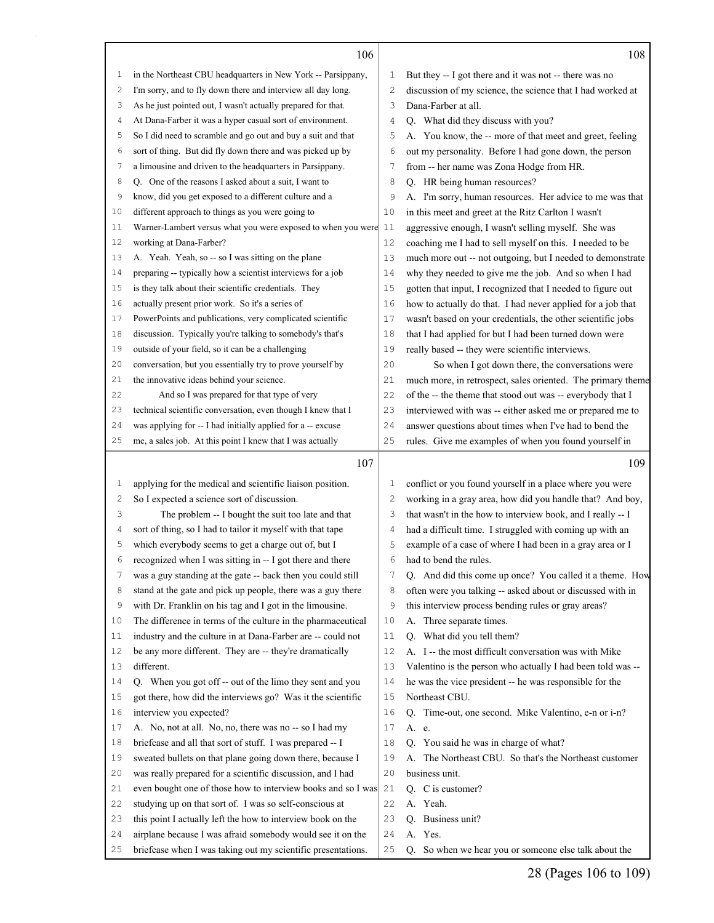|    | 106                                                             |    | 108                                                         |
|----|-----------------------------------------------------------------|----|-------------------------------------------------------------|
| 1  | in the Northeast CBU headquarters in New York -- Parsippany,    | 1  | But they -- I got there and it was not -- there was no      |
| 2  | I'm sorry, and to fly down there and interview all day long.    | 2  | discussion of my science, the science that I had worked at  |
| 3  | As he just pointed out, I wasn't actually prepared for that.    | 3  | Dana-Farber at all.                                         |
| 4  | At Dana-Farber it was a hyper casual sort of environment.       | 4  | Q. What did they discuss with you?                          |
| 5  | So I did need to scramble and go out and buy a suit and that    | 5  | A. You know, the -- more of that meet and greet, feeling    |
| 6  | sort of thing. But did fly down there and was picked up by      | 6  | out my personality. Before I had gone down, the person      |
| 7  | a limousine and driven to the headquarters in Parsippany.       | 7  | from -- her name was Zona Hodge from HR.                    |
| 8  | Q. One of the reasons I asked about a suit, I want to           | 8  | Q. HR being human resources?                                |
| 9  | know, did you get exposed to a different culture and a          | 9  | A. I'm sorry, human resources. Her advice to me was that    |
| 10 | different approach to things as you were going to               | 10 | in this meet and greet at the Ritz Carlton I wasn't         |
| 11 | Warner-Lambert versus what you were exposed to when you were 11 |    | aggressive enough, I wasn't selling myself. She was         |
| 12 | working at Dana-Farber?                                         | 12 | coaching me I had to sell myself on this. I needed to be    |
| 13 | A. Yeah. Yeah, so -- so I was sitting on the plane              | 13 | much more out -- not outgoing, but I needed to demonstrate  |
| 14 | preparing -- typically how a scientist interviews for a job     | 14 | why they needed to give me the job. And so when I had       |
| 15 | is they talk about their scientific credentials. They           | 15 | gotten that input, I recognized that I needed to figure out |
| 16 | actually present prior work. So it's a series of                | 16 | how to actually do that. I had never applied for a job that |
| 17 | PowerPoints and publications, very complicated scientific       | 17 | wasn't based on your credentials, the other scientific jobs |
| 18 | discussion. Typically you're talking to somebody's that's       | 18 | that I had applied for but I had been turned down were      |
| 19 | outside of your field, so it can be a challenging               | 19 | really based -- they were scientific interviews.            |
| 20 | conversation, but you essentially try to prove yourself by      | 20 | So when I got down there, the conversations were            |
| 21 | the innovative ideas behind your science.                       | 21 | much more, in retrospect, sales oriented. The primary theme |
| 22 | And so I was prepared for that type of very                     | 22 | of the -- the theme that stood out was -- everybody that I  |
| 23 | technical scientific conversation, even though I knew that I    | 23 | interviewed with was -- either asked me or prepared me to   |
| 24 | was applying for -- I had initially applied for a -- excuse     | 24 | answer questions about times when I've had to bend the      |
| 25 | me, a sales job. At this point I knew that I was actually       | 25 | rules. Give me examples of when you found yourself in       |
|    |                                                                 |    |                                                             |
|    |                                                                 |    |                                                             |
|    | 107                                                             |    | 109                                                         |
| 1  | applying for the medical and scientific liaison position.       | 1  | conflict or you found yourself in a place where you were    |
| 2  | So I expected a science sort of discussion.                     | 2  | working in a gray area, how did you handle that? And boy,   |
| 3  | The problem -- I bought the suit too late and that              | 3  | that wasn't in the how to interview book, and I really -- I |
| 4  | sort of thing, so I had to tailor it myself with that tape      | 4  | had a difficult time. I struggled with coming up with an    |
| 5  | which everybody seems to get a charge out of, but I             | 5  | example of a case of where I had been in a gray area or I   |
| 6  | recognized when I was sitting in -- I got there and there       | 6  | had to bend the rules.                                      |
| 7  | was a guy standing at the gate -- back then you could still     | 7  | Q. And did this come up once? You called it a theme. How    |
| 8  | stand at the gate and pick up people, there was a guy there     | 8  | often were you talking -- asked about or discussed with in  |
| 9  | with Dr. Franklin on his tag and I got in the limousine.        | 9  | this interview process bending rules or gray areas?         |
| 10 | The difference in terms of the culture in the pharmaceutical    | 10 | A. Three separate times.                                    |
| 11 | industry and the culture in at Dana-Farber are -- could not     | 11 | Q. What did you tell them?                                  |
| 12 | be any more different. They are -- they're dramatically         | 12 | A. I -- the most difficult conversation was with Mike       |
| 13 | different.                                                      | 13 | Valentino is the person who actually I had been told was -- |
| 14 | Q. When you got off -- out of the limo they sent and you        | 14 | he was the vice president -- he was responsible for the     |
| 15 | got there, how did the interviews go? Was it the scientific     | 15 | Northeast CBU.                                              |
| 16 | interview you expected?                                         | 16 | Q. Time-out, one second. Mike Valentino, e-n or i-n?        |
| 17 | A. No, not at all. No, no, there was no -- so I had my          | 17 | A. e.                                                       |
| 18 | briefcase and all that sort of stuff. I was prepared -- I       | 18 | Q. You said he was in charge of what?                       |
| 19 | sweated bullets on that plane going down there, because I       | 19 | A. The Northeast CBU. So that's the Northeast customer      |
| 20 | was really prepared for a scientific discussion, and I had      | 20 | business unit.                                              |
| 21 | even bought one of those how to interview books and so I was    | 21 | Q. C is customer?                                           |
| 22 | studying up on that sort of. I was so self-conscious at         | 22 | A. Yeah.                                                    |
| 23 | this point I actually left the how to interview book on the     | 23 | Q. Business unit?                                           |
| 24 | airplane because I was afraid somebody would see it on the      | 24 | A. Yes.                                                     |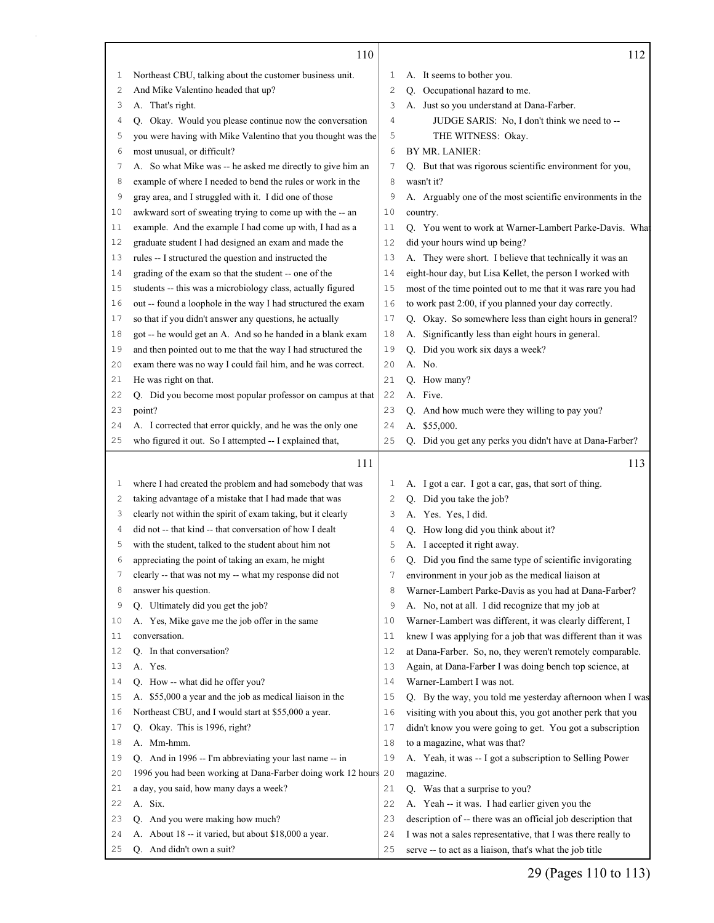|    | 110                                                             |    | 112                                                          |
|----|-----------------------------------------------------------------|----|--------------------------------------------------------------|
| 1  | Northeast CBU, talking about the customer business unit.        | 1  | A. It seems to bother you.                                   |
| 2  | And Mike Valentino headed that up?                              | 2  | Q. Occupational hazard to me.                                |
| 3  | A. That's right.                                                | 3  | A. Just so you understand at Dana-Farber.                    |
| 4  | Q. Okay. Would you please continue now the conversation         | 4  | JUDGE SARIS: No, I don't think we need to --                 |
| 5  | you were having with Mike Valentino that you thought was the    | 5  | THE WITNESS: Okay.                                           |
| 6  | most unusual, or difficult?                                     | 6  | BY MR. LANIER:                                               |
| 7  | A. So what Mike was -- he asked me directly to give him an      | 7  | Q. But that was rigorous scientific environment for you,     |
| 8  | example of where I needed to bend the rules or work in the      | 8  | wasn't it?                                                   |
| 9  | gray area, and I struggled with it. I did one of those          | 9  | A. Arguably one of the most scientific environments in the   |
| 10 | awkward sort of sweating trying to come up with the -- an       | 10 | country.                                                     |
| 11 | example. And the example I had come up with, I had as a         | 11 | Q. You went to work at Warner-Lambert Parke-Davis. What      |
| 12 | graduate student I had designed an exam and made the            | 12 | did your hours wind up being?                                |
| 13 | rules -- I structured the question and instructed the           | 13 | A. They were short. I believe that technically it was an     |
| 14 | grading of the exam so that the student -- one of the           | 14 | eight-hour day, but Lisa Kellet, the person I worked with    |
| 15 | students -- this was a microbiology class, actually figured     | 15 | most of the time pointed out to me that it was rare you had  |
| 16 | out -- found a loophole in the way I had structured the exam    | 16 | to work past 2:00, if you planned your day correctly.        |
| 17 | so that if you didn't answer any questions, he actually         | 17 | Q. Okay. So somewhere less than eight hours in general?      |
| 18 | got -- he would get an A. And so he handed in a blank exam      | 18 | A. Significantly less than eight hours in general.           |
| 19 | and then pointed out to me that the way I had structured the    | 19 | Q. Did you work six days a week?                             |
| 20 | exam there was no way I could fail him, and he was correct.     | 20 | A. No.                                                       |
| 21 | He was right on that.                                           | 21 | Q. How many?                                                 |
| 22 | Q. Did you become most popular professor on campus at that      | 22 | A. Five.                                                     |
| 23 | point?                                                          | 23 | Q. And how much were they willing to pay you?                |
| 24 | A. I corrected that error quickly, and he was the only one      | 24 | A. \$55,000.                                                 |
| 25 | who figured it out. So I attempted -- I explained that,         | 25 | Q. Did you get any perks you didn't have at Dana-Farber?     |
|    |                                                                 |    |                                                              |
|    |                                                                 |    |                                                              |
|    | 111                                                             |    | 113                                                          |
| 1  | where I had created the problem and had somebody that was       | 1  | A. I got a car. I got a car, gas, that sort of thing.        |
| 2  | taking advantage of a mistake that I had made that was          | 2  | Q. Did you take the job?                                     |
| 3  | clearly not within the spirit of exam taking, but it clearly    | 3  | A. Yes. Yes, I did.                                          |
| 4  | did not -- that kind -- that conversation of how I dealt        | 4  | Q. How long did you think about it?                          |
| 5  | with the student, talked to the student about him not           | 5  | A. I accepted it right away.                                 |
| 6  | appreciating the point of taking an exam, he might              | 6  | Q. Did you find the same type of scientific invigorating     |
| 7  | clearly -- that was not my -- what my response did not          | 7  | environment in your job as the medical liaison at            |
| 8  | answer his question.                                            | 8  | Warner-Lambert Parke-Davis as you had at Dana-Farber?        |
| 9  | Q. Ultimately did you get the job?                              | 9  | A. No, not at all. I did recognize that my job at            |
| 10 | A. Yes, Mike gave me the job offer in the same                  | 10 | Warner-Lambert was different, it was clearly different, I    |
| 11 | conversation.                                                   | 11 | knew I was applying for a job that was different than it was |
| 12 | Q. In that conversation?                                        | 12 | at Dana-Farber. So, no, they weren't remotely comparable.    |
| 13 | A. Yes.                                                         | 13 | Again, at Dana-Farber I was doing bench top science, at      |
| 14 | Q. How -- what did he offer you?                                | 14 | Warner-Lambert I was not.                                    |
| 15 | A. \$55,000 a year and the job as medical liaison in the        | 15 | Q. By the way, you told me yesterday afternoon when I was    |
| 16 | Northeast CBU, and I would start at \$55,000 a year.            | 16 | visiting with you about this, you got another perk that you  |
| 17 | Q. Okay. This is 1996, right?                                   | 17 | didn't know you were going to get. You got a subscription    |
| 18 | A. Mm-hmm.                                                      | 18 | to a magazine, what was that?                                |
| 19 | Q. And in 1996 -- I'm abbreviating your last name -- in         | 19 | A. Yeah, it was -- I got a subscription to Selling Power     |
| 20 | 1996 you had been working at Dana-Farber doing work 12 hours 20 |    | magazine.                                                    |
| 21 | a day, you said, how many days a week?                          | 21 | Q. Was that a surprise to you?                               |
| 22 | A. Six.                                                         | 22 | A. Yeah -- it was. I had earlier given you the               |
| 23 | Q. And you were making how much?                                | 23 | description of -- there was an official job description that |
| 24 | A. About 18 -- it varied, but about \$18,000 a year.            | 24 | I was not a sales representative, that I was there really to |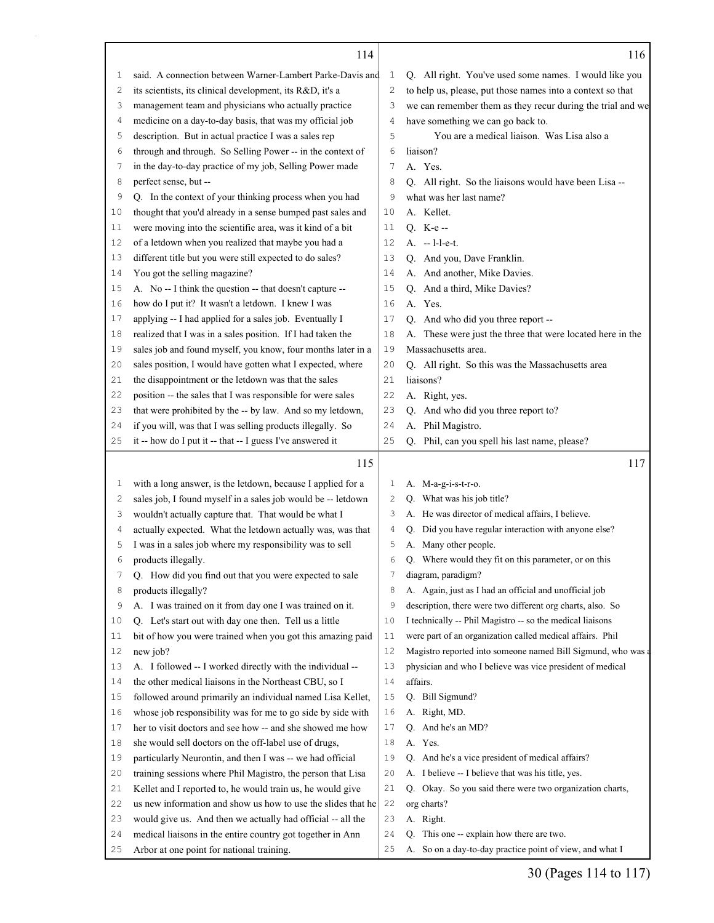|    | 114                                                                                                     |              | 116                                                          |
|----|---------------------------------------------------------------------------------------------------------|--------------|--------------------------------------------------------------|
| 1  | said. A connection between Warner-Lambert Parke-Davis and                                               | $\mathbf{1}$ | Q. All right. You've used some names. I would like you       |
| 2  | its scientists, its clinical development, its R&D, it's a                                               | $\mathbf{2}$ | to help us, please, put those names into a context so that   |
| 3  | management team and physicians who actually practice                                                    | 3            | we can remember them as they recur during the trial and we   |
| 4  | medicine on a day-to-day basis, that was my official job                                                | 4            | have something we can go back to.                            |
| 5  | description. But in actual practice I was a sales rep                                                   | 5            | You are a medical liaison. Was Lisa also a                   |
| 6  | through and through. So Selling Power -- in the context of                                              | 6            | liaison?                                                     |
| 7  | in the day-to-day practice of my job, Selling Power made                                                | 7            | A. Yes.                                                      |
| 8  | perfect sense, but --                                                                                   | 8            | Q. All right. So the liaisons would have been Lisa --        |
| 9  | Q. In the context of your thinking process when you had                                                 | 9            | what was her last name?                                      |
| 10 | thought that you'd already in a sense bumped past sales and                                             | 10           | A. Kellet.                                                   |
| 11 | were moving into the scientific area, was it kind of a bit                                              | 11           | Q. K-e-                                                      |
| 12 | of a letdown when you realized that maybe you had a                                                     | 12           | A. -- l-l-e-t.                                               |
| 13 | different title but you were still expected to do sales?                                                | 13           | Q. And you, Dave Franklin.                                   |
| 14 | You got the selling magazine?                                                                           | 14           | A. And another, Mike Davies.                                 |
| 15 | A. No -- I think the question -- that doesn't capture --                                                | 15           | Q. And a third, Mike Davies?                                 |
| 16 | how do I put it? It wasn't a letdown. I knew I was                                                      | 16           | A. Yes.                                                      |
| 17 | applying -- I had applied for a sales job. Eventually I                                                 | 17           | Q. And who did you three report --                           |
| 18 | realized that I was in a sales position. If I had taken the                                             | 18           | A. These were just the three that were located here in the   |
| 19 | sales job and found myself, you know, four months later in a                                            | 19           | Massachusetts area.                                          |
| 20 | sales position, I would have gotten what I expected, where                                              | 20           | Q. All right. So this was the Massachusetts area             |
| 21 | the disappointment or the letdown was that the sales                                                    | 21           | liaisons?                                                    |
| 22 | position -- the sales that I was responsible for were sales                                             | 22           | A. Right, yes.                                               |
| 23 | that were prohibited by the -- by law. And so my letdown,                                               | 23           | Q. And who did you three report to?                          |
| 24 | if you will, was that I was selling products illegally. So                                              | 24           | A. Phil Magistro.                                            |
| 25 | it -- how do I put it -- that -- I guess I've answered it                                               | 25           | Q. Phil, can you spell his last name, please?                |
|    |                                                                                                         |              |                                                              |
|    | 115                                                                                                     |              | 117                                                          |
| 1  | with a long answer, is the letdown, because I applied for a                                             | 1            | A. M-a-g-i-s-t-r-o.                                          |
| 2  | sales job, I found myself in a sales job would be -- letdown                                            | 2            | Q. What was his job title?                                   |
| 3  | wouldn't actually capture that. That would be what I                                                    | 3            | A. He was director of medical affairs, I believe.            |
| 4  | actually expected. What the letdown actually was, was that                                              | 4            | Did you have regular interaction with anyone else?<br>Q.     |
| 5  | I was in a sales job where my responsibility was to sell                                                | 5            | A. Many other people.                                        |
| 6  | products illegally.                                                                                     | 6            | Q. Where would they fit on this parameter, or on this        |
|    | Q. How did you find out that you were expected to sale                                                  | 7            | diagram, paradigm?                                           |
| 8  | products illegally?                                                                                     | 8            | A. Again, just as I had an official and unofficial job       |
| 9  | A. I was trained on it from day one I was trained on it.                                                | 9            | description, there were two different org charts, also. So   |
| 10 | Q. Let's start out with day one then. Tell us a little                                                  | 10           | I technically -- Phil Magistro -- so the medical liaisons    |
| 11 | bit of how you were trained when you got this amazing paid                                              | 11           | were part of an organization called medical affairs. Phil    |
| 12 | new job?                                                                                                | 12           | Magistro reported into someone named Bill Sigmund, who was a |
| 13 |                                                                                                         | 13           |                                                              |
| 14 | A. I followed -- I worked directly with the individual --                                               |              | physician and who I believe was vice president of medical    |
| 15 | the other medical liaisons in the Northeast CBU, so I                                                   | 14           | affairs.                                                     |
|    | followed around primarily an individual named Lisa Kellet,                                              | 15           | Q. Bill Sigmund?                                             |
| 16 | whose job responsibility was for me to go side by side with                                             | 16           | A. Right, MD.                                                |
| 17 | her to visit doctors and see how -- and she showed me how                                               | 17           | Q. And he's an MD?                                           |
| 18 | she would sell doctors on the off-label use of drugs,                                                   | 18           | A. Yes.                                                      |
| 19 | particularly Neurontin, and then I was -- we had official                                               | 19           | Q. And he's a vice president of medical affairs?             |
| 20 | training sessions where Phil Magistro, the person that Lisa                                             | 20           | A. I believe -- I believe that was his title, yes.           |
| 21 | Kellet and I reported to, he would train us, he would give                                              | 21           | Q. Okay. So you said there were two organization charts,     |
| 22 | us new information and show us how to use the slides that he                                            | 22           | org charts?                                                  |
| 23 | would give us. And then we actually had official -- all the                                             | 23           | A. Right.                                                    |
| 24 |                                                                                                         | 24           | Q. This one -- explain how there are two.                    |
| 25 | medical liaisons in the entire country got together in Ann<br>Arbor at one point for national training. | 25           | A. So on a day-to-day practice point of view, and what I     |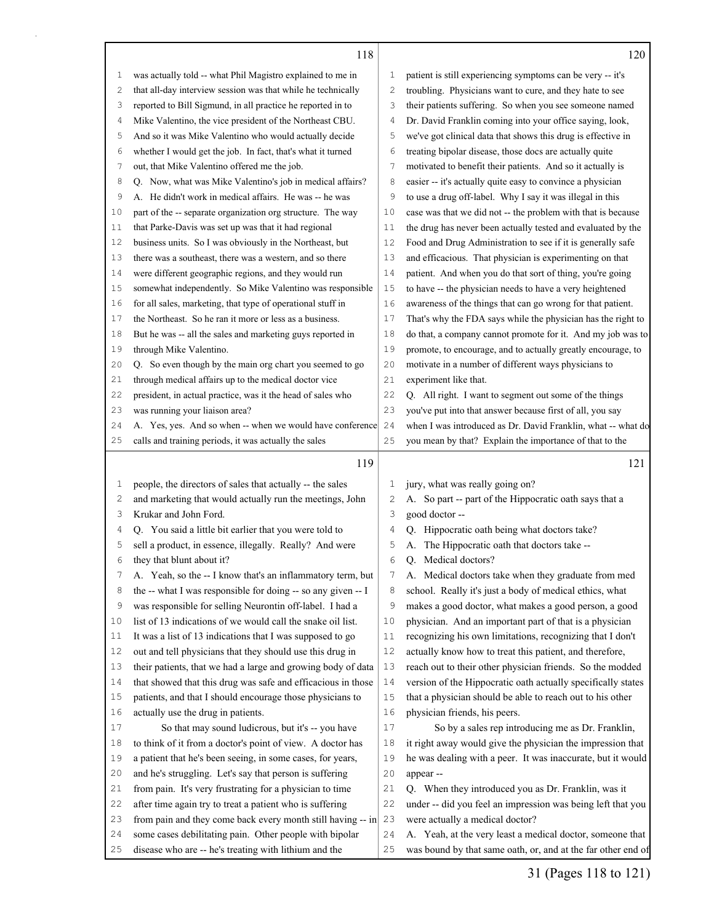|  | w<br>۰. |
|--|---------|
|  |         |

| 1        | was actually told -- what Phil Magistro explained to me in     | 1              | patient is still experiencing symptoms can be very -- it's                                                         |
|----------|----------------------------------------------------------------|----------------|--------------------------------------------------------------------------------------------------------------------|
| 2        | that all-day interview session was that while he technically   | $\overline{c}$ | troubling. Physicians want to cure, and they hate to see                                                           |
| 3        | reported to Bill Sigmund, in all practice he reported in to    | 3              | their patients suffering. So when you see someone named                                                            |
| 4        | Mike Valentino, the vice president of the Northeast CBU.       | 4              | Dr. David Franklin coming into your office saying, look,                                                           |
| 5        | And so it was Mike Valentino who would actually decide         | 5              | we've got clinical data that shows this drug is effective in                                                       |
| 6        | whether I would get the job. In fact, that's what it turned    | 6              | treating bipolar disease, those docs are actually quite                                                            |
| 7        | out, that Mike Valentino offered me the job.                   | $\overline{7}$ | motivated to benefit their patients. And so it actually is                                                         |
| 8        | Q. Now, what was Mike Valentino's job in medical affairs?      | 8              | easier -- it's actually quite easy to convince a physician                                                         |
| 9        | A. He didn't work in medical affairs. He was -- he was         | 9              | to use a drug off-label. Why I say it was illegal in this                                                          |
| 10       | part of the -- separate organization org structure. The way    | 10             | case was that we did not -- the problem with that is because                                                       |
| 11       | that Parke-Davis was set up was that it had regional           | 11             | the drug has never been actually tested and evaluated by the                                                       |
| 12       | business units. So I was obviously in the Northeast, but       | 12             | Food and Drug Administration to see if it is generally safe                                                        |
| 13       | there was a southeast, there was a western, and so there       | 13             | and efficacious. That physician is experimenting on that                                                           |
| 14       | were different geographic regions, and they would run          | 14             | patient. And when you do that sort of thing, you're going                                                          |
| 15       | somewhat independently. So Mike Valentino was responsible      | 15             | to have -- the physician needs to have a very heightened                                                           |
| 16       | for all sales, marketing, that type of operational stuff in    | 16             | awareness of the things that can go wrong for that patient.                                                        |
| 17       | the Northeast. So he ran it more or less as a business.        | 17             | That's why the FDA says while the physician has the right to                                                       |
| 18       | But he was -- all the sales and marketing guys reported in     | 18             | do that, a company cannot promote for it. And my job was to                                                        |
| 19       | through Mike Valentino.                                        | 19             | promote, to encourage, and to actually greatly encourage, to                                                       |
| 20       | Q. So even though by the main org chart you seemed to go       | 20             | motivate in a number of different ways physicians to                                                               |
| 21       | through medical affairs up to the medical doctor vice          | 21             | experiment like that.                                                                                              |
| 22       | president, in actual practice, was it the head of sales who    | 22             | Q. All right. I want to segment out some of the things                                                             |
| 23       | was running your liaison area?                                 | 23             | you've put into that answer because first of all, you say                                                          |
| 24       | A. Yes, yes. And so when -- when we would have conference      | 24             | when I was introduced as Dr. David Franklin, what -- what do                                                       |
| 25       | calls and training periods, it was actually the sales          | 25             | you mean by that? Explain the importance of that to the                                                            |
|          | 119                                                            |                | 121                                                                                                                |
| 1        | people, the directors of sales that actually -- the sales      | 1              | jury, what was really going on?                                                                                    |
| 2        | and marketing that would actually run the meetings, John       | $\mathbf{2}$   | A. So part -- part of the Hippocratic oath says that a                                                             |
| 3        | Krukar and John Ford.                                          | 3              | good doctor --                                                                                                     |
| 4        | Q. You said a little bit earlier that you were told to         | 4              | Q. Hippocratic oath being what doctors take?                                                                       |
| 5        | sell a product, in essence, illegally. Really? And were        | 5              | The Hippocratic oath that doctors take --<br>А.                                                                    |
| 6        | they that blunt about it?                                      | 6              | Medical doctors?<br>O.                                                                                             |
| 7        | A. Yeah, so the -- I know that's an inflammatory term, but     | 7              | A. Medical doctors take when they graduate from med                                                                |
| 8        | the -- what I was responsible for doing -- so any given -- I   | 8              | school. Really it's just a body of medical ethics, what                                                            |
| 9        | was responsible for selling Neurontin off-label. I had a       | 9              | makes a good doctor, what makes a good person, a good                                                              |
| 10       | list of 13 indications of we would call the snake oil list.    | 10             | physician. And an important part of that is a physician                                                            |
| 11       | It was a list of 13 indications that I was supposed to go      | 11             | recognizing his own limitations, recognizing that I don't                                                          |
| 12       | out and tell physicians that they should use this drug in      | 12             | actually know how to treat this patient, and therefore,                                                            |
| 13       | their patients, that we had a large and growing body of data   | 13             | reach out to their other physician friends. So the modded                                                          |
| 14       | that showed that this drug was safe and efficacious in those   | 14             | version of the Hippocratic oath actually specifically states                                                       |
| 15       | patients, and that I should encourage those physicians to      | 15             | that a physician should be able to reach out to his other                                                          |
| 16       | actually use the drug in patients.                             | 16             | physician friends, his peers.                                                                                      |
| 17       | So that may sound ludicrous, but it's -- you have              | 17             | So by a sales rep introducing me as Dr. Franklin,                                                                  |
| 18       | to think of it from a doctor's point of view. A doctor has     | 18             | it right away would give the physician the impression that                                                         |
| 19       |                                                                | 19             | he was dealing with a peer. It was inaccurate, but it would                                                        |
|          | a patient that he's been seeing, in some cases, for years,     | 20             |                                                                                                                    |
| 20       | and he's struggling. Let's say that person is suffering        |                | appear --                                                                                                          |
| 21<br>22 | from pain. It's very frustrating for a physician to time       | 21<br>22       | Q. When they introduced you as Dr. Franklin, was it<br>under -- did you feel an impression was being left that you |
| 23       | after time again try to treat a patient who is suffering       |                |                                                                                                                    |
| 24       | from pain and they come back every month still having -- in 23 |                | were actually a medical doctor?                                                                                    |
|          | some cases debilitating pain. Other people with bipolar        | 24             | A. Yeah, at the very least a medical doctor, someone that                                                          |
| 25       | disease who are -- he's treating with lithium and the          | 25             | was bound by that same oath, or, and at the far other end of                                                       |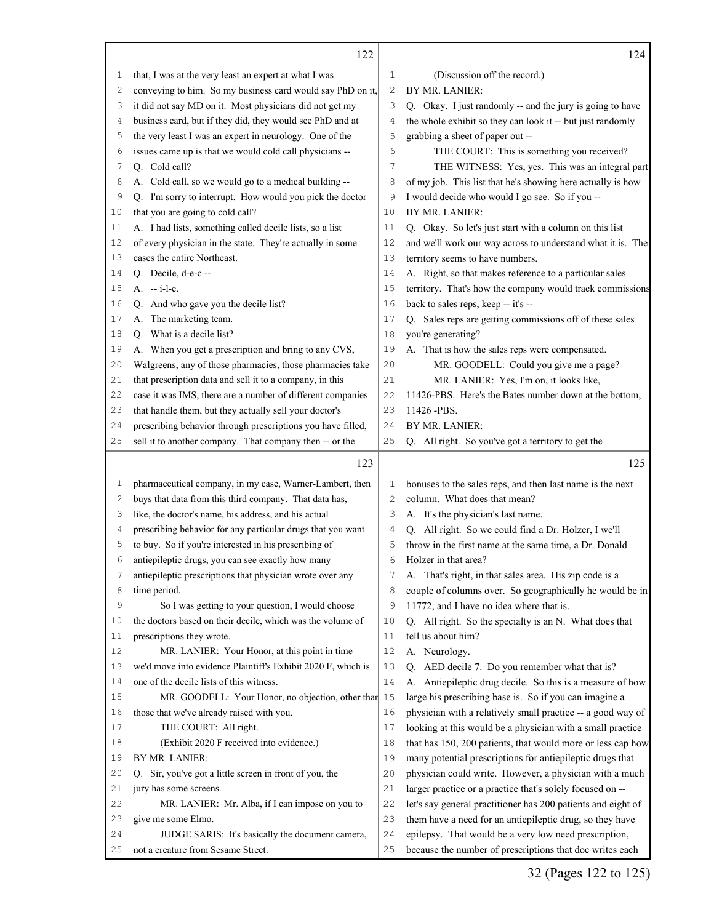|    | 122                                                          |              | 124                                                          |
|----|--------------------------------------------------------------|--------------|--------------------------------------------------------------|
| 1  | that, I was at the very least an expert at what I was        | 1            | (Discussion off the record.)                                 |
| 2  | conveying to him. So my business card would say PhD on it,   | $\mathbf{2}$ | BY MR. LANIER:                                               |
| 3  | it did not say MD on it. Most physicians did not get my      | 3            | Q. Okay. I just randomly -- and the jury is going to have    |
| 4  | business card, but if they did, they would see PhD and at    | 4            | the whole exhibit so they can look it -- but just randomly   |
| 5  | the very least I was an expert in neurology. One of the      | 5            | grabbing a sheet of paper out --                             |
| 6  | issues came up is that we would cold call physicians --      | 6            | THE COURT: This is something you received?                   |
| 7  | Q. Cold call?                                                | 7            | THE WITNESS: Yes, yes. This was an integral part             |
| 8  | A. Cold call, so we would go to a medical building --        | 8            | of my job. This list that he's showing here actually is how  |
| 9  | Q. I'm sorry to interrupt. How would you pick the doctor     | 9            | I would decide who would I go see. So if you --              |
| 10 | that you are going to cold call?                             | 10           | BY MR. LANIER:                                               |
| 11 | A. I had lists, something called decile lists, so a list     | 11           | Q. Okay. So let's just start with a column on this list      |
| 12 | of every physician in the state. They're actually in some    | 12           | and we'll work our way across to understand what it is. The  |
| 13 | cases the entire Northeast.                                  | 13           | territory seems to have numbers.                             |
| 14 | Q. Decile, d-e-c--                                           | 14           | A. Right, so that makes reference to a particular sales      |
| 15 | $A. -i-l-e.$                                                 | 15           | territory. That's how the company would track commissions    |
| 16 | Q. And who gave you the decile list?                         | 16           | back to sales reps, keep -- it's --                          |
| 17 | A. The marketing team.                                       | 17           | Q. Sales reps are getting commissions off of these sales     |
| 18 | Q. What is a decile list?                                    | 18           | you're generating?                                           |
| 19 | A. When you get a prescription and bring to any CVS,         | 19           | A. That is how the sales reps were compensated.              |
| 20 | Walgreens, any of those pharmacies, those pharmacies take    | 20           | MR. GOODELL: Could you give me a page?                       |
| 21 | that prescription data and sell it to a company, in this     | 21           | MR. LANIER: Yes, I'm on, it looks like,                      |
| 22 | case it was IMS, there are a number of different companies   | 22           | 11426-PBS. Here's the Bates number down at the bottom,       |
| 23 | that handle them, but they actually sell your doctor's       | 23           | 11426 - PBS.                                                 |
| 24 | prescribing behavior through prescriptions you have filled,  | 24           | BY MR. LANIER:                                               |
| 25 | sell it to another company. That company then -- or the      | 25           | Q. All right. So you've got a territory to get the           |
|    | 123                                                          |              | 125                                                          |
| 1  | pharmaceutical company, in my case, Warner-Lambert, then     | 1            | bonuses to the sales reps, and then last name is the next    |
| 2  | buys that data from this third company. That data has,       | 2            | column. What does that mean?                                 |
| 3  | like, the doctor's name, his address, and his actual         | 3            | A. It's the physician's last name.                           |
| 4  | prescribing behavior for any particular drugs that you want  | 4            | Q. All right. So we could find a Dr. Holzer, I we'll         |
| 5  | to buy. So if you're interested in his prescribing of        | 5            | throw in the first name at the same time, a Dr. Donald       |
| 6  | antiepileptic drugs, you can see exactly how many            | 6            | Holzer in that area?                                         |
| 7  | antiepileptic prescriptions that physician wrote over any    | 7            | A. That's right, in that sales area. His zip code is a       |
| 8  | time period.                                                 | 8            | couple of columns over. So geographically he would be in     |
| 9  | So I was getting to your question, I would choose            | 9            | 11772, and I have no idea where that is.                     |
| 10 | the doctors based on their decile, which was the volume of   | 10           | Q. All right. So the specialty is an N. What does that       |
| 11 | prescriptions they wrote.                                    | 11           | tell us about him?                                           |
| 12 | MR. LANIER: Your Honor, at this point in time                | 12           | A. Neurology.                                                |
| 13 | we'd move into evidence Plaintiff's Exhibit 2020 F, which is | 13           | Q. AED decile 7. Do you remember what that is?               |
| 14 | one of the decile lists of this witness.                     | 14           | A. Antiepileptic drug decile. So this is a measure of how    |
| 15 | MR. GOODELL: Your Honor, no objection, other than 15         |              | large his prescribing base is. So if you can imagine a       |
| 16 | those that we've already raised with you.                    | 16           | physician with a relatively small practice -- a good way of  |
| 17 | THE COURT: All right.                                        | 17           | looking at this would be a physician with a small practice   |
| 18 | (Exhibit 2020 F received into evidence.)                     | 18           | that has 150, 200 patients, that would more or less cap how  |
| 19 | BY MR. LANIER:                                               | 19           | many potential prescriptions for antiepileptic drugs that    |
| 20 | Sir, you've got a little screen in front of you, the<br>Q.   | 20           | physician could write. However, a physician with a much      |
| 21 | jury has some screens.                                       | 21           | larger practice or a practice that's solely focused on --    |
| 22 | MR. LANIER: Mr. Alba, if I can impose on you to              | 22           | let's say general practitioner has 200 patients and eight of |
| 23 | give me some Elmo.                                           | 23           | them have a need for an antiepileptic drug, so they have     |
| 24 | JUDGE SARIS: It's basically the document camera,             | 24           | epilepsy. That would be a very low need prescription,        |
|    |                                                              |              |                                                              |
| 25 | not a creature from Sesame Street.                           | 25           | because the number of prescriptions that doc writes each     |

 $\mathsf{r}$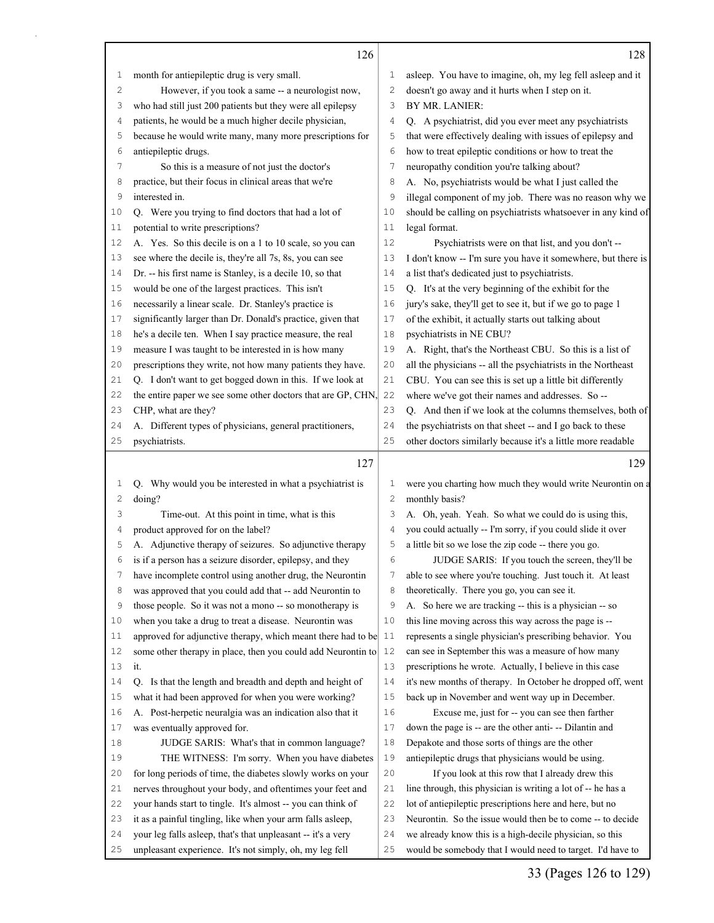|              | 126                                                                                                                       |          | 128                                                                                                                    |
|--------------|---------------------------------------------------------------------------------------------------------------------------|----------|------------------------------------------------------------------------------------------------------------------------|
| 1            | month for antiepileptic drug is very small.                                                                               | 1        | asleep. You have to imagine, oh, my leg fell asleep and it                                                             |
| $\mathbf{2}$ | However, if you took a same -- a neurologist now,                                                                         | 2        | doesn't go away and it hurts when I step on it.                                                                        |
| 3            | who had still just 200 patients but they were all epilepsy                                                                | 3        | BY MR. LANIER:                                                                                                         |
| 4            | patients, he would be a much higher decile physician,                                                                     | 4        | Q. A psychiatrist, did you ever meet any psychiatrists                                                                 |
| 5            | because he would write many, many more prescriptions for                                                                  | 5        | that were effectively dealing with issues of epilepsy and                                                              |
| 6            | antiepileptic drugs.                                                                                                      | 6        | how to treat epileptic conditions or how to treat the                                                                  |
| 7            | So this is a measure of not just the doctor's                                                                             | 7        | neuropathy condition you're talking about?                                                                             |
| 8            | practice, but their focus in clinical areas that we're                                                                    | 8        | A. No, psychiatrists would be what I just called the                                                                   |
| 9            | interested in.                                                                                                            | 9        | illegal component of my job. There was no reason why we                                                                |
| 10           | Q. Were you trying to find doctors that had a lot of                                                                      | 10       | should be calling on psychiatrists whatsoever in any kind of                                                           |
| 11           | potential to write prescriptions?                                                                                         | 11       | legal format.                                                                                                          |
| 12           | A. Yes. So this decile is on a 1 to 10 scale, so you can                                                                  | 12       | Psychiatrists were on that list, and you don't --                                                                      |
| 13           | see where the decile is, they're all 7s, 8s, you can see                                                                  | 13       | I don't know -- I'm sure you have it somewhere, but there is                                                           |
| 14           | Dr. -- his first name is Stanley, is a decile 10, so that                                                                 | 14       | a list that's dedicated just to psychiatrists.                                                                         |
| 15           | would be one of the largest practices. This isn't                                                                         | 15       | Q. It's at the very beginning of the exhibit for the                                                                   |
| 16           | necessarily a linear scale. Dr. Stanley's practice is                                                                     | 16       | jury's sake, they'll get to see it, but if we go to page 1                                                             |
| 17           | significantly larger than Dr. Donald's practice, given that                                                               | 17       | of the exhibit, it actually starts out talking about                                                                   |
| 18           | he's a decile ten. When I say practice measure, the real                                                                  | 18       | psychiatrists in NE CBU?                                                                                               |
| 19           | measure I was taught to be interested in is how many                                                                      | 19       | A. Right, that's the Northeast CBU. So this is a list of                                                               |
| 20           | prescriptions they write, not how many patients they have.                                                                | 20       | all the physicians -- all the psychiatrists in the Northeast                                                           |
| 21           | Q. I don't want to get bogged down in this. If we look at                                                                 | 21       | CBU. You can see this is set up a little bit differently                                                               |
| 22           | the entire paper we see some other doctors that are GP, CHN,                                                              | 22       | where we've got their names and addresses. So --                                                                       |
| 23           | CHP, what are they?                                                                                                       | 23       | Q. And then if we look at the columns themselves, both of                                                              |
| 24           | A. Different types of physicians, general practitioners,                                                                  | 24       | the psychiatrists on that sheet -- and I go back to these                                                              |
| 25           | psychiatrists.                                                                                                            | 25       | other doctors similarly because it's a little more readable                                                            |
|              | 127                                                                                                                       |          | 129                                                                                                                    |
|              |                                                                                                                           |          |                                                                                                                        |
| 1            | Q. Why would you be interested in what a psychiatrist is                                                                  | 1        | were you charting how much they would write Neurontin on a                                                             |
| 2            | doing?                                                                                                                    | 2        | monthly basis?                                                                                                         |
| 3            | Time-out. At this point in time, what is this                                                                             | 3        | A. Oh, yeah. Yeah. So what we could do is using this,                                                                  |
| 4            | product approved for on the label?                                                                                        | 4        | you could actually -- I'm sorry, if you could slide it over                                                            |
| 5            | A. Adjunctive therapy of seizures. So adjunctive therapy                                                                  | 5        | a little bit so we lose the zip code -- there you go.                                                                  |
| 6            | is if a person has a seizure disorder, epilepsy, and they                                                                 | 6        | JUDGE SARIS: If you touch the screen, they'll be                                                                       |
| 7            | have incomplete control using another drug, the Neurontin                                                                 | 7        | able to see where you're touching. Just touch it. At least                                                             |
| 8            | was approved that you could add that -- add Neurontin to                                                                  | 8        | theoretically. There you go, you can see it.                                                                           |
| 9            | those people. So it was not a mono -- so monotherapy is                                                                   | 9        | A. So here we are tracking -- this is a physician -- so                                                                |
| 10           | when you take a drug to treat a disease. Neurontin was                                                                    | 10       | this line moving across this way across the page is --                                                                 |
| $1\,1$       | approved for adjunctive therapy, which meant there had to be                                                              | 11       | represents a single physician's prescribing behavior. You                                                              |
| 12           | some other therapy in place, then you could add Neurontin to                                                              | 12       | can see in September this was a measure of how many                                                                    |
| 13           | it.                                                                                                                       | 13       | prescriptions he wrote. Actually, I believe in this case                                                               |
| 14           | Q. Is that the length and breadth and depth and height of                                                                 | 14       | it's new months of therapy. In October he dropped off, went                                                            |
| 15           | what it had been approved for when you were working?                                                                      | 15       | back up in November and went way up in December.                                                                       |
| 16<br>17     | A. Post-herpetic neuralgia was an indication also that it                                                                 | 16<br>17 | Excuse me, just for -- you can see then farther<br>down the page is -- are the other anti- -- Dilantin and             |
|              | was eventually approved for.                                                                                              |          |                                                                                                                        |
| 18<br>19     | JUDGE SARIS: What's that in common language?                                                                              | 18<br>19 | Depakote and those sorts of things are the other                                                                       |
|              | THE WITNESS: I'm sorry. When you have diabetes                                                                            | 20       | antiepileptic drugs that physicians would be using.                                                                    |
| 20           | for long periods of time, the diabetes slowly works on your                                                               |          | If you look at this row that I already drew this                                                                       |
| 21<br>22     | nerves throughout your body, and oftentimes your feet and                                                                 | 21<br>22 | line through, this physician is writing a lot of -- he has a                                                           |
| 23           | your hands start to tingle. It's almost -- you can think of<br>it as a painful tingling, like when your arm falls asleep, | 23       | lot of antiepileptic prescriptions here and here, but no<br>Neurontin. So the issue would then be to come -- to decide |
| 24           |                                                                                                                           |          |                                                                                                                        |
|              |                                                                                                                           |          |                                                                                                                        |
| 25           | your leg falls asleep, that's that unpleasant -- it's a very<br>unpleasant experience. It's not simply, oh, my leg fell   | 24<br>25 | we already know this is a high-decile physician, so this<br>would be somebody that I would need to target. I'd have to |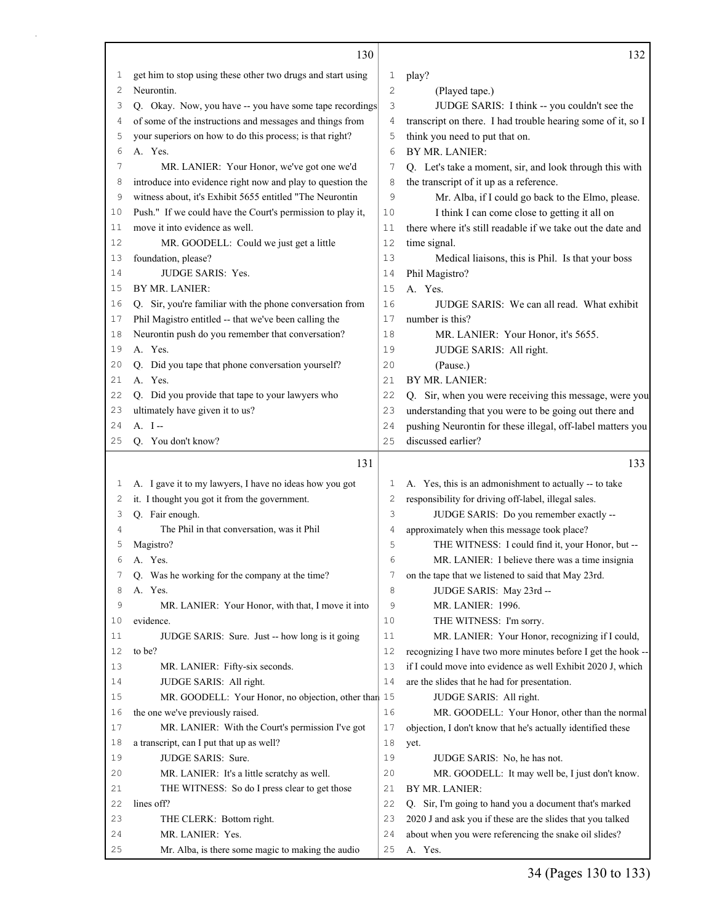|          | 130                                                                   |                | 132                                                              |
|----------|-----------------------------------------------------------------------|----------------|------------------------------------------------------------------|
| 1        | get him to stop using these other two drugs and start using           | 1              | play?                                                            |
| 2        | Neurontin.                                                            | 2              | (Played tape.)                                                   |
| 3        | Q. Okay. Now, you have -- you have some tape recordings               | 3              | JUDGE SARIS: I think -- you couldn't see the                     |
| 4        | of some of the instructions and messages and things from              | 4              | transcript on there. I had trouble hearing some of it, so I      |
| 5        | your superiors on how to do this process; is that right?              | 5              | think you need to put that on.                                   |
| 6        | A. Yes.                                                               | 6              | BY MR. LANIER:                                                   |
| 7        | MR. LANIER: Your Honor, we've got one we'd                            | 7              | Q. Let's take a moment, sir, and look through this with          |
| 8        | introduce into evidence right now and play to question the            | 8              | the transcript of it up as a reference.                          |
| 9        | witness about, it's Exhibit 5655 entitled "The Neurontin              | 9              | Mr. Alba, if I could go back to the Elmo, please.                |
| 10       | Push." If we could have the Court's permission to play it,            | 10             | I think I can come close to getting it all on                    |
| 11       | move it into evidence as well.                                        | 11             | there where it's still readable if we take out the date and      |
| 12       | MR. GOODELL: Could we just get a little                               | 12             | time signal.                                                     |
| 13       | foundation, please?                                                   | 13             | Medical liaisons, this is Phil. Is that your boss                |
| 14       | JUDGE SARIS: Yes.                                                     | 14             | Phil Magistro?                                                   |
| 15       | BY MR. LANIER:                                                        | 15             | A. Yes.                                                          |
| 16       | Q. Sir, you're familiar with the phone conversation from              | 16             | JUDGE SARIS: We can all read. What exhibit                       |
| 17       | Phil Magistro entitled -- that we've been calling the                 | 17             | number is this?                                                  |
| 18       | Neurontin push do you remember that conversation?                     | 18             | MR. LANIER: Your Honor, it's 5655.                               |
| 19       | A. Yes.                                                               | 19             | JUDGE SARIS: All right.                                          |
| 20       | Q. Did you tape that phone conversation yourself?                     | 20             | (Pause.)                                                         |
| 21       | A. Yes.                                                               | 21             | BY MR. LANIER:                                                   |
| 22       | Q. Did you provide that tape to your lawyers who                      | 22             | Q. Sir, when you were receiving this message, were you           |
| 23       | ultimately have given it to us?                                       | 23             | understanding that you were to be going out there and            |
| 24       | $A. I -$                                                              | 24             | pushing Neurontin for these illegal, off-label matters you       |
| 25       | Q. You don't know?                                                    | 25             | discussed earlier?                                               |
|          | 131                                                                   |                | 133                                                              |
|          |                                                                       |                |                                                                  |
|          |                                                                       |                |                                                                  |
| 1        | A. I gave it to my lawyers, I have no ideas how you got               | 1              | A. Yes, this is an admonishment to actually -- to take           |
| 2        | it. I thought you got it from the government.                         | $\overline{c}$ | responsibility for driving off-label, illegal sales.             |
| 3<br>4   | Q. Fair enough.                                                       | 3              | JUDGE SARIS: Do you remember exactly --                          |
|          | The Phil in that conversation, was it Phil                            | 4              | approximately when this message took place?                      |
| 5        | Magistro?                                                             | 5              | THE WITNESS: I could find it, your Honor, but --                 |
| 6        | A. Yes.                                                               | 6              | MR. LANIER: I believe there was a time insignia                  |
| 7        | Q. Was he working for the company at the time?                        | 7              | on the tape that we listened to said that May 23rd.              |
| 8        | A. Yes.                                                               | 8              | JUDGE SARIS: May 23rd --                                         |
| 9        | MR. LANIER: Your Honor, with that, I move it into                     | 9              | MR. LANIER: 1996.                                                |
| 10       | evidence.                                                             | 10             | THE WITNESS: I'm sorry.                                          |
| 11       | JUDGE SARIS: Sure. Just -- how long is it going                       | 11             | MR. LANIER: Your Honor, recognizing if I could,                  |
| 12       | to be?                                                                | 12             | recognizing I have two more minutes before I get the hook --     |
| 13       | MR. LANIER: Fifty-six seconds.                                        | 13             | if I could move into evidence as well Exhibit 2020 J, which      |
| 14       | JUDGE SARIS: All right.                                               | 14             | are the slides that he had for presentation.                     |
| 15       | MR. GOODELL: Your Honor, no objection, other than 15                  |                | JUDGE SARIS: All right.                                          |
| 16       | the one we've previously raised.                                      | 16             | MR. GOODELL: Your Honor, other than the normal                   |
| 17       | MR. LANIER: With the Court's permission I've got                      | 17             | objection, I don't know that he's actually identified these      |
| 18       | a transcript, can I put that up as well?                              | 18             | yet.                                                             |
| 19       | JUDGE SARIS: Sure.                                                    | 19             | JUDGE SARIS: No, he has not.                                     |
| 20       | MR. LANIER: It's a little scratchy as well.                           | 20             | MR. GOODELL: It may well be, I just don't know.                  |
| 21       | THE WITNESS: So do I press clear to get those                         | 21             | BY MR. LANIER:                                                   |
| 22       | lines off?                                                            | 22             | Q. Sir, I'm going to hand you a document that's marked           |
| 23       | THE CLERK: Bottom right.                                              | 23             | 2020 J and ask you if these are the slides that you talked       |
| 24<br>25 | MR. LANIER: Yes.<br>Mr. Alba, is there some magic to making the audio | 24<br>25       | about when you were referencing the snake oil slides?<br>A. Yes. |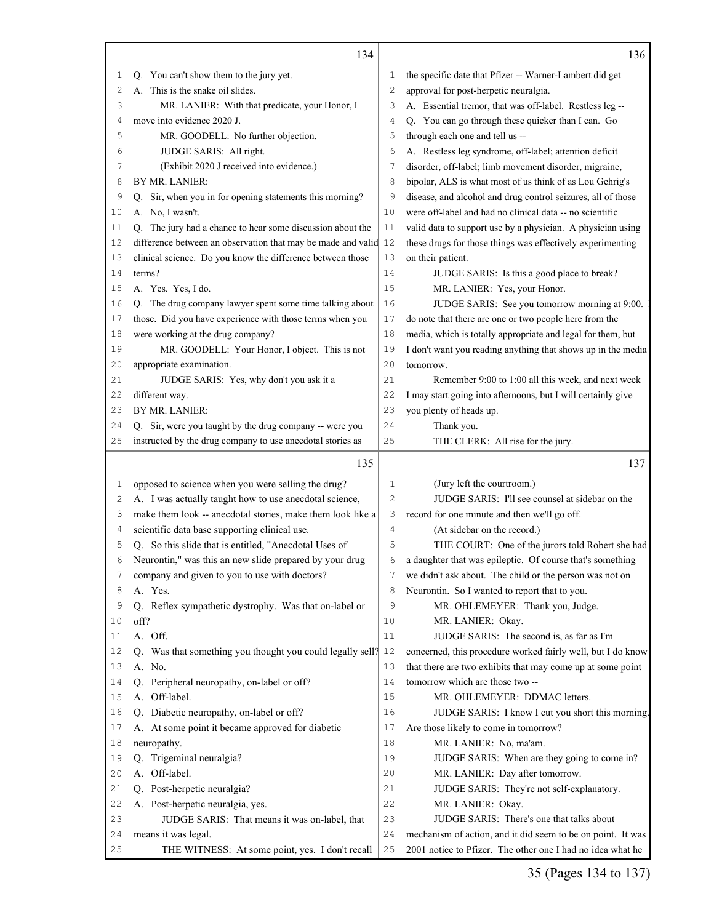|          | 134                                                                    |          | 136                                                                                                                       |
|----------|------------------------------------------------------------------------|----------|---------------------------------------------------------------------------------------------------------------------------|
| 1        | Q. You can't show them to the jury yet.                                | 1        | the specific date that Pfizer -- Warner-Lambert did get                                                                   |
| 2        | A. This is the snake oil slides.                                       | 2        | approval for post-herpetic neuralgia.                                                                                     |
| 3        | MR. LANIER: With that predicate, your Honor, I                         | 3        | A. Essential tremor, that was off-label. Restless leg --                                                                  |
| 4        | move into evidence 2020 J.                                             | 4        | Q. You can go through these quicker than I can. Go                                                                        |
| 5        | MR. GOODELL: No further objection.                                     | 5        | through each one and tell us --                                                                                           |
| 6        | JUDGE SARIS: All right.                                                | 6        | A. Restless leg syndrome, off-label; attention deficit                                                                    |
| 7        | (Exhibit 2020 J received into evidence.)                               | 7        | disorder, off-label; limb movement disorder, migraine,                                                                    |
| 8        | BY MR. LANIER:                                                         | 8        | bipolar, ALS is what most of us think of as Lou Gehrig's                                                                  |
| 9        | Q. Sir, when you in for opening statements this morning?               | 9        | disease, and alcohol and drug control seizures, all of those                                                              |
| 10       | A. No, I wasn't.                                                       | 10       | were off-label and had no clinical data -- no scientific                                                                  |
| 11       | Q. The jury had a chance to hear some discussion about the             | 11       | valid data to support use by a physician. A physician using                                                               |
| 12       | difference between an observation that may be made and valid 12        |          | these drugs for those things was effectively experimenting                                                                |
| 13       | clinical science. Do you know the difference between those             | 13       | on their patient.                                                                                                         |
| 14       | terms?                                                                 | 14       | JUDGE SARIS: Is this a good place to break?                                                                               |
| 15       | A. Yes. Yes, I do.                                                     | 15       | MR. LANIER: Yes, your Honor.                                                                                              |
| 16       | Q. The drug company lawyer spent some time talking about               | 16       | JUDGE SARIS: See you tomorrow morning at 9:00.                                                                            |
| 17       | those. Did you have experience with those terms when you               | 17       | do note that there are one or two people here from the                                                                    |
| 18       | were working at the drug company?                                      | 18       | media, which is totally appropriate and legal for them, but                                                               |
| 19       | MR. GOODELL: Your Honor, I object. This is not                         | 19       | I don't want you reading anything that shows up in the media                                                              |
| 20       | appropriate examination.                                               | 20       | tomorrow.                                                                                                                 |
| 21       | JUDGE SARIS: Yes, why don't you ask it a                               | 21       | Remember 9:00 to 1:00 all this week, and next week                                                                        |
| 22       | different way.                                                         | 22       | I may start going into afternoons, but I will certainly give                                                              |
| 23       | BY MR. LANIER:                                                         | 23       | you plenty of heads up.                                                                                                   |
| 24       | Q. Sir, were you taught by the drug company -- were you                | 24       | Thank you.                                                                                                                |
| 25       | instructed by the drug company to use anecdotal stories as             | 25       | THE CLERK: All rise for the jury.                                                                                         |
|          | 135                                                                    |          | 137                                                                                                                       |
| 1        | opposed to science when you were selling the drug?                     | 1        | (Jury left the courtroom.)                                                                                                |
| 2        | A. I was actually taught how to use anecdotal science,                 | 2        | JUDGE SARIS: I'll see counsel at sidebar on the                                                                           |
| 3        | make them look -- anecdotal stories, make them look like a             | 3        | record for one minute and then we'll go off.                                                                              |
| 4        | scientific data base supporting clinical use.                          | 4        | (At sidebar on the record.)                                                                                               |
| 5        | Q. So this slide that is entitled, "Anecdotal Uses of                  | 5        | THE COURT: One of the jurors told Robert she had                                                                          |
| 6        | Neurontin," was this an new slide prepared by your drug                | 6        | a daughter that was epileptic. Of course that's something                                                                 |
| 7        | company and given to you to use with doctors?                          | 7        | we didn't ask about. The child or the person was not on                                                                   |
| 8        | A. Yes.                                                                | 8        | Neurontin. So I wanted to report that to you.                                                                             |
| 9        | Q. Reflex sympathetic dystrophy. Was that on-label or                  | 9        | MR. OHLEMEYER: Thank you, Judge.                                                                                          |
| 10       | off?                                                                   | 10       | MR. LANIER: Okay.                                                                                                         |
| 11       | A. Off.                                                                | 11       | JUDGE SARIS: The second is, as far as I'm                                                                                 |
| 12       | Q. Was that something you thought you could legally sell?              | 12       | concerned, this procedure worked fairly well, but I do know                                                               |
| 13       | A. No.                                                                 | 13       | that there are two exhibits that may come up at some point                                                                |
| 14       | Q. Peripheral neuropathy, on-label or off?                             | 14       | tomorrow which are those two --                                                                                           |
| 15       | A. Off-label.                                                          | 15       | MR. OHLEMEYER: DDMAC letters.                                                                                             |
| 16       |                                                                        |          |                                                                                                                           |
|          | Q. Diabetic neuropathy, on-label or off?                               | 16       | JUDGE SARIS: I know I cut you short this morning.                                                                         |
| 17       | A. At some point it became approved for diabetic                       | 17       | Are those likely to come in tomorrow?                                                                                     |
| 18       | neuropathy.                                                            | 18       | MR. LANIER: No, ma'am.                                                                                                    |
| 19       | Q. Trigeminal neuralgia?                                               | 19       | JUDGE SARIS: When are they going to come in?                                                                              |
| 20       | A. Off-label.                                                          | 20       | MR. LANIER: Day after tomorrow.                                                                                           |
| 21       | Q. Post-herpetic neuralgia?                                            | 21       | JUDGE SARIS: They're not self-explanatory.                                                                                |
| 22       | A. Post-herpetic neuralgia, yes.                                       | 22       | MR. LANIER: Okay.                                                                                                         |
| 23       | JUDGE SARIS: That means it was on-label, that                          | 23       | JUDGE SARIS: There's one that talks about                                                                                 |
| 24<br>25 | means it was legal.<br>THE WITNESS: At some point, yes. I don't recall | 24<br>25 | mechanism of action, and it did seem to be on point. It was<br>2001 notice to Pfizer. The other one I had no idea what he |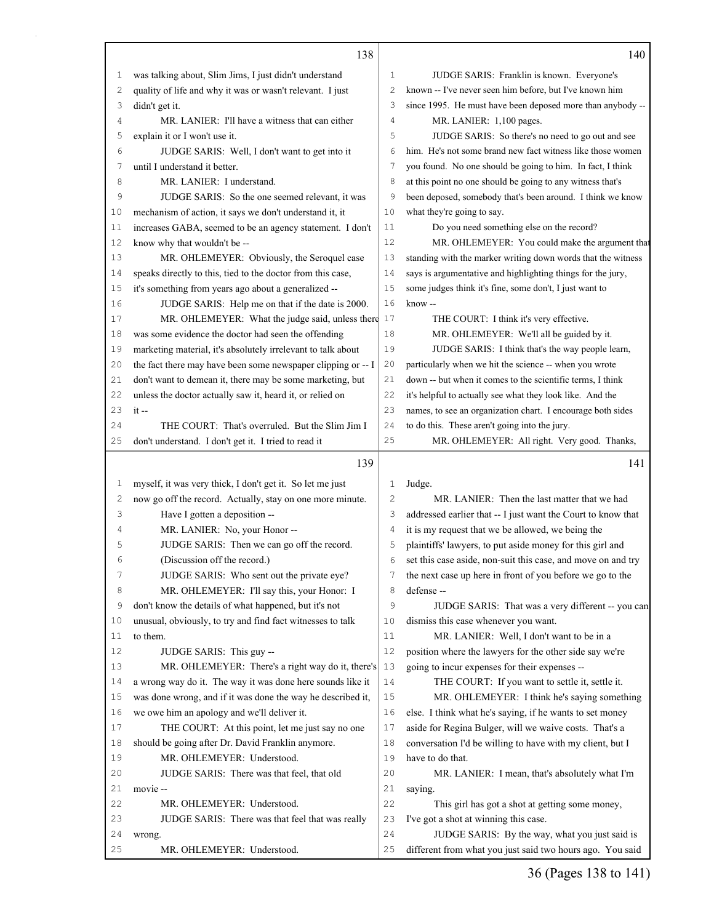|              | 138                                                          |                | 140                                                          |
|--------------|--------------------------------------------------------------|----------------|--------------------------------------------------------------|
| 1            | was talking about, Slim Jims, I just didn't understand       | $\mathbf{1}$   | JUDGE SARIS: Franklin is known. Everyone's                   |
| $\mathbf{2}$ | quality of life and why it was or wasn't relevant. I just    | $\overline{c}$ | known -- I've never seen him before, but I've known him      |
| 3            | didn't get it.                                               | 3              | since 1995. He must have been deposed more than anybody --   |
| 4            | MR. LANIER: I'll have a witness that can either              | 4              | MR. LANIER: 1,100 pages.                                     |
| 5            | explain it or I won't use it.                                | 5              | JUDGE SARIS: So there's no need to go out and see            |
| 6            | JUDGE SARIS: Well, I don't want to get into it               | 6              | him. He's not some brand new fact witness like those women   |
| 7            | until I understand it better.                                | 7              | you found. No one should be going to him. In fact, I think   |
| 8            | MR. LANIER: I understand.                                    | 8              | at this point no one should be going to any witness that's   |
| 9            | JUDGE SARIS: So the one seemed relevant, it was              | 9              | been deposed, somebody that's been around. I think we know   |
| 10           | mechanism of action, it says we don't understand it, it      | 10             | what they're going to say.                                   |
| 11           | increases GABA, seemed to be an agency statement. I don't    | 11             | Do you need something else on the record?                    |
| 12           | know why that wouldn't be --                                 | 12             | MR. OHLEMEYER: You could make the argument that              |
| 13           | MR. OHLEMEYER: Obviously, the Seroquel case                  | 13             | standing with the marker writing down words that the witness |
| 14           | speaks directly to this, tied to the doctor from this case,  | 14             | says is argumentative and highlighting things for the jury,  |
| 15           | it's something from years ago about a generalized --         | 15             | some judges think it's fine, some don't, I just want to      |
| 16           | JUDGE SARIS: Help me on that if the date is 2000.            | 16             | know --                                                      |
| 17           | MR. OHLEMEYER: What the judge said, unless there             | 17             | THE COURT: I think it's very effective.                      |
| 18           | was some evidence the doctor had seen the offending          | 18             | MR. OHLEMEYER: We'll all be guided by it.                    |
| 19           | marketing material, it's absolutely irrelevant to talk about | 19             | JUDGE SARIS: I think that's the way people learn,            |
| 20           | the fact there may have been some newspaper clipping or -- I | 20             | particularly when we hit the science -- when you wrote       |
| 21           | don't want to demean it, there may be some marketing, but    | 21             | down -- but when it comes to the scientific terms, I think   |
| 22           | unless the doctor actually saw it, heard it, or relied on    | 22             | it's helpful to actually see what they look like. And the    |
| 23           | $it -$                                                       | 23             | names, to see an organization chart. I encourage both sides  |
| 24           | THE COURT: That's overruled. But the Slim Jim I              | 24             | to do this. These aren't going into the jury.                |
| 25           | don't understand. I don't get it. I tried to read it         | 25             | MR. OHLEMEYER: All right. Very good. Thanks,                 |
|              |                                                              |                |                                                              |
|              |                                                              |                |                                                              |
|              | 139                                                          |                | 141                                                          |
| 1            | myself, it was very thick, I don't get it. So let me just    | 1              | Judge.                                                       |
| 2            | now go off the record. Actually, stay on one more minute.    | 2              | MR. LANIER: Then the last matter that we had                 |
| 3            | Have I gotten a deposition --                                | 3              | addressed earlier that -- I just want the Court to know that |
| 4            | MR. LANIER: No, your Honor --                                | 4              | it is my request that we be allowed, we being the            |
| 5            | JUDGE SARIS: Then we can go off the record.                  | 5              | plaintiffs' lawyers, to put aside money for this girl and    |
| 6            | (Discussion off the record.)                                 | 6              | set this case aside, non-suit this case, and move on and try |
| 7            | JUDGE SARIS: Who sent out the private eye?                   | 7              | the next case up here in front of you before we go to the    |
| 8            | MR. OHLEMEYER: I'll say this, your Honor: I                  | 8              | defense --                                                   |
| 9            | don't know the details of what happened, but it's not        | 9              | JUDGE SARIS: That was a very different -- you can            |
| 10           | unusual, obviously, to try and find fact witnesses to talk   | 10             | dismiss this case whenever you want.                         |
| 11           | to them.                                                     | 11             | MR. LANIER: Well, I don't want to be in a                    |
| 12           | JUDGE SARIS: This guy --                                     | 12             | position where the lawyers for the other side say we're      |
| 13           | MR. OHLEMEYER: There's a right way do it, there's            | 13             | going to incur expenses for their expenses --                |
| 14           | a wrong way do it. The way it was done here sounds like it   | 14             | THE COURT: If you want to settle it, settle it.              |
| 15           | was done wrong, and if it was done the way he described it,  | 15             | MR. OHLEMEYER: I think he's saying something                 |
| 16           | we owe him an apology and we'll deliver it.                  | 16             | else. I think what he's saying, if he wants to set money     |
| 17           | THE COURT: At this point, let me just say no one             | 17             | aside for Regina Bulger, will we waive costs. That's a       |
| 18           | should be going after Dr. David Franklin anymore.            | 18             | conversation I'd be willing to have with my client, but I    |
| 19           | MR. OHLEMEYER: Understood.                                   | 19             | have to do that.                                             |
| 20           | JUDGE SARIS: There was that feel, that old                   | 20             | MR. LANIER: I mean, that's absolutely what I'm               |
| 21           | movie-                                                       | 21             | saying.                                                      |
| 22           | MR. OHLEMEYER: Understood.                                   | 22             | This girl has got a shot at getting some money,              |
| 23           | JUDGE SARIS: There was that feel that was really             | 23             | I've got a shot at winning this case.                        |
| 24           | wrong.                                                       | 24             | JUDGE SARIS: By the way, what you just said is               |